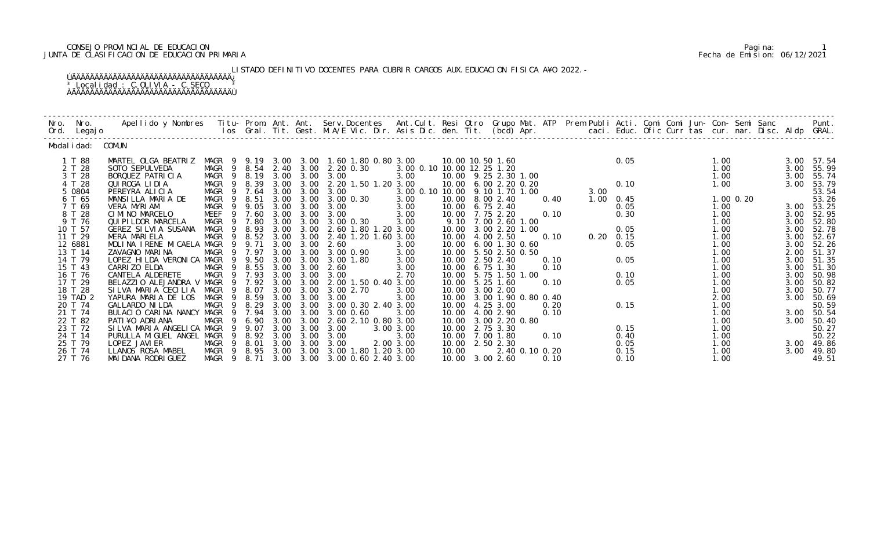# CONSEJO PROVINCIAL DE EDUCACION Pagina: 1 JUNTA DE CLASIFICACION DE EDUCACION PRIMARIA Fecha de Emision: 06/12/2021

 LISTADO DEFINITIVO DOCENTES PARA CUBRIR CARGOS AUX.EDUCACION FISICA A¥O 2022.- ÚÄÄÄÄÄÄÄÄÄÄÄÄÄÄÄÄÄÄÄÄÄÄÄÄÄÄÄÄÄÄÄÄÄÄÄ¿  $3$  Localidad : C.OLIVIA - C.SECO  $3$ ÀÄÄÄÄÄÄÄÄÄÄÄÄÄÄÄÄÄÄÄÄÄÄÄÄÄÄÄÄÄÄÄÄÄÄÄÙ

| Nro. Nro.<br>Ord. Legajo                                                                                                                                                                                                    | Apellido y Nombres - Titu- Prom. Ant. Ant. Serv.Docentes - Ant.Cult. Resi Otro Grupo Mat. ATP Prem Publi Acti. Comi Comi Jun- Con- Semi Sanc - - - Punt.<br>Ios Gral. Tit. Gest. M.A/E Vic. Dir. Asis Dic. den. Tit. (bcd) Apr. -                                                                                                                                                                                                                                    |                                                                                                                                                                                                                  |                                                                                                                                                                             |                                                                                                                                              |                                                                                                                                                      |                                                                                                                                                                                                                                                                                                                             |                                                                                                                                                                      |                                                                                                                   |                                                                                                                                                                                                                                                                                                                                          |                                                              |                                             |                                                                              |                                                                                                                                                                       |                                                                                                                      |                                                                                                                                                                                                          |
|-----------------------------------------------------------------------------------------------------------------------------------------------------------------------------------------------------------------------------|----------------------------------------------------------------------------------------------------------------------------------------------------------------------------------------------------------------------------------------------------------------------------------------------------------------------------------------------------------------------------------------------------------------------------------------------------------------------|------------------------------------------------------------------------------------------------------------------------------------------------------------------------------------------------------------------|-----------------------------------------------------------------------------------------------------------------------------------------------------------------------------|----------------------------------------------------------------------------------------------------------------------------------------------|------------------------------------------------------------------------------------------------------------------------------------------------------|-----------------------------------------------------------------------------------------------------------------------------------------------------------------------------------------------------------------------------------------------------------------------------------------------------------------------------|----------------------------------------------------------------------------------------------------------------------------------------------------------------------|-------------------------------------------------------------------------------------------------------------------|------------------------------------------------------------------------------------------------------------------------------------------------------------------------------------------------------------------------------------------------------------------------------------------------------------------------------------------|--------------------------------------------------------------|---------------------------------------------|------------------------------------------------------------------------------|-----------------------------------------------------------------------------------------------------------------------------------------------------------------------|----------------------------------------------------------------------------------------------------------------------|----------------------------------------------------------------------------------------------------------------------------------------------------------------------------------------------------------|
| Modal i dad: COMUN                                                                                                                                                                                                          |                                                                                                                                                                                                                                                                                                                                                                                                                                                                      |                                                                                                                                                                                                                  |                                                                                                                                                                             |                                                                                                                                              |                                                                                                                                                      |                                                                                                                                                                                                                                                                                                                             |                                                                                                                                                                      |                                                                                                                   |                                                                                                                                                                                                                                                                                                                                          |                                                              |                                             |                                                                              |                                                                                                                                                                       |                                                                                                                      |                                                                                                                                                                                                          |
| 1 T 88<br>2 T 28<br>3 T 28<br>4 T 28<br>5 0804<br>6 T 65<br>7 T 69<br>8 T 28<br>9 T 76<br>10 T 57<br>11 T 29<br>12 6881<br>13 T 14<br>14 T 79<br>15 T 43<br>16 T 76<br>17 T 29<br>18 T 28<br>19 TAD 2<br>20 T 74<br>21 T 74 | MARTEL OLGA BEATRIZ<br>SOTO SEPULVEDA<br>BORQUEZ PATRICIA<br>QUI ROGA LI DI A<br>PEREYRA ALICIA<br>MANSILLA MARIA DE<br>VERA MYRIAM<br>CIMINO MARCELO<br>QUI PI LDOR MARCELA<br>GEREZ SILVIA SUSANA<br>MERA MARIELA<br>MOLINA IRENE MICAELA MAGR<br>ZAVAGNO MARINA<br>LOPEZ HILDA VERONICA MAGR<br>CARRI ZO ELDA<br>CANTELA ALDERETE<br>BELAZZIO ALEJANDRA V MAGR<br>SILVA MARIA CECILIA MAGR<br>YAPURA MARIA DE LOS<br>GALLARDO NI LDA<br>BULACIO CARINA NANCY MAGR | MAGR 9 8.54 2.40 3.00<br>MAGR<br>MAGR<br>- 9<br>MAGR<br>MAGR<br>- 9<br>MAGR<br>- 9<br>MEEF<br>9<br>MAGR<br>MAGR<br>$\overline{9}$<br><b>MAGR</b><br>- 9<br>MAGR<br>9<br>MAGR<br>MAGR<br>9<br>MAGR<br>- 9<br>MAGR | 9 8.19 3.00<br>8.39<br>9 7.64<br>8.51<br>9.05<br>7.60<br>9 7.80<br>8.93<br>9 8.52<br>9.71<br>9 7.97<br>9 9.50<br>8.55<br>7.93<br>9 7.92<br>9 8.07<br>8.59<br>8.29<br>9 7.94 | 3.00<br>3.00<br>3.00<br>3.00<br>3.00<br>3.00<br>3.00<br>3.00<br>3.00<br>3.00<br>3.00<br>3.00<br>3.00<br>3.00<br>3.00<br>3.00<br>3.00<br>3.00 | 3.00<br>3.00<br>3.00<br>3.00<br>3.00<br>3.00<br>3.00<br>3.00<br>3.00<br>3.00<br>3.00<br>3.00<br>3.00<br>3.00<br>3.00<br>3.00<br>3.00<br>3.00<br>3.00 | MAGR 9 9.19 3.00 3.00 1.60 1.80 0.80 3.00<br>2.20 0.30<br>3.00<br>2. 20 1. 50 1. 20 3. 00<br>3.00<br>3.00 0.30<br>3.00<br>3.00<br>3.00 0.30<br>2.60 1.80 1.20 3.00<br>2.40 1.20 1.60 3.00<br>2.60<br>3.00 0.90<br>3.00 1.80<br>2.60<br>3.00<br>2.00 1.50 0.40 3.00<br>3.00 2.70<br>3.00<br>3.00 0.30 2.40 3.00<br>3.00 0.60 | 3.00 0.10 10.00 12.25 1.20<br>3.00<br>3.00 0.10 10.00 9.10 1.70 1.00<br>3.00<br>3.00<br>3.00<br>3.00<br>3.00<br>3.00<br>3.00<br>3.00<br>2.70<br>3.00<br>3.00<br>3.00 | 10.00<br>10.00<br>10.00<br>10.00<br>10.00<br>10.00<br>10.00<br>10.00<br>10.00<br>10.00<br>10.00<br>10.00<br>10.00 | 10.00 10.50 1.60<br>10.00 9.25 2.30 1.00<br>6.002.200.20<br>8.00 2.40<br>$6.75$ 2.40<br>10.00 7.75 2.20<br>9.10 7.00 2.60 1.00<br>10.00 3.00 2.20 1.00<br>4.00 2.50<br>$6.00$ 1.30 0.60<br>5.50 2.50 0.50<br>2.50 2.40<br>6.75 1.30<br>5.75 1.50 1.00<br>$5.25$ 1.60<br>10.00 3.00 2.00<br>3.00 1.90 0.80 0.40<br>4.25 3.00<br>4.00 2.90 | 0.40<br>0.10<br>0.10<br>0.10<br>0.10<br>0.10<br>0.20<br>0.10 | 3.00<br>$1.00 \t 0.45$<br>$0.20 \quad 0.15$ | 0.05<br>0.10<br>0.05<br>0.30<br>0.05<br>0.05<br>0.05<br>0.10<br>0.05<br>0.15 | 1.00<br>1.00<br>1.00<br>1.00<br>$1.00$ $0.20$<br>1.00<br>1.00<br>1.00<br>1.00<br>1.00<br>1.00<br>1.00<br>1.00<br>1.00<br>1.00<br>1.00<br>1.00<br>2.00<br>1.00<br>1.00 | 3.00<br>3.00<br>3.00<br>3.00<br>3.00<br>3.00<br>3.00<br>3.00<br>2.00<br>3.00<br>3.00<br>3.00<br>3.00<br>3.00<br>3.00 | 3.00 57.54<br>55.99<br>55.74<br>53.79<br>53.54<br>53.26<br>3.00 53.25<br>52.95<br>52.80<br>52.78<br>52.67<br>52.26<br>51.37<br>51.35<br>51.30<br>50.98<br>50.82<br>50.77<br>50.69<br>50.59<br>3.00 50.54 |
| 22 T 82<br>23 T 72<br>24 T 14                                                                                                                                                                                               | PATI¥O ADRIANA<br>SILVA MARIA ANGELICA MAGR<br>PURULLA MIGUEL ANGEL MAGR                                                                                                                                                                                                                                                                                                                                                                                             | MAGR<br>9<br>-9                                                                                                                                                                                                  | 9 6.90<br>9.07<br>8.92 3.00                                                                                                                                                 | 3.00<br>3.00                                                                                                                                 | 3.00<br>3.00<br>3.00                                                                                                                                 | 2.60 2.10 0.80 3.00<br>3.00<br>3.00                                                                                                                                                                                                                                                                                         | 3.00 3.00<br>3.00                                                                                                                                                    | 10.00                                                                                                             | 10.00 3.00 2.20 0.80<br>10.00 2.75 3.30<br>7.00 1.80                                                                                                                                                                                                                                                                                     | 0.10                                                         |                                             | 0.15<br>0.40                                                                 | 1.00<br>1.00<br>1.00                                                                                                                                                  | 3.00                                                                                                                 | 50.40<br>50.27<br>50.22                                                                                                                                                                                  |
| 25 T 79<br>26 T 74<br>27 T 76                                                                                                                                                                                               | LOPEZ JAVI ER<br>LLANOS ROSA MABEL<br>MAI DANA RODRI GUEZ                                                                                                                                                                                                                                                                                                                                                                                                            | MAGR 9 8.01<br>MAGR 9 8.95<br>MAGR 9 8.71                                                                                                                                                                        |                                                                                                                                                                             | 3.00                                                                                                                                         | 3.00<br>3.00 3.00                                                                                                                                    | 3.00<br>3.00 3.00 3.00 1.80 1.20 3.00<br>3.00 0.60 2.40 3.00                                                                                                                                                                                                                                                                | 2.00 3.00                                                                                                                                                            | 10.00                                                                                                             | 10.00 2.50 2.30<br>2.40 0.10 0.20<br>10.00 3.00 2.60                                                                                                                                                                                                                                                                                     | 0.10                                                         |                                             | 0.05<br>0.15<br>0.10                                                         | 1.00<br>1.00<br>1.00                                                                                                                                                  | 3.00                                                                                                                 | 3.00 49.86<br>49.80<br>49.51                                                                                                                                                                             |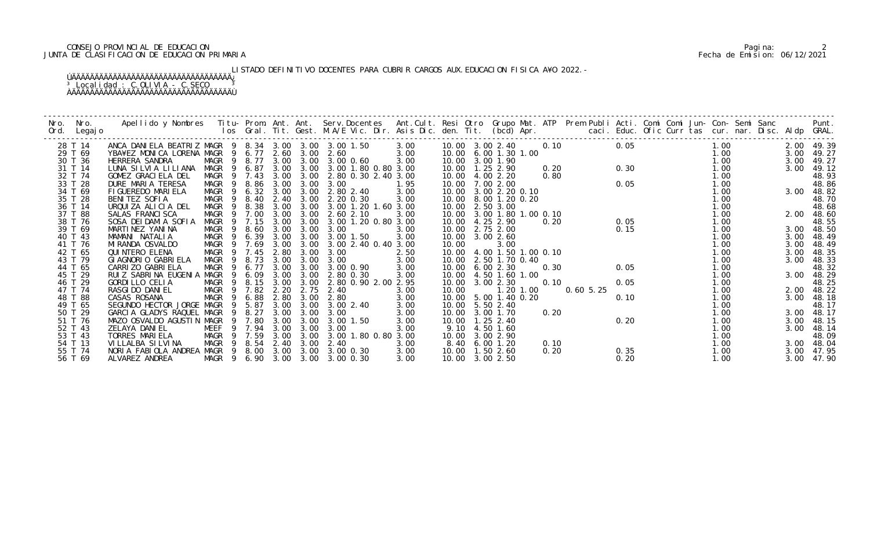# CONSEJO PROVINCIAL DE EDUCACION Pagina: 2 JUNTA DE CLASIFICACION DE EDUCACION PRIMARIA Fecha de Emision: 06/12/2021

LISTADO DEFINITIVO DOCENTES PARA CUBRIR CARGOS AUX.EDUCACION FISICA A¥O 2022.-

| Nro. | Nro.<br>Ord. Legajo |                                                      |                       |           |      |      |                                 |                                                            |                           |                |      |                     |      |      |      |      |            |
|------|---------------------|------------------------------------------------------|-----------------------|-----------|------|------|---------------------------------|------------------------------------------------------------|---------------------------|----------------|------|---------------------|------|------|------|------|------------|
|      | 28 T 14             | ANCA DANIELA BEATRIZ MAGR 9 8.34 3.00 3.00 3.00 1.50 |                       |           |      |      |                                 | 3.00                                                       | 10.00 3.00 2.40           |                | 0.10 |                     | 0.05 |      | 1.00 |      | 2.00 49.39 |
|      | 29 T 69             | YBA¥EZ MONICA LORENA MAGR 9 6.77 2.60 3.00           |                       |           |      |      | 2.60                            | 3.00                                                       | 10.00 6.00 1.30 1.00      |                |      |                     |      |      | 1.00 | 3.00 | 49.27      |
|      | 30 T 36             | HERRERA SANDRA                                       |                       |           |      |      | MAGR 9 8.77 3.00 3.00 3.00 0.60 | 3.00                                                       | 10.00 3.00 1.90           |                |      |                     |      |      | 1.00 |      | 3.00 49.27 |
|      | 31 T 14             | LUNA SILVIA LILIANA                                  | MAGR 9 6.87           |           |      |      | 3.00 3.00 3.00 1.80 0.80 3.00   |                                                            | 10.00  1.25  2.90         |                |      | $0.18$<br>0.20 0.30 |      |      | 1.00 | 3.00 | 49.12      |
|      | 32 T 74             | GOMEZ GRACIELA DEL                                   | MAGR 9 7.43 3.00      |           |      | 3.00 | 2.80 0.30 2.40 3.00             |                                                            | 10.00 4.00 2.20           |                | 0.80 |                     |      |      | 1.00 |      | 48.93      |
|      | 33 T 28             | DURE MARIA TERESA                                    | MAGR 9                | 8.86 3.00 |      | 3.00 | 3.00                            | 1.95                                                       | 10.00 7.00 2.00           |                |      |                     |      |      | 1.00 |      | 48.86      |
|      | 34 T 69             | FIGUEREDO MARIELA                                    | MAGR 9 6.32 3.00      |           |      | 3.00 | 2.80 2.40                       | 3.00                                                       | 10.00 3.00 2.20 0.10      |                |      |                     |      |      | 1.00 |      | 3.00 48.82 |
|      | 35 T 28             | BENITEZ SOFIA                                        | MAGR 9 8.40           |           |      |      | 2.40 3.00 2.20 0.30             | 3.00                                                       | 10.00 8.00 1.20 0.20      |                |      |                     |      |      | 1.00 |      | 48.70      |
|      | 36 T 14             | URQUIZA ALICIA DEL                                   | MAGR<br>- 9           | 8.38      | 3.00 | 3.00 | 3.00 1.20 1.60 3.00             |                                                            | 10.00 2.50 3.00           |                |      |                     |      |      | 1.00 |      | 48.68      |
|      | 37 T 88             | SALAS FRANCI SCA                                     | MAGR<br>- 9           | 7.00      | 3.00 | 3.00 | 2.60 2.10                       | 3.00                                                       | 10.00 3.00 1.80 1.00 0.10 |                |      |                     |      | 0.05 | 1.00 |      | 2.00 48.60 |
|      | 38 T 76             | SOSA DEI DAMI A SOFIA                                | MAGR                  | 9 7.15    | 3.00 | 3.00 | 3.00 1.20 0.80 3.00             |                                                            | 10.00 4.25 2.90           |                | 0.20 |                     | 0.05 |      | 1.00 |      | 48.55      |
|      | 39 T 69             | MARTINEZ YANINA                                      | MAGR 9 8.60           |           | 3.00 | 3.00 | 3.00                            | 3.00                                                       | 10.00 2.75 2.00           |                |      |                     | 0.15 |      | 1.00 |      | 3.00 48.50 |
|      | 40 T 43             | MAMANI NATALIA                                       | MAGR 9 6.39 3.00      |           |      | 3.00 | 3.00 1.50                       | 3.00                                                       | 10.00 3.00 2.60           |                |      |                     |      |      | 1.00 | 3.00 | 48.49      |
|      | 41 T 76             | MI RANDA OSVALDO                                     | MAGR 9 7.69           |           | 3.00 | 3.00 | 3.00 2.40 0.40 3.00             |                                                            | 10.00                     | 3.00           |      |                     |      |      | 1.00 | 3.00 | 48.49      |
|      | 42 T 65             | QUI NTERO ELENA                                      | MAGR 9 7.45           |           | 2.80 | 3.00 | 3.00                            | 2.50                                                       | 10.00 4.00 1.50 1.00 0.10 |                |      | 0.05                |      |      | 1.00 | 3.00 | 48.35      |
|      | 43 T 79             | GI AGNORI O GABRI ELA                                | MAGR <sub>9</sub>     | 8.73 3.00 |      | 3.00 | 3.00                            | $\begin{array}{ccc} 3.62 \\ 0 & 3.00 \\ 3 & 0 \end{array}$ | 10.00 2.50 1.70 0.40      |                |      |                     |      |      | 1.00 | 3.00 | 48.33      |
|      | 44 T 65             | CARRI ZO GABRI ELA                                   | MAGR<br>- 9           | 6.77      | 3.00 | 3.00 | 3.00 0.90                       |                                                            | 10.00                     | 6.00 2.30      | 0.30 |                     |      |      | 1.00 |      | 48.32      |
|      | 45 T 29             | RUIZ SABRINA EUGENIA MAGR                            | - 9                   | 6.09      | 3.00 | 3.00 | 2.80 0.30                       | 3.00                                                       | 10.00 4.50 1.60 1.00      |                |      |                     |      |      | 1.00 | 3.00 | 48.29      |
|      | 46 T 29             | <b>GORDI LLO CELIA</b>                               | MAGR 9 8.15           |           | 3.00 | 3.00 | 2.80 0.90 2.00 2.95             |                                                            | 10.00 3.00 2.30           |                | 0.10 |                     | 0.05 |      | 1.00 |      | 48.25      |
|      | 47 T 74             | RASGI DO DANI EL                                     | MAGR 9 7.82 2.20      |           |      | 2.75 | 2.40                            | 3.00                                                       | 10.00                     | $1.20$ $1.00$  |      | 0.605.25            |      |      | 1.00 |      | 2.00 48.22 |
|      | 48 T 88             | CASAS ROSANA                                         | MAGR 9 6.88           |           | 2.80 | 3.00 | 2.80                            | 3.00                                                       | 10.00                     | 5.00 1.40 0.20 |      |                     | 0.10 |      | 1.00 |      | 3.00 48.18 |
|      | 49 T 65             | SEGUNDO HECTOR JORGE MAGR 9 5.87                     |                       |           | 3.00 | 3.00 | 3.00 2.40                       | 3.00                                                       | 10.00                     | 5.50 2.40      |      |                     |      |      | 1.00 |      | 48.17      |
|      | 50 T 29             | GARCIA GLADYS RAQUEL MAGR 9 8.27                     |                       |           | 3.00 | 3.00 | 3.00                            | 3.00                                                       | 10.00 3.00 1.70           |                | 0.20 |                     |      |      | 1.00 |      | 3.00 48.17 |
|      | 51 T 76             | MAZO OSVALDO AGUSTIN MAGR                            |                       | 9 7.80    | 3.00 | 3.00 | 3.00 1.50                       | 3.00                                                       | 10.00  1.25  2.40         |                |      |                     | 0.20 |      | 1.00 | 3.00 | 48.15      |
|      | 52 T 43             | ZELAYA DANIEL                                        | MEEF                  | 9 7.94    | 3.00 | 3.00 | 3.00                            | 3.00                                                       | 9.10                      | 4.50 1.60      |      |                     |      |      | 1.00 | 3.00 | 48.14      |
|      | 53 T 43             | TORRES MARIELA                                       | MAGR 9 7.59           |           | 3.00 | 3.00 | 3.00 1.80 0.80 3.00             |                                                            | 10.00 3.00 2.90           |                |      |                     |      |      | 1.00 |      | 48.09      |
|      | 54 T 13             | VILLALBA SILVINA                                     | MAGR 9 8.54           |           | 2.40 | 3.00 | 2.40                            | 3.00                                                       |                           | 8.40 6.00 1.20 | 0.10 |                     |      |      | 1.00 |      | 3.00 48.04 |
|      | 55 T 74             | NORIA FABIOLA ANDREA MAGR 9 8.00 3.00 3.00 3.00 0.30 |                       |           |      |      |                                 | 3.00                                                       | 10.00  1.50  2.60         |                | 0.20 |                     | 0.35 |      | 1.00 |      | 3.00 47.95 |
|      | 56 T 69             | ALVAREZ ANDREA                                       | MAGR 9 6.90 3.00 3.00 |           |      |      | 3.00 0.30                       | 3.00                                                       | 10.00 3.00 2.50           |                |      |                     | 0.20 |      | 1.00 | 3.00 | 47.90      |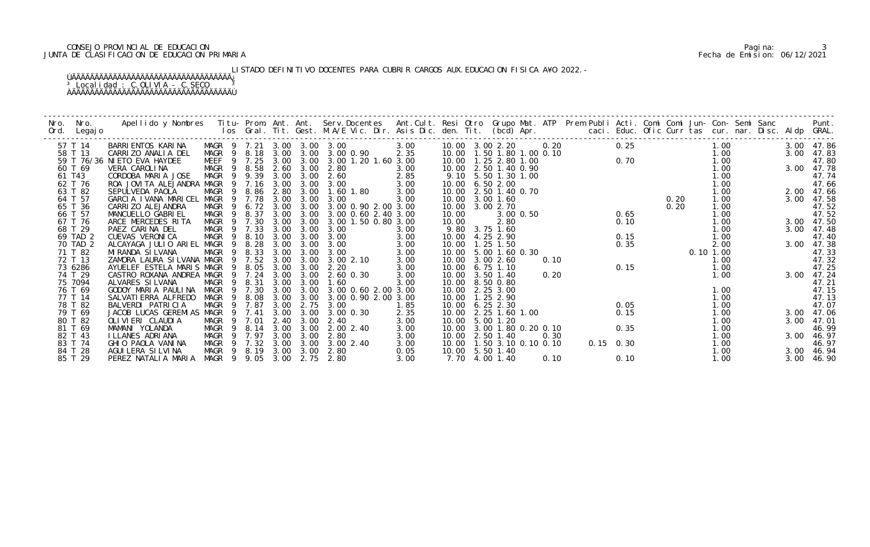# CONSEJO PROVINCIAL DE EDUCACION Pagina: 3 JUNTA DE CLASIFICACION DE EDUCACION PRIMARIA Fecha de Emision: 06/12/2021

LISTADO DEFINITIVO DOCENTES PARA CUBRIR CARGOS AUX.EDUCACION FISICA A¥O 2022.-

| Nro. | Nro.<br>Ord. Legajo | Apellido y Nombres - Titu- Prom. Ant. Ant. Serv.Docentes - Ant.Cult. Resi Otro- Grupo Mat. ATP - Prem Publi Acti. Comi Comi Jun- Con- Semi Sanc - - - Punt.<br>Ios Gral. Tit. Gest. M.A/E Vic. Dir. Asis Dic. den. Tit. (bcd) Apr |             |                  |      |           |                                 |      |                               |                     |               |      |  |                                      |      |      |       |      |                  |
|------|---------------------|-----------------------------------------------------------------------------------------------------------------------------------------------------------------------------------------------------------------------------------|-------------|------------------|------|-----------|---------------------------------|------|-------------------------------|---------------------|---------------|------|--|--------------------------------------|------|------|-------|------|------------------|
|      | 57 T 14             | BARRI ENTOS KARI NA                                                                                                                                                                                                               |             |                  |      |           | MAGR 9 7.21 3.00 3.00 3.00      | 3.00 | 10.00 3.00 2.20 0.20          |                     |               |      |  | 0.25                                 |      |      | 1.00  |      | 3.00 47.86       |
|      | 58 T 13             | CARRIZO ANALIA DEL                                                                                                                                                                                                                |             |                  |      |           | MAGR 9 8.18 3.00 3.00 3.00 0.90 | 2.35 | 10.00  1.50  1.80  1.00  0.10 |                     |               |      |  |                                      |      |      | 0. 70 |      | 3.00 47.83       |
|      |                     | 59 T 76/36 NI ETO EVA HAYDEE                                                                                                                                                                                                      |             | MEEF 9 7.25 3.00 |      |           | 3.00 3.00 1.20 1.60 3.00        |      | 10.00  1.25  2.80  1.00       |                     |               |      |  |                                      |      |      |       |      | 47.80            |
|      | 60 T 69             | VERA CAROLINA                                                                                                                                                                                                                     |             | MAGR 9 8.58      |      | 2.60 3.00 | 2.80                            | 3.00 | 10.00 2.50 1.40 0.90          |                     |               |      |  |                                      |      |      |       |      | 3.00 47.78       |
|      | 61 T43              | CORDOBA MARIA JOSE                                                                                                                                                                                                                |             | MAGR 9 9.39      | 3.00 |           | $3.00$ $2.60$                   | 2.85 |                               | 9.10 5.50 1.30 1.00 |               |      |  |                                      |      |      | 1.00  |      | 47.74            |
|      | 62 T 76             | ROA JOVITA ALEJANDRA MAGR 9 7.16 3.00                                                                                                                                                                                             |             |                  |      | 3.00      | 3.00                            | 3.00 | 10.00 6.50 2.00               |                     |               |      |  |                                      |      |      | 1.00  |      | 47.66            |
|      | 63 T 82             | SEPULVEDA PAOLA                                                                                                                                                                                                                   | MAGR        | 9 8.86 2.80      |      | 3.00      | 1.60 1.80                       | 3.00 | 10.00 2.50 1.40 0.70          |                     |               |      |  |                                      |      |      | 1.00  |      | 2.00 47.66       |
|      | 64 T 57             | GARCIA IVANA MARICEL MAGR 9 7.78 3.00                                                                                                                                                                                             |             |                  |      | 3.00      | 3.00                            | 3.00 | 10.00 3.00 1.60               |                     |               |      |  |                                      | 0.20 |      | 1.00  |      | 3.00 47.58       |
|      | 65 T 36             | CARRI ZO ALEJANDRA                                                                                                                                                                                                                | MAGR        | 9 6.72 3.00      |      | 3.00      | 3.00 0.90 2.00 3.00             |      | 10.00 3.00 2.70               |                     |               |      |  |                                      |      | 0.20 | 1.00  |      | 47.52            |
|      | 66 T 57             | MANCUELLO GABRIEL                                                                                                                                                                                                                 | MAGR 9      | 8.37             | 3.00 | 3.00      | 3.00 0.60 2.40 3.00             |      | 10.00                         |                     | $3.00$ $0.50$ |      |  | 0.65                                 |      |      | 1.00  |      | 47.52            |
|      | 67 T 76             | ARCE MERCEDES RITA                                                                                                                                                                                                                |             | MAGR 9 7.30      | 3.00 | 3.00      | 3.00 1.50 0.80 3.00             |      | 10.00                         | 2.80                |               |      |  | 0.10                                 |      |      | 1.00  |      | 3.00 47.50       |
|      | 68 T 29             | PAEZ CARINA DEL                                                                                                                                                                                                                   |             | MAGR 9 7.33      | 3.00 | 3.00      | 3.00                            | 3.00 |                               | 9.80 3.75 1.60      |               |      |  |                                      |      |      | 1.00  |      | 3.00 47.48       |
|      | 69 TAD 2            | CUEVAS VERONI CA                                                                                                                                                                                                                  | MAGR        | 9 8.10 3.00      |      | 3.00      | 3.00                            | 3.00 | 10.00 4.25 2.90               |                     |               |      |  | 0.15                                 |      |      | 1.00  |      | 47.40            |
|      | 70 TAD 2            | ALCAYAGA JULIO ARIEL MAGR 9 8.28                                                                                                                                                                                                  |             |                  | 3.00 | 3.00      | 3.00                            | 3.00 | 10.00  1.25  1.50             |                     |               |      |  | $0.35$<br>$0.10$<br>$1.00$<br>$1.00$ |      |      |       |      | 3.00 47.38       |
|      | 71 T 82             | MI RANDA SI LVANA                                                                                                                                                                                                                 | MAGR        | 9 8.33           | 3.00 | 3.00      | 3.00                            | 3.00 | 10.00 5.00 1.60 0.30          |                     |               |      |  |                                      |      |      |       |      | 47.33            |
|      | 72 T 13             | ZAMORA LAURA SILVANA MAGR 9 7.52 3.00                                                                                                                                                                                             |             |                  |      | 3.00      | 3.00 2.10                       | 3.00 | 10.00 3.00 2.60               |                     |               | 0.10 |  |                                      |      |      | 1.00  |      | 47.32            |
|      | 73 6286             | AYUELEF ESTELA MARIS MAGR                                                                                                                                                                                                         |             | 9 8.05           | 3.00 | 3.00      | 2.20                            | 3.00 | 10.00 6.75 1.10               |                     |               |      |  | 0.15                                 |      |      | 1.00  |      | 47.25            |
|      | 74 T 29             | CASTRO ROXANA ANDREA MAGR                                                                                                                                                                                                         |             | 9 7.24           | 3.00 | 3.00      | 2.60 0.30                       | 3.00 | 10.00 3.50 1.40               |                     |               | 0.20 |  |                                      |      |      | 1.00  |      | 3.00 47.24       |
|      | 75 7094             | ALVARES SI LVANA                                                                                                                                                                                                                  |             | MAGR 9 8.31      | 3.00 | 3.00      | 1.60                            | 3.00 | 10.00 8.50 0.80               |                     |               |      |  |                                      |      |      |       |      | 47.21            |
|      | 76 T 69             | GODOY MARIA PAULINA                                                                                                                                                                                                               |             | MAGR 9 7.30      | 3.00 |           | 3.00 3.00 0.60 2.00 3.00        |      | 10.00 2.25 3.00               |                     |               |      |  |                                      |      |      | 1.00  |      | 47. 15<br>47. 13 |
|      | 77 T 14             | SALVATI ERRA ALFREDO                                                                                                                                                                                                              | MAGR        | 9 8.08           | 3.00 | 3.00      | 3.00 0.90 2.00 3.00             |      | 10.00  1.25  2.90             |                     |               |      |  |                                      |      |      | 1.00  |      |                  |
|      | 78 T 82             | BALVERDI PATRICIA                                                                                                                                                                                                                 |             | MAGR 9 7.87      | 3.00 | 2.75      | 3.00                            | 1.85 | 10.00 6.25 2.30               |                     |               |      |  | 0. 05<br>0. 15                       |      |      | 1.00  |      | 47.07            |
|      | 79 T 69             | JACOB LUCAS GEREMIAS MAGR 9 7.41                                                                                                                                                                                                  |             |                  | 3.00 | 3.00      | 3.00 0.30                       | 2.35 | 10.00 2.25 1.60 1.00          |                     |               |      |  |                                      |      |      | 1.00  |      | 3.00 47.06       |
|      | 80 T 82             | OLIVIERI CLAUDIA                                                                                                                                                                                                                  | MAGR 9 7.01 |                  |      | 2.40 3.00 | 2.40                            | 3.00 | 10.00 5.00 1.20               |                     |               |      |  |                                      |      |      | 1.00  |      | 3.00 47.01       |
|      | 81 T 69             | MAMANI YOLANDA                                                                                                                                                                                                                    | MAGR        | 9 8.14 3.00      |      | 3.00      | 2.00 2.40                       | 3.00 | 10.00 3.00 1.80 0.20 0.10     |                     |               |      |  | 0.35                                 |      |      | 1.00  |      | 46.99            |
|      | 82 T 43             | I LLANES ADRIANA                                                                                                                                                                                                                  |             | MAGR 9 7.97      | 3.00 | 3.00      | 2.80                            | 3.00 | 10.00 2.50 1.40               |                     |               | 0.30 |  |                                      |      |      | 1.00  | 3.00 | 46.97            |
|      | 83 T 74             | GHIO PAOLA VANINA                                                                                                                                                                                                                 |             | MAGR 9 7.32 3.00 |      |           | 3.00 3.00 2.40                  | 3.00 | 10.00  1.50  3.10  0.10  0.10 |                     |               |      |  | $0.15$ 0.30                          |      |      | 1.00  |      | 46.97            |
|      | 84 T 28             | AGUI LERA SI LVI NA                                                                                                                                                                                                               |             | MAGR 9 8.19      |      | 3.00 3.00 | 2.80                            | 0.05 | 10.00 5.50 1.40               |                     |               |      |  |                                      |      |      | 1.00  |      | 3.00 46.94       |
|      | 85 T 29             | PEREZ NATALIA MARIA                                                                                                                                                                                                               |             | MAGR 9 9.05 3.00 |      |           | 2.75 2.80                       | 3.00 |                               | 7.70 4.00 1.40      |               | 0.10 |  | 0.10                                 |      |      | 1.00  |      | 3.00 46.90       |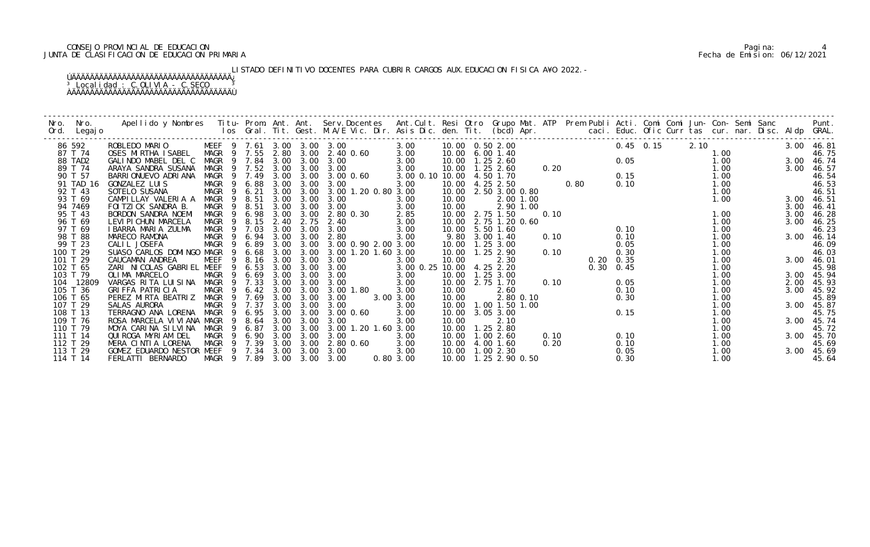# CONSEJO PROVINCIAL DE EDUCACION Pagina: 4 JUNTA DE CLASIFICACION DE EDUCACION PRIMARIA Fecha de Emision: 06/12/2021

LISTADO DEFINITIVO DOCENTES PARA CUBRIR CARGOS AUX.EDUCACION FISICA A¥O 2022.-

| Nro. | Nro.<br>Ord. Legajo | Apellido y Nombres  Titu- Prom. Ant. Ant. Serv.Docentes  Ant.Cult. Resi Otro Grupo Mat. ATP  Prem Publi Acti. Comi Comi Jun- Con- Semi Sanc        Punt.<br>Ios Gral. Tit. Gest. M.A/E Vic. Dir. Asis Dic. den. Tit. (bcd) Apr. |        |                |                  |      |                            |      |                     |                 |       |                         |           |      |      |      |                   |      |      |  |            |                     |
|------|---------------------|---------------------------------------------------------------------------------------------------------------------------------------------------------------------------------------------------------------------------------|--------|----------------|------------------|------|----------------------------|------|---------------------|-----------------|-------|-------------------------|-----------|------|------|------|-------------------|------|------|--|------------|---------------------|
|      | 86 592              | ROBLEDO MARIO                                                                                                                                                                                                                   |        |                |                  |      | MEEF 9 7.61 3.00 3.00 3.00 |      |                     | 3.00            |       | 10.00  0.50  2.00       |           |      |      |      | $0.45$ 0.15       | 2.10 |      |  | 3.00 46.81 |                     |
|      | 87 T 74             | OSES MIRTHA ISABEL                                                                                                                                                                                                              |        |                | MAGR 9 7.55      | 2.80 | 3.00                       |      | 2.40 0.60           | 3.00            |       | 10.00 6.00 1.40         |           |      |      |      |                   |      | 1.00 |  |            | 46.75               |
|      | 88 TAD2             | GALINDO MABEL DEL C                                                                                                                                                                                                             |        |                | MAGR 9 7.84      | 3.00 | 3.00                       | 3.00 |                     | 3.00            |       | 10.00  1.25  2.60       |           |      |      |      | 0.05              |      | 1.00 |  |            | 3.00 46.74          |
|      | 89 T 74             | ARAYA SANDRA SUSANA                                                                                                                                                                                                             | MAGR   |                | 9 7.52 3.00      |      | 3.00                       | 3.00 |                     | 3.00            |       | 10.00  1.25  2.60       |           | 0.20 |      |      |                   |      | 1.00 |  |            | 3.00 46.57          |
|      | 90 T 57             | BARRI ONUEVO ADRI ANA                                                                                                                                                                                                           | MAGR   |                | 9 7.49           | 3.00 | 3.00                       |      | 3.00 0.60           | 3.00 0.10 10.00 |       | 4.50 1.70               |           |      |      |      | 0.15              |      | 1.00 |  |            | 46.54               |
|      | 91 TAD 16           | GONZALEZ LUIS                                                                                                                                                                                                                   | MAGR 9 |                | 6.88             | 3.00 | 3.00                       | 3.00 |                     | 3.00            |       | 10.00 4.25 2.50         |           |      | 0.80 |      | 0.10              |      | 1.00 |  |            | 46.53               |
|      | 92 T 43             | SOTELO SUSANA                                                                                                                                                                                                                   | MAGR   |                | 9 6.21           | 3.00 | 3.00                       |      | 3.00 1.20 0.80 3.00 |                 |       | 10.00 2.50 3.00 0.80    |           |      |      |      |                   |      | 1.00 |  |            | 46.51               |
|      | 93 T 69             | CAMPILLAY VALERIA A                                                                                                                                                                                                             | MAGR   | - 9            | 8.51             | 3.00 | 3.00                       | 3.00 |                     | 3.00            | 10.00 |                         | 2.00 1.00 |      |      |      |                   |      | 1.00 |  |            | 3.00 46.51          |
|      | 94 7469             | FOI TZI CK SANDRA B.                                                                                                                                                                                                            | MAGR   | - 9            | 8.51             | 3.00 | 3.00                       | 3.00 |                     | 3.00            | 10.00 |                         | 2.90 1.00 |      |      |      |                   |      |      |  | 3.00       | 46.41               |
|      | 95 T 43             | BORDON SANDRA NOEMI                                                                                                                                                                                                             | MAGR   | 9              | 6.98             | 3.00 | 3.00                       |      | 2.80 0.30           | 2.85            |       | 10.00 2.75 1.50         |           | 0.10 |      |      |                   |      | 1.00 |  | 3.00       | 46. 28              |
|      | 96 T 69             | LEVI PI CHUN MARCELA                                                                                                                                                                                                            | MAGR   |                | 9 8.15           | 2.40 | 2.75                       | 2.40 |                     | 3.00            |       | 10.00 2.75 1.20 0.60    |           |      |      |      |                   |      | 1.00 |  | 3.00       | 46. 25              |
|      | 97 T 69             | I BARRA MARIA ZULMA                                                                                                                                                                                                             |        |                | MAGR 9 7.03      | 3.00 | 3.00                       | 3.00 |                     | 3.00            |       | 10.00 5.50 1.60         |           |      |      |      | 0.10              |      | 1.00 |  |            | 46.23               |
|      | 98 T 88             | MARECO RAMONA                                                                                                                                                                                                                   | MAGR   | - 9            | 6.94             | 3.00 | 3.00                       | 2.80 |                     | 3.00            | 9.80  | $3.00$ $1.40$           |           | 0.10 |      |      | 0.10              |      | 1.00 |  |            | 3.00 46.14          |
|      | 99 T 23             | CALIL JOSEFA                                                                                                                                                                                                                    | MAGR   |                | 6.89             | 3.00 | 3.00                       |      | 3.00 0.90 2.00 3.00 |                 |       | 10.00  1.25  3.00       |           |      |      |      | 0.05              |      | 1.00 |  |            | 46.09               |
|      | 100 T 29            | SUASO CARLOS DOMINGO MAGR                                                                                                                                                                                                       |        | - 9            | 6.68             | 3.00 | 3.00                       |      | 3.00 1.20 1.60 3.00 |                 |       | 10.00  1.25  2.90       |           | 0.10 |      |      | 0.30              |      | 1.00 |  |            | 46.03               |
|      | 101 T 29            | CAUCAMAN ANDREA                                                                                                                                                                                                                 | MEEF   | 9              | 8.16             | 3.00 | 3.00                       | 3.00 |                     | 3.00            | 10.00 | 2.30                    |           |      |      |      | $0.20 \quad 0.35$ |      | 1.00 |  |            | 3.00 46.01          |
|      | 102 T 65            | ZARI NICOLAS GABRIEL MEEF                                                                                                                                                                                                       |        | 9              | 6.53             | 3.00 | 3.00                       | 3.00 |                     | 3.00 0.25       | 10.00 | 4.25 2.20               |           |      |      | 0.30 | 0.45              |      | 1.00 |  |            | 45.98               |
|      | 103 T 79            | OLIMA MARCELO                                                                                                                                                                                                                   | MAGR   | 9              | 6.69             | 3.00 | 3.00                       | 3.00 |                     | 3.00            | 10.00 | $1.25$ $3.00$           |           |      |      |      |                   |      | 1.00 |  |            | 3.00 45.94          |
|      | 104 12809           | VARGAS RITA LUISINA                                                                                                                                                                                                             | MAGR   | $\overline{9}$ | 7.33             | 3.00 | 3.00                       | 3.00 |                     | 3.00            |       | 10.00 2.75 1.70         |           | 0.10 |      |      | 0.05              |      | 1.00 |  |            | 2.00 45.93          |
|      | 105 T 36            | GRIFFA PATRICIA                                                                                                                                                                                                                 | MAGR   |                | 9 6.42 3.00      |      | 3.00                       |      | 3.00 1.80           | 3.00            | 10.00 | 2.60                    |           |      |      |      | 0.10              |      | 1.00 |  |            | 3.00 45.92<br>45.89 |
|      | 106 T 65            | PEREZ MIRTA BEATRIZ                                                                                                                                                                                                             | MAGR   | $\overline{9}$ | 7.69             | 3.00 | 3.00                       | 3.00 |                     | 3.00 3.00       | 10.00 |                         | 2.80 0.10 |      |      |      | 0.30              |      | 1.00 |  |            |                     |
|      | 107 T 29            | SALAS AURORA                                                                                                                                                                                                                    | MAGR   |                | 9 7.37           | 3.00 | 3.00                       | 3.00 |                     | 3.00            | 10.00 | 1.00 1.50 1.00          |           |      |      |      |                   |      | 1.00 |  |            | 3.00 45.87          |
|      | 108 T 13            | TERRAGNO ANA LORENA                                                                                                                                                                                                             | MAGR   | $\overline{9}$ | 6.95             | 3.00 | 3.00                       |      | 3.00 0.60           | 3.00            |       | 10.00 3.05 3.00         |           |      |      |      | 0.15              |      | 1.00 |  |            | 45.75               |
|      | 109 T 76            | ROSA MARCELA VI VI ANA MAGR                                                                                                                                                                                                     |        | - 9            | 8.64             | 3.00 | 3.00                       | 3.00 |                     | 3.00            | 10.00 | 2.10                    |           |      |      |      |                   |      | 1.00 |  |            | 3.00 45.74          |
|      | 110 T 79            | MOYA CARINA SILVINA                                                                                                                                                                                                             | MAGR   |                | 6.87             | 3.00 | 3.00                       |      | 3.00 1.20 1.60 3.00 |                 | 10.00 | 1.25 2.80               |           |      |      |      |                   |      | 1.00 |  |            | 45.72               |
|      | 111 T 14            | QUI ROGA MYRI AM DEL                                                                                                                                                                                                            | MAGR   | - 9            | 6.90             | 3.00 | 3.00                       | 3.00 |                     | 3.00            |       | 10.00  1.00  2.60       |           | 0.10 |      |      | 0.10              |      | 1.00 |  |            | 3.00 45.70          |
|      | 112 T 29            | MERA CINTIA LORENA                                                                                                                                                                                                              |        |                | MAGR 9 7.39      | 3.00 | 3.00                       |      | 2.80 0.60           | 3.00            |       | 10.00 4.00 1.60         |           | 0.20 |      |      | 0.10              |      | 1.00 |  |            | 45.69               |
|      | 113 T 29            | GOMEZ EDUARDO NESTOR MEEF 9 7.34                                                                                                                                                                                                |        |                |                  | 3.00 | 3.00                       | 3.00 |                     | 3.00            |       | 10.00 1.00 2.30         |           |      |      |      | 0.05              |      | 1.00 |  |            | 3.00 45.69          |
|      | 114 T 14            | FERLATTI BERNARDO                                                                                                                                                                                                               |        |                | MAGR 9 7.89 3.00 |      | 3.00                       | 3.00 |                     | 0.80 3.00       |       | 10.00  1.25  2.90  0.50 |           |      |      |      | 0.30              |      | 1.00 |  |            | 45.64               |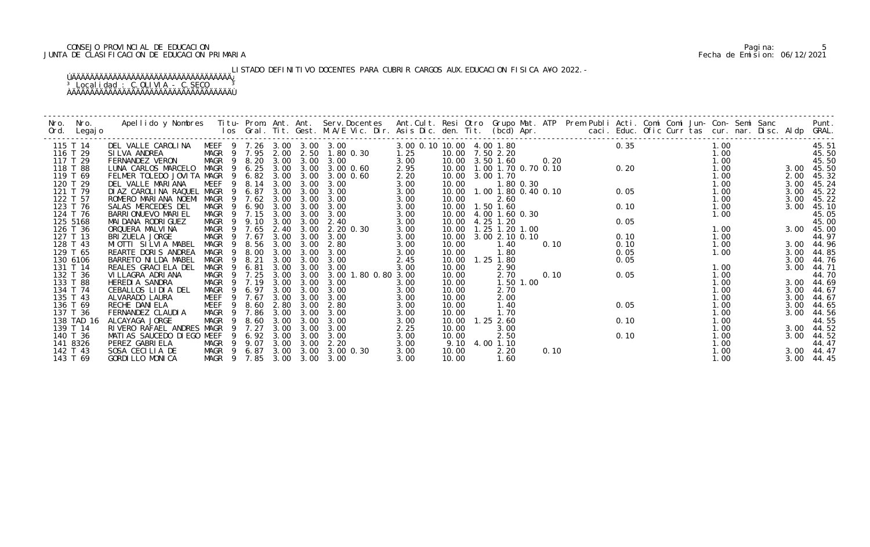# CONSEJO PROVINCIAL DE EDUCACION Pagina: 5 JUNTA DE CLASIFICACION DE EDUCACION PRIMARIA Fecha de Emision: 06/12/2021

LISTADO DEFINITIVO DOCENTES PARA CUBRIR CARGOS AUX.EDUCACION FISICA A¥O 2022.-

| Nro. | Nro.<br>Ord. Legajo | Apellido y Nombres  Titu- Prom. Ant. Ant. Serv.Docentes  Ant.Cult. Resi Otro Grupo Mat. ATP  Prem Publi Acti. Comi Comi Jun- Con- Semi Sanc        Punt.<br>Ios Gral. Tit. Gest. M.A/E Vic. Dir. Asis Dic. den. Tit. (bcd) Apr. |                  |                |             |      |                       |                            |                           |                         |                |                                   |                                                                                                                 |      |  |                  |      |            |
|------|---------------------|---------------------------------------------------------------------------------------------------------------------------------------------------------------------------------------------------------------------------------|------------------|----------------|-------------|------|-----------------------|----------------------------|---------------------------|-------------------------|----------------|-----------------------------------|-----------------------------------------------------------------------------------------------------------------|------|--|------------------|------|------------|
|      | 115 T 14            | DEL VALLE CAROLINA                                                                                                                                                                                                              |                  |                |             |      |                       | MEEF 9 7.26 3.00 3.00 3.00 | 3.00 0.10 10.00 4.00 1.80 |                         |                |                                   | $0.35$<br>$0$<br>$0.20$<br>$0.70$ 0.70 0.10<br>$0.20$<br>$1.80$ 0.30<br>$1.80$ 0.30<br>$1.80$ 0.40 0.10<br>0.05 |      |  | 1.00             |      | 45.51      |
|      | 116 T 29            | SI LVA ANDREA                                                                                                                                                                                                                   | MAGR 9 7.95 2.00 |                |             |      |                       | 2.50 1.80 0.30             | 1.25                      | 10.00 7.50 2.20         |                |                                   |                                                                                                                 |      |  | $1.00$<br>$1.00$ |      | 45.50      |
|      | 117 T 29            | FERNANDEZ VERON                                                                                                                                                                                                                 | MAGR 9 8.20 3.00 |                |             |      |                       | $3.00 \quad 3.00$          | 3.00                      | 10.00 3.50 1.60         |                |                                   |                                                                                                                 |      |  |                  |      | 45.50      |
|      | 118 T 88            | LUNA CARLOS MARCELO                                                                                                                                                                                                             | MAGR 9 6.25 3.00 |                |             |      |                       | 3.00 3.00 0.60             | 2.95                      |                         |                | 10.00   1.00   1.70   0.70   0.10 |                                                                                                                 |      |  | 1.00             |      | 3.00 45.50 |
|      | 119 T 69            | FELMER TOLEDO JOVITA MAGR 9 6.82 3.00                                                                                                                                                                                           |                  |                |             |      | 3.00                  | $3.00 \, 0.60$             | 2.20                      | 10.00 3.00 1.70         |                |                                   |                                                                                                                 |      |  | 1.00             |      | 2.00 45.32 |
|      | 120 T 29            | DEL VALLE MARIANA                                                                                                                                                                                                               | MEEF 9 8.14      |                |             | 3.00 | 3.00                  | 3.00                       | 3.00                      | 10.00                   |                |                                   |                                                                                                                 |      |  | 1.00             |      | 3.00 45.24 |
|      | 121 T 79            | DIAZ CAROLINA RAQUEL MAGR 9 6.87                                                                                                                                                                                                |                  |                |             | 3.00 | 3.00                  | 3.00                       | 3.00                      |                         |                | 10.00  1.00  1.80  0.40  0.10     |                                                                                                                 |      |  | 1.00             | 3.00 | 45.22      |
|      | 122 T 57            | ROMERO MARIANA NOEMI MAGR 9 7.62 3.00                                                                                                                                                                                           |                  |                |             |      | 3.00                  | 3.00                       | 3.00                      | 10.00                   | 2.60           |                                   |                                                                                                                 |      |  | 1.00             | 3.00 | 45.22      |
|      | 123 T 76            | SALAS MERCEDES DEL                                                                                                                                                                                                              | MAGR             | - 9            | 6.90        | 3.00 | 3.00                  | 3.00                       | 3.00                      | 10.00  1.50  1.60       |                |                                   |                                                                                                                 | 0.10 |  | 1.00             | 3.00 | 45.10      |
|      | 124 T 76            | BARRI ONUEVO MARI EL                                                                                                                                                                                                            | MAGR 9 7.15      |                |             | 3.00 | 3.00                  | 3.00                       | 3.00                      | 10.00                   | 4.00 1.60 0.30 |                                   |                                                                                                                 |      |  | 1.00             |      | 45.05      |
|      | 125 5168            | MAI DANA RODRI GUEZ                                                                                                                                                                                                             | MAGR 9 9.10      |                |             | 3.00 | 3.00                  | 2.40                       | 3.00                      | 10.00 4.25 1.20         |                |                                   |                                                                                                                 | 0.05 |  |                  |      | 45.00      |
|      | 126 T 36            | ORQUERA MALVINA                                                                                                                                                                                                                 | MAGR 9 7.65      |                |             | 2.40 | 3.00                  | 2.20 0.30                  | 3.00                      | 10.00  1.25  1.20  1.00 |                |                                   |                                                                                                                 |      |  | 1.00             |      | 3.00 45.00 |
|      | 127 T 13            | BRI ZUELA JORGE                                                                                                                                                                                                                 | MAGR 9 7.67      |                |             | 3.00 | 3.00                  | 3.00                       | 3.00                      | 10.00                   | 3.00 2.10 0.10 |                                   |                                                                                                                 | 0.10 |  | 1.00             |      | 44.97      |
|      | 128 T 43            | MIOTTI SILVIA MABEL                                                                                                                                                                                                             | MAGR 9           |                | 8.56        | 3.00 | 3.00                  | 2.80                       | 3.00                      | 10.00                   | 1.40           | 0.10                              |                                                                                                                 | 0.10 |  | 1.00             |      | 3.00 44.96 |
|      | 129 T 65            | REARTE DORIS ANDREA                                                                                                                                                                                                             | MAGR             |                | 9 8.00      | 3.00 | 3.00                  | 3.00                       | 3.00                      | 10.00                   | 1.80           |                                   |                                                                                                                 | 0.05 |  | 1.00             |      | 3.00 44.85 |
|      | 130 6106            | BARRETO NI LDA MABEL                                                                                                                                                                                                            | MAGR             | - 9            | 8.21        | 3.00 | 3.00                  | 3.00                       | 2.45                      | 10.00                   | $1.25$ 1.80    |                                   |                                                                                                                 | 0.05 |  |                  | 3.00 | 44.76      |
|      | 131 T 14            | REALES GRACIELA DEL                                                                                                                                                                                                             | MAGR             | $\overline{9}$ | 6.81        | 3.00 | 3.00                  | 3.00                       | 3.00                      | 10.00                   | 2.90           |                                   |                                                                                                                 |      |  | 1.00             | 3.00 | 44.71      |
|      | 132 T 36            | VI LLAGRA ADRI ANA                                                                                                                                                                                                              | MAGR 9 7.25      |                |             | 3.00 | 3.00                  | 3.00 1.80 0.80 3.00        |                           | 10.00                   | 2.70           | 0.10                              |                                                                                                                 | 0.05 |  | 1.00             |      | 44.70      |
|      | 133 T 88            | HEREDIA SANDRA                                                                                                                                                                                                                  | MAGR 9 7.19      |                |             | 3.00 | 3.00                  | 3.00                       | 3.00                      | 10.00                   | 1.50 1.00      |                                   |                                                                                                                 |      |  | 1.00             |      | 3.00 44.69 |
|      | 134 T 74            | CEBALLOS LIDIA DEL                                                                                                                                                                                                              | MAGR 9 6.97      |                |             | 3.00 | 3.00                  | 3.00                       | 3.00                      | 10.00                   | 2.70           |                                   |                                                                                                                 |      |  | 1.00             | 3.00 | 44.67      |
|      | 135 T 43            | ALVARADO LAURA                                                                                                                                                                                                                  | MEEF             |                | 9 7.67      | 3.00 | 3.00                  | 3.00                       | 3.00                      | 10.00                   | 2.00           |                                   |                                                                                                                 |      |  | 1.00             | 3.00 | 44.67      |
|      | 136 T 69            | RECHE DANI ELA                                                                                                                                                                                                                  | MEEF             | - 9            | 8.60        | 2.80 | 3.00                  | 2.80                       | 3.00                      | 10.00                   | 1.40           |                                   |                                                                                                                 | 0.05 |  | 1.00             |      | 3.00 44.65 |
|      | 137 T 36            | FERNANDEZ CLAUDIA                                                                                                                                                                                                               | MAGR 9 7.86      |                |             | 3.00 | 3.00                  | 3.00                       | 3.00                      | 10.00                   | 1.70           |                                   |                                                                                                                 |      |  | 1.00             |      | 3.00 44.56 |
|      | 138 TAD 16          | ALCAYAGA JORGE                                                                                                                                                                                                                  | MAGR             |                | 9 8.60      | 3.00 | 3.00                  | 3.00                       | 3.00                      | 10.00                   | $1.25$ 2.60    |                                   |                                                                                                                 | 0.10 |  | 1.00             |      | 44.55      |
|      | 139 T 14            | RIVERO RAFAEL ANDRES MAGR                                                                                                                                                                                                       |                  |                | 9 7.27      | 3.00 | 3.00                  | 3.00                       | 2.25                      | 10.00                   | 3.00           |                                   |                                                                                                                 |      |  | 1.00             |      | 3.00 44.52 |
|      | 140 T 36            | MATIAS SAUCEDO DIEGO MEEF                                                                                                                                                                                                       |                  |                | 9 6.92 3.00 |      | 3.00                  | 3.00                       | 3.00                      | 10.00                   | 2.50           |                                   |                                                                                                                 | 0.10 |  | 1.00             |      | 3.00 44.52 |
|      | 141 8326            | PEREZ GABRIELA                                                                                                                                                                                                                  | MAGR 9 9.07      |                |             | 3.00 | 3.00                  | 2.20                       | 3.00                      | 9.10                    | 4.00 1.10      |                                   |                                                                                                                 |      |  | 1.00             |      | 44.47      |
|      | 142 T 43            | SOSA CECILIA DE                                                                                                                                                                                                                 |                  |                |             |      | MAGR 9 6.87 3.00 3.00 | 3.00 0.30                  | 3.00                      | 10.00                   | 2.20           | 0.10                              |                                                                                                                 |      |  | 1.00             |      | 3.00 44.47 |
|      | 143 T 69            | GORDILLO MONICA                                                                                                                                                                                                                 |                  |                |             |      |                       | MAGR 9 7.85 3.00 3.00 3.00 | 3.00                      | 10.00                   | 1.60           |                                   |                                                                                                                 |      |  | 1.00             |      | 3.00 44.45 |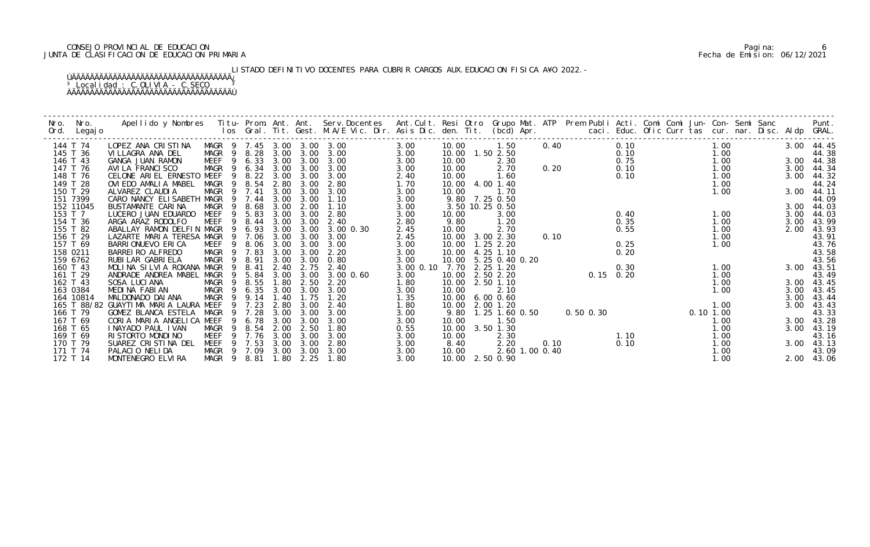# CONSEJO PROVINCIAL DE EDUCACION Pagina: 6 JUNTA DE CLASIFICACION DE EDUCACION PRIMARIA Fecha de Emision: 06/12/2021

LISTADO DEFINITIVO DOCENTES PARA CUBRIR CARGOS AUX. EDUCACION FISICA A¥O 2022.-

| Nro. | Nro.<br>Ord. Legajo  | Apellido y Nombres  Titu- Prom. Ant. Ant. Serv.Docentes  Ant.Cult. Resi Otro  Grupo Mat. ATP  Prem Publi Acti. Comi Comi Jun- Con- Semi Sanc                Punt.<br>Ios Gral. Tit. Gest. M.A/E Vic. Dir. Asis Dic. den. Tit. (bc |                                 |        |      |              |              |              |       |                                      |                |      |                       |             |                                                                                      |              |            |                |
|------|----------------------|-----------------------------------------------------------------------------------------------------------------------------------------------------------------------------------------------------------------------------------|---------------------------------|--------|------|--------------|--------------|--------------|-------|--------------------------------------|----------------|------|-----------------------|-------------|--------------------------------------------------------------------------------------|--------------|------------|----------------|
|      | 144 T 74             | LOPEZ ANA CRISTINA                                                                                                                                                                                                                | MAGR 9 7.45 3.00 3.00 3.00      |        |      |              |              | 3.00         | 10.00 | 1.50                                 |                |      | 0.40                  | 0.10        |                                                                                      | 1.00         | 3.00 44.45 |                |
|      | 145 T 36             | VILLAGRA ANA DEL                                                                                                                                                                                                                  | MAGR 9 8.28 3.00 3.00 3.00      |        |      |              |              | 3.00         |       | 10.00  1.50  2.50                    |                |      |                       |             |                                                                                      |              |            | 44.38          |
|      | 146 T 43             | GANGA JUAN RAMON                                                                                                                                                                                                                  | MEEF 9 6.33 3.00                |        |      | 3.00         | 3.00         | 3.00         | 10.00 | 2.30                                 |                |      |                       |             | 0.10<br>0.75<br>0.10<br>0.10<br>0.10<br>1.00<br>1.00<br>1.00<br>1.00<br>1.00<br>1.00 |              |            | 3.00 44.38     |
|      | 147 T 76             | AVI LA FRANCI SCO                                                                                                                                                                                                                 | MAGR                            | 9 6.34 | 3.00 | 3.00         | 3.00         | 3.00         | 10.00 | 2.70                                 |                | 0.20 |                       |             |                                                                                      |              | 3.00       | 44.34          |
|      | 148 T 76             | CELONE ARIEL ERNESTO MEEF                                                                                                                                                                                                         |                                 | 9 8.22 | 3.00 | 3.00         | 3.00         | 2.40         | 10.00 | 1.60                                 |                |      |                       |             |                                                                                      |              | 3.00       | 44.32          |
|      | 149 T 28             | OVIEDO AMALIA MABEL                                                                                                                                                                                                               | MAGR 9 8.54                     |        | 2.80 | 3.00         | 2.80         | 1.70         |       | 10.00 4.00 1.40                      |                |      |                       |             |                                                                                      | 1.00         |            | 44.24          |
|      | 150 T 29             | ALVAREZ CLAUDIA                                                                                                                                                                                                                   | MAGR 9 7.41                     |        | 3.00 | 3.00         | 3.00         | 3.00         | 10.00 | 1.70                                 |                |      |                       |             |                                                                                      | 1.00         |            | 3.00 44.11     |
|      | 151 7399             | CARO NANCY ELISABETH MAGR 9 7.44                                                                                                                                                                                                  |                                 |        | 3.00 | 3.00         | 1.10         | 3.00         |       | 9.80 7.25 0.50                       |                |      |                       |             |                                                                                      |              |            | 44.09          |
|      | 152 11045            | BUSTAMANTE CARINA                                                                                                                                                                                                                 | MAGR<br>9                       | 8.68   | 3.00 | 2.00         | 1.10         | 3.00         |       | 3.50 10.25 0.50                      |                |      |                       |             |                                                                                      |              |            | 3.00 44.03     |
|      | 153 T 7              | LUCERO JUAN EDUARDO                                                                                                                                                                                                               | MEEF<br>$\overline{9}$          | 5.83   | 3.00 | 3.00         | 2.80         | 3.00         | 10.00 | 3.00                                 |                |      |                       | 0.40        |                                                                                      | 1.00         | 3.00       | 44.03          |
|      | 154 T 36             | ARGA ARAZ RODOLFO                                                                                                                                                                                                                 | MEEF 9 8.44                     |        | 3.00 | 3.00         | 2.40         | 2.80         | 9.80  | 1.20                                 |                |      |                       | 0.35        |                                                                                      | 1.00         |            | 3.00 43.99     |
|      | 155 T 82             | ABALLAY RAMON DELFIN MAGR 9 6.93                                                                                                                                                                                                  |                                 |        | 3.00 | 3.00         | 3.00 0.30    | 2.45         | 10.00 | 2.70                                 |                |      |                       | 0.55        |                                                                                      | 1.00         | 2.00       | 43.93          |
|      | 156 T 29<br>157 T 69 | LAZARTE MARIA TERESA MAGR 9 7.06<br>BARRIONUEVO ERICA                                                                                                                                                                             |                                 |        | 3.00 | 3.00<br>3.00 | 3.00<br>3.00 | 2.45         |       | 10.00 3.00 2.30                      | 0.10           |      |                       | 0.25        |                                                                                      | 1.00<br>1.00 |            | 43.91          |
|      | 158 0211             | BARREI RO ALFREDO                                                                                                                                                                                                                 | MEEF 9 8.06 3.00<br>MAGR 9 7.83 |        | 3.00 | 3.00         | 2.20         | 3.00<br>3.00 |       | 10.00  1.25  2.20<br>10.00 4.25 1.10 |                |      |                       | 0.20        |                                                                                      |              |            | 43.76<br>43.58 |
|      | 159 6762             | RUBI LAR GABRI ELA                                                                                                                                                                                                                | MAGR<br>$\overline{9}$          | 8.91   | 3.00 | 3.00         | 0.80         | 3.00         |       | 10.00 5.25 0.40 0.20                 |                |      |                       |             |                                                                                      |              |            | 43.56          |
|      | 160 T 43             | MOLINA SILVIA ROXANA MAGR                                                                                                                                                                                                         | - 9                             | 8.41   | 2.40 | 2.75         | 2.40         | 3.00 0.10    | 7.70  | $2.25$ 1.20                          |                |      |                       | 0.30        |                                                                                      | 1.00         | 3.00 43.51 |                |
|      | 161 T 29             | ANDRADE ANDREA MABEL MAGR                                                                                                                                                                                                         |                                 | 9 5.84 | 3.00 | 3.00         | 3.00 0.60    | 3.00         | 10.00 | 2.50 2.20                            |                |      |                       | $0.15$ 0.20 |                                                                                      | 1.00         |            | 43.49          |
|      | 162 T 43             | SOSA LUCIANA                                                                                                                                                                                                                      | MAGR 9 8.55                     |        | 1.80 | 2.50         | 2.20         | 1.80         |       | 10.00 2.50 1.10                      |                |      |                       |             |                                                                                      | 1.00         |            | 3.00 43.45     |
|      | 163 0384             | MEDINA FABIAN                                                                                                                                                                                                                     | MAGR 9 6.35                     |        | 3.00 | 3.00         | 3.00         | 3.00         | 10.00 | 2.10                                 |                |      |                       |             |                                                                                      | 1.00         |            | 3.00 43.45     |
|      | 164 10814            | MALDONADO DAI ANA                                                                                                                                                                                                                 | MAGR 9                          | 9.14   | 1.40 | 1.75         | 1.20         | 1.35         | 10.00 | $6.00 \, 0.60$                       |                |      |                       |             |                                                                                      |              | 3.00       | 43.44          |
|      |                      | 165 T 88/82 GUAYTIMA MARIA LAURA MEEF 9 7.23                                                                                                                                                                                      |                                 |        | 2.80 | 3.00         | 2.40         | 1.80         |       | 10.00 2.00 1.20                      |                |      |                       |             |                                                                                      | 1.00         | 3.00       | 43.43          |
|      | 166 T 79             | GOMEZ BLANCA ESTELA MAGR                                                                                                                                                                                                          |                                 | 9 7.28 | 3.00 | 3.00         | 3.00         | 3.00         |       | 9.80 1.25 1.60 0.50                  |                |      |                       |             |                                                                                      |              |            | 43.33          |
|      | 167 T 69             | CORIA MARIA ANGELICA MEEF                                                                                                                                                                                                         |                                 | 9 6.78 | 3.00 | 3.00         | 3.00         | 3.00         | 10.00 | 1.50                                 |                |      |                       |             | 0. 50 0. 30<br>0. 10 1. 00<br>1. 00<br>1. 00<br>1. 00<br>1. 00<br>1. 00              |              | 3.00       | 43.28          |
|      | 168 T 65             | I NAYADO PAUL I VAN                                                                                                                                                                                                               | $\overline{9}$<br>MAGR          | 8.54   | 2.00 | 2.50         | 1.80         | 0.55         |       | 10.00 3.50 1.30                      |                |      |                       |             |                                                                                      |              | 3.00       | 43.19          |
|      | 169 T 69             | RI STORTO MONDI NO                                                                                                                                                                                                                | MEEF                            | 9 7.76 | 3.00 | 3.00         | 3.00         | 3.00         | 10.00 | 2.30                                 |                |      |                       |             |                                                                                      |              |            | 43.16          |
|      | 170 T 79             | SUAREZ CRISTINA DEL                                                                                                                                                                                                               | MEEF 9 7.53                     |        | 3.00 | 3.00         | 2.80         | 3.00         | 8.40  | 2.20                                 |                |      |                       |             |                                                                                      | 1.00         |            | 3.00 43.13     |
|      | 171 T 74             | PALACIO NELIDA                                                                                                                                                                                                                    | MAGR 9 7.09                     |        | 3.00 | 3.00         | 3.00         | 3.00         | 10.00 |                                      | 2.60 1.00 0.40 |      | $0.10$ $0.10$<br>0.10 |             |                                                                                      | 1.00         |            | 43.09          |
|      | 172 T 14             | MONTENEGRO ELVIRA                                                                                                                                                                                                                 | MAGR 9 8.81 1.80 2.25           |        |      |              | 1.80         | 3.00         |       | 10.00 2.50 0.90                      |                |      |                       |             |                                                                                      | 1.00         |            | 2.00 43.06     |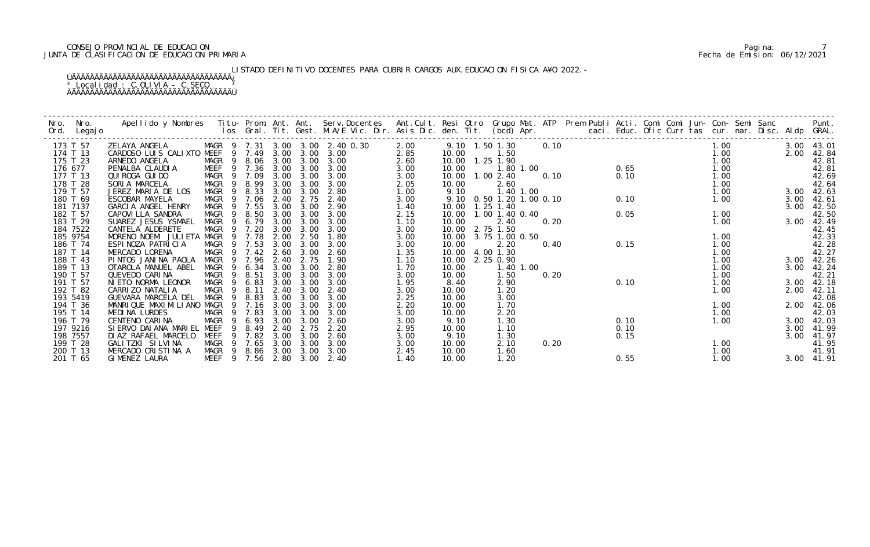# CONSEJO PROVINCIAL DE EDUCACION Pagina: 7 JUNTA DE CLASIFICACION DE EDUCACION PRIMARIA Fecha de Emision: 06/12/2021

LISTADO DEFINITIVO DOCENTES PARA CUBRIR CARGOS AUX.EDUCACION FISICA A¥O 2022.-

| Nro. | Nro.<br>Ord. Legajo | Apellido y Nombres  Titu- Prom. Ant. Ant. Serv.Docentes  Ant.Cult. Resi Otro Grupo Mat. ATP  Prem Publi Acti. Comi Comi Jun- Con- Semi Sanc        Punt.<br>Ios Gral. Tit. Gest. M.A/E Vic. Dir. Asis Dic. den. Tit. (bcd) Apr. |                  |                |        |      |      |                                 |      |       |                          |           |      |  |      |                                |  |      |      |            |
|------|---------------------|---------------------------------------------------------------------------------------------------------------------------------------------------------------------------------------------------------------------------------|------------------|----------------|--------|------|------|---------------------------------|------|-------|--------------------------|-----------|------|--|------|--------------------------------|--|------|------|------------|
|      | 173 T 57            | ZELAYA ANGELA                                                                                                                                                                                                                   |                  |                |        |      |      | MAGR 9 7.31 3.00 3.00 2.40 0.30 | 2.00 |       | 9.10 1.50 1.30           |           | 0.10 |  |      |                                |  | 1.00 |      | 3.00 43.01 |
|      | 174 T 13            | CARDOSO LUIS CALIXTO MEEF                                                                                                                                                                                                       |                  |                | 9 7.49 | 3.00 | 3.00 | 3.00                            | 2.85 | 10.00 | 1.50                     |           |      |  |      |                                |  | 1.00 | 2.00 | 42.84      |
|      | 175 T 23            | ARNEDO ANGELA                                                                                                                                                                                                                   | MAGR             | - 9            | 8.06   | 3.00 | 3.00 | 3.00                            | 2.60 |       | 10.00  1.25  1.90        |           |      |  |      |                                |  | 1.00 |      | 42.81      |
|      | 176 677             | PENALBA CLAUDIA                                                                                                                                                                                                                 | MEEF 9 7.36      |                |        | 3.00 | 3.00 | 3.00                            | 3.00 | 10.00 | 1.80 1.00                |           |      |  |      | $1.00$<br>0.10<br>0.10<br>0.10 |  | 1.00 |      | 42.81      |
|      | 177 T 13            | QUI ROGA GUI DO                                                                                                                                                                                                                 | MAGR             | - 9            | 7.09   | 3.00 | 3.00 | 3.00                            | 3.00 | 10.00 | 1.002.40                 |           |      |  |      |                                |  | 1.00 |      | 42.69      |
|      | 178 T 28            | SORIA MARCELA                                                                                                                                                                                                                   | MAGR             |                | 8.99   | 3.00 | 3.00 | 3.00                            | 2.05 | 10.00 | 2.60                     |           |      |  |      |                                |  | 1.00 |      | 42.64      |
|      | 179 T 57            | JEREZ MARIA DE LOS                                                                                                                                                                                                              | MAGR             | - 9            | 8.33   | 3.00 | 3.00 | 2.80                            | 1.00 | 9.10  | 1.40 1.00                |           |      |  |      |                                |  | 1.00 |      | 3.00 42.63 |
|      | 180 T 69            | ESCOBAR MAYELA                                                                                                                                                                                                                  | MAGR 9           |                | 7.06   | 2.40 | 2.75 | 2.40                            | 3.00 |       | 9.10 0.50 1.20 1.00 0.10 |           |      |  | 0.10 |                                |  | 1.00 | 3.00 | 42.61      |
|      | 181 7137            | GARCIA ANGEL HENRY                                                                                                                                                                                                              | MAGR             | -9             | 7.55   | 3.00 | 3.00 | 2.90                            | 1.40 |       | 10.00  1.25  1.40        |           |      |  |      |                                |  |      | 3.00 | 42.50      |
|      | 182 T 57            | CAPOVI LLA SANDRA                                                                                                                                                                                                               | MAGR             | - 9            | 8.50   | 3.00 | 3.00 | 3.00                            | 2.15 | 10.00 | 1.00 1.40 0.40           |           |      |  | 0.05 |                                |  | 1.00 |      | 42.50      |
|      | 183 T 29            | SUAREZ JESUS YSMAEL                                                                                                                                                                                                             | MAGR             | - 9            | 6.79   | 3.00 | 3.00 | 3.00                            | 1.10 | 10.00 | 2.40                     |           | 0.20 |  |      |                                |  | 1.00 | 3.00 | 42.49      |
|      | 184 7522            | CANTELA ALDERETE                                                                                                                                                                                                                | MAGR             |                | 9 7.20 | 3.00 | 3.00 | 3.00                            | 3.00 |       | 10.00 2.75 1.50          |           |      |  |      |                                |  |      |      | 42.45      |
|      | 185 9754            | MORENO NOEMI JULIETA MAGR                                                                                                                                                                                                       |                  | $\overline{9}$ | 7.78   | 2.00 | 2.50 | 1.80                            | 3.00 | 10.00 | 3.75 1.00 0.50           |           |      |  |      |                                |  | 1.00 |      | 42.33      |
|      | 186 T 74            | ESPINOZA PATRICIA                                                                                                                                                                                                               | MAGR 9 7.53      |                |        | 3.00 | 3.00 | 3.00                            | 3.00 | 10.00 | 2.20                     |           | 0.40 |  | 0.15 |                                |  | 1.00 |      | 42.28      |
|      | 187 T 14            | MERCADO LORENA                                                                                                                                                                                                                  | MAGR             |                | 9 7.42 | 2.60 | 3.00 | 2.60                            | 1.35 | 10.00 | 4.00 1.30                |           |      |  |      |                                |  | 1.00 |      | 42.27      |
|      | 188 T 43            | PINTOS JANINA PAOLA                                                                                                                                                                                                             | MAGR 9 7.96      |                |        | 2.40 | 2.75 | 1.90                            | 1.10 | 10.00 | 2.25 0.90                |           |      |  |      |                                |  | 1.00 |      | 3.00 42.26 |
|      | 189 T 13            | OTAROLA MANUEL ABEL                                                                                                                                                                                                             | <b>MAGR</b>      | 9              | 6.34   | 3.00 | 3.00 | 2.80                            | 1.70 | 10.00 |                          | 1.40 1.00 |      |  |      |                                |  | 1.00 | 3.00 | 42.24      |
|      | 190 T 57            | QUEVEDO CARINA                                                                                                                                                                                                                  | <b>MAGR</b>      | - 9            | 8.51   | 3.00 | 3.00 | 3.00                            | 3.00 | 10.00 | 1.50                     |           | 0.20 |  |      |                                |  | 1.00 |      | 42.21      |
|      | 191 T 57            | NIETO NORMA LEONOR                                                                                                                                                                                                              | MAGR             | - 9            | 6.83   | 3.00 | 3.00 | 3.00                            | 1.95 | 8.40  | 2.90                     |           |      |  | 0.10 |                                |  | 1.00 |      | 3.00 42.18 |
|      | 192 T 82            | CARRIZO NATALIA                                                                                                                                                                                                                 | MAGR             | - 9            | 8.11   | 2.40 | 3.00 | 2.40                            | 3.00 | 10.00 | 1.20                     |           |      |  |      |                                |  | 1.00 |      | 2.00 42.11 |
|      | 193 5419            | GUEVARA MARCELA DEL                                                                                                                                                                                                             | MAGR             | - 9            | 8.83   | 3.00 | 3.00 | 3.00                            | 2.25 | 10.00 | 3.00                     |           |      |  |      |                                |  |      |      | 42.08      |
|      | 194 T 36            | MANRIQUE MAXIMILIANO MAGR                                                                                                                                                                                                       |                  |                | 7.16   | 3.00 | 3.00 | 3.00                            | 2.20 | 10.00 | 1.70                     |           |      |  |      |                                |  | 1.00 |      | 2.00 42.06 |
|      | 195 T 14            | MEDINA LURDES                                                                                                                                                                                                                   | MAGR             |                | 9 7.83 | 3.00 | 3.00 | 3.00                            | 3.00 | 10.00 | 2.20                     |           |      |  |      |                                |  | 1.00 |      | 42.03      |
|      | 196 T 79            | CENTENO CARINA                                                                                                                                                                                                                  | MAGR             | - 9            | 6.93   | 3.00 | 3.00 | 2.60                            | 3.00 | 9.10  | 1.30                     |           |      |  | 0.10 |                                |  | 1.00 |      | 3.00 42.03 |
|      | 197 9216            | SI ERVO DAI ANA MARI EL                                                                                                                                                                                                         | MEEF             | -9             | 8.49   | 2.40 | 2.75 | 2.20                            | 2.95 | 10.00 | 1.10                     |           |      |  | 0.10 |                                |  |      | 3.00 | 41.99      |
|      | 198 7557            | DIAZ RAFAEL MARCELO                                                                                                                                                                                                             | MEEF             |                | 7.82   | 3.00 | 3.00 | 2.60                            | 3.00 | 9.10  | 1.30                     |           |      |  | 0.15 |                                |  |      | 3.00 | 41.97      |
|      | 199 T 28            | GALITZKI SILVINA                                                                                                                                                                                                                | MAGR             |                | 9 7.65 | 3.00 | 3.00 | 3.00                            | 3.00 | 10.00 | 2.10                     |           | 0.20 |  |      |                                |  | 1.00 |      | 41.95      |
|      | 200 T 13            | MERCADO CRISTINA A                                                                                                                                                                                                              | MAGR 9 8.86      |                |        | 3.00 | 3.00 | 3.00                            | 2.45 | 10.00 | 1.60                     |           |      |  |      |                                |  | 1.00 |      | 41.91      |
|      | 201 T 65            | GIMENEZ LAURA                                                                                                                                                                                                                   | MEEF 9 7.56 2.80 |                |        |      | 3.00 | 2.40                            | 1.40 | 10.00 | 1.20                     |           |      |  | 0.55 |                                |  | 1.00 |      | 3.00 41.91 |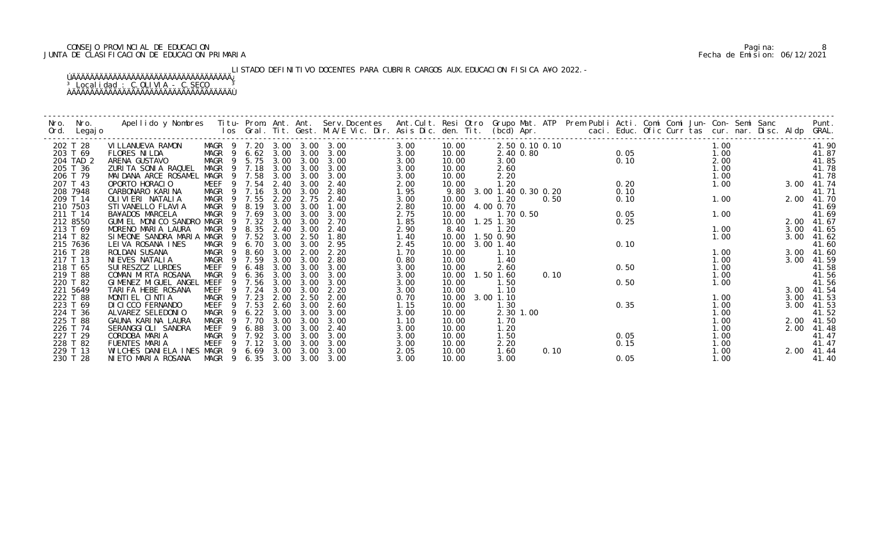# CONSEJO PROVINCIAL DE EDUCACION Pagina: 8 JUNTA DE CLASIFICACION DE EDUCACION PRIMARIA Fecha de Emision: 06/12/2021

LISTADO DEFINITIVO DOCENTES PARA CUBRIR CARGOS AUX. EDUCACION FISICA A¥O 2022.-

| Nro.<br>Ord. | Nro.<br>Legaj o | Apellido y Nombres  Titu- Prom. Ant. Ant. Serv.Docentes  Ant.Cult. Resi Otro  Grupo Mat. ATP  Prem Publi Acti. Comi Comi Jun- Con- Semi Sanc              Punt.<br>Ios Gral. Tit. Gest. M.A/E Vic. Dir. Asis Dic. den. Tit. (bcd) |                   |                |                   |      |      |                            |      |       |                     |                |      |      |      |      |                     |                |
|--------------|-----------------|-----------------------------------------------------------------------------------------------------------------------------------------------------------------------------------------------------------------------------------|-------------------|----------------|-------------------|------|------|----------------------------|------|-------|---------------------|----------------|------|------|------|------|---------------------|----------------|
|              | 202 T 28        | VI LLANUEVA RAMON                                                                                                                                                                                                                 |                   |                |                   |      |      | MAGR 9 7.20 3.00 3.00 3.00 | 3.00 | 10.00 |                     | 2.50 0.10 0.10 |      |      |      | 1.00 |                     | 41.90          |
|              | 203 T 69        | <b>FLORES NI LDA</b>                                                                                                                                                                                                              |                   |                | MAGR 9 6.62 3.00  |      |      | $3.00 \quad 3.00$          | 3.00 | 10.00 |                     | 2.40 0.80      |      |      | 0.05 | 1.00 |                     | 41.87          |
|              | 204 TAD 2       | ARENA GUSTAVO                                                                                                                                                                                                                     | MAGR              |                | 9 5.75 3.00       |      | 3.00 | 3.00                       | 3.00 | 10.00 | 3.00                |                |      | 0.10 |      | 2.00 |                     | 41.85          |
|              | 205 T 36        | ZURITA SONIA RAQUEL                                                                                                                                                                                                               |                   |                | MAGR 9 7.18       | 3.00 | 3.00 | 3.00                       | 3.00 | 10.00 | 2.60                |                |      |      |      | 1.00 |                     | 41.78<br>41.78 |
|              | 206 T 79        | MAI DANA ARCE ROSAMEL MAGR                                                                                                                                                                                                        |                   |                | 9 7.58            | 3.00 | 3.00 | 3.00                       | 3.00 | 10.00 | 2.20                |                |      |      |      | 1.00 |                     |                |
|              | 207 T 43        | OPORTO HORACIO                                                                                                                                                                                                                    |                   |                | MEEF 9 7.54       | 2.40 | 3.00 | 2.40                       | 2.00 | 10.00 | 1.20                |                |      | 0.20 |      | 1.00 | 3.00 41.74          |                |
|              | 208 7948        | CARBONARO KARINA                                                                                                                                                                                                                  |                   |                | MAGR 9 7.16       | 3.00 | 3.00 | 2.80                       | 1.95 | 9.80  | 3.00 1.40 0.30 0.20 |                |      | 0.10 |      |      |                     | 41.71          |
|              | 209 T 14        | OLI VI ERI NATALI A                                                                                                                                                                                                               | MAGR <sub>9</sub> |                | 7.55              | 2.20 | 2.75 | 2.40                       | 3.00 | 10.00 | 1.20                |                | 0.50 | 0.10 |      | 1.00 | 2.00 41.70<br>41.69 |                |
|              | 210 7503        | STI VANELLO FLAVI A                                                                                                                                                                                                               | MAGR              | - 9            | 8.19              | 3.00 | 3.00 | 1.00                       | 2.80 | 10.00 | 4.00 0.70           |                |      |      |      |      |                     |                |
|              | 211 T 14        | BA¥ADOS MARCELA                                                                                                                                                                                                                   | MAGR              | - 9            | 7.69              | 3.00 | 3.00 | 3.00                       | 2.75 | 10.00 |                     | 1.70 0.50      |      | 0.05 |      | 1.00 |                     | 41.69          |
|              | 212 8550        | GUMI EL MONICO SANDRO MAGR                                                                                                                                                                                                        |                   | - 9            | 7.32              | 3.00 | 3.00 | 2.70                       | 1.85 | 10.00 | $1.25$ 1.30         |                |      | 0.25 |      |      |                     | 2.00 41.67     |
|              | 213 T 69        | MORENO MARIA LAURA                                                                                                                                                                                                                | MAGR              | - 9            | 8.35              | 2.40 | 3.00 | 2.40                       | 2.90 | 8.40  | 1.20                |                |      |      |      | 1.00 | 3.00                | 41.65          |
|              | 214 T 82        | SIMEONE SANDRA MARIA MAGR                                                                                                                                                                                                         |                   |                | 7.52              | 3.00 | 2.50 | 1.80                       | 1.40 | 10.00 | 1.50 0.90           |                |      |      |      | 1.00 | 3.00                | 41.62          |
|              | 215 7636        | LEIVA ROSANA INES                                                                                                                                                                                                                 | MAGR 9            |                | 6.70              | 3.00 | 3.00 | 2.95                       | 2.45 | 10.00 | 3.00 1.40           |                |      | 0.10 |      |      |                     | 41.60          |
|              | 216 T 28        | ROLDAN SUSANA                                                                                                                                                                                                                     | MAGR 9            |                | 8.60              | 3.00 | 2.00 | 2.20                       | 1.70 | 10.00 | 1.10                |                |      |      |      | 1.00 |                     | 3.00 41.60     |
|              | 217 T 13        | NI EVES NATALI A                                                                                                                                                                                                                  | MAGR              | $\overline{9}$ | 7.59              | 3.00 | 3.00 | 2.80                       | 0.80 | 10.00 | 1.40                |                |      |      |      | 1.00 | 3.00                | 41.59          |
|              | 218 T 65        | SUI RESZCZ LURDES                                                                                                                                                                                                                 | MEEF              | -9             | 6.48              | 3.00 | 3.00 | 3.00                       | 3.00 | 10.00 | 2.60                |                |      | 0.50 |      | 1.00 |                     | 41.58          |
|              | 219 T 88        | COMAN MIRTA ROSANA                                                                                                                                                                                                                | MAGR              | $\overline{9}$ | 6.36              | 3.00 | 3.00 | 3.00                       | 3.00 | 10.00 | 1.50 1.60           |                | 0.10 |      |      | 1.00 |                     | 41.56          |
|              | 220 T 82        | GIMENEZ MIGUEL ANGEL                                                                                                                                                                                                              | MEEF              | - 9            | 7.56              | 3.00 | 3.00 | 3.00                       | 3.00 | 10.00 | 1.50                |                |      | 0.50 |      | 1.00 |                     | 41.56          |
|              | 221 5649        | TARIFA HEBE ROSANA                                                                                                                                                                                                                | MEEF              | - 9            | 7.24              | 3.00 | 3.00 | 2.20                       | 3.00 | 10.00 | 1.10                |                |      |      |      |      |                     | 3.00 41.54     |
|              | 222 T 88        | MONTIEL CINTIA                                                                                                                                                                                                                    | MAGR              |                | 7.23              | 2.00 | 2.50 | 2.00                       | 0.70 | 10.00 | 3.00 1.10           |                |      |      |      | 1.00 | 3.00                | 41.53          |
|              | 223 T 69        | DI CI CCO FERNANDO                                                                                                                                                                                                                | MEEF              |                | 9 7.53            | 2.60 | 3.00 | 2.60                       | 1.15 | 10.00 | 1.30                |                |      | 0.35 |      | 1.00 | 3.00                | 41.53          |
|              | 224 T 36        | ALVAREZ SELEDONIO                                                                                                                                                                                                                 | MAGR              | - 9            | $6.22 \quad 3.00$ |      | 3.00 | 3.00                       | 3.00 | 10.00 |                     | 2.30 1.00      |      |      |      | 1.00 |                     | 41.52          |
|              | 225 T 88        | GAUNA KARINA LAURA                                                                                                                                                                                                                | <b>MAGR</b>       | - 9            | 7.70              | 3.00 | 3.00 | 3.00                       | 1.10 | 10.00 | 1.70                |                |      |      |      | 1.00 | 2.00                | 41.50          |
|              | 226 T 74        | SERANGGIOLI SANDRA                                                                                                                                                                                                                | MEEF              | -9             | 6.88              | 3.00 | 3.00 | 2.40                       | 3.00 | 10.00 | 1.20                |                |      |      |      | 1.00 | 2.00                | 41.48          |
|              | 227 T 29        | CORDOBA MARIA                                                                                                                                                                                                                     | MAGR              |                | 9 7.92            | 3.00 | 3.00 | 3.00                       | 3.00 | 10.00 | 1.50                |                |      | 0.05 |      | 1.00 |                     | 41.47          |
|              | 228 T 82        | FUENTES MARIA                                                                                                                                                                                                                     | MEEF              |                | 9 7.12            | 3.00 | 3.00 | 3.00                       | 3.00 | 10.00 | 2.20                |                |      | 0.15 |      | 1.00 |                     | 41.47          |
|              | 229 T 13        | WILCHES DANIELA INES MAGR 9                                                                                                                                                                                                       |                   |                | 6.69              | 3.00 | 3.00 | 3.00                       | 2.05 | 10.00 | 1.60                |                | 0.10 |      |      | 1.00 | 2.00 41.44          |                |
|              | 230 T 28        | NIETO MARIA ROSANA                                                                                                                                                                                                                |                   |                |                   |      |      | MAGR 9 6.35 3.00 3.00 3.00 | 3.00 | 10.00 | 3.00                |                |      | 0.05 |      | 1.00 |                     | 41.40          |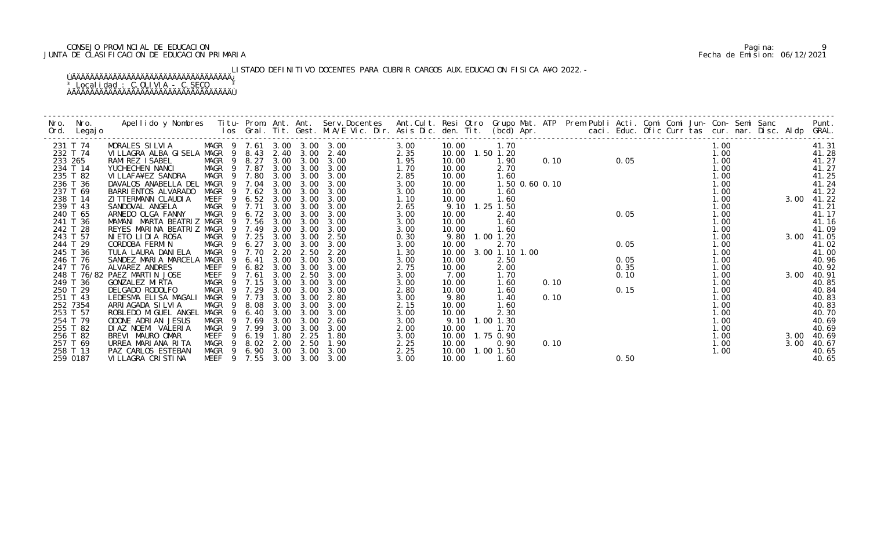# CONSEJO PROVINCIAL DE EDUCACION Pagina: 9 JUNTA DE CLASIFICACION DE EDUCACION PRIMARIA Fecha de Emision: 06/12/2021

LISTADO DEFINITIVO DOCENTES PARA CUBRIR CARGOS AUX. EDUCACION FISICA A¥O 2022.-

| Nro.<br>Ord. | Nro.<br>Legaj o | Apellido y Nombres  Titu- Prom. Ant. Ant. Serv.Docentes  Ant.Cult. Resi Otro Grupo Mat. ATP Prem Publi Acti. Comi Comi Jun- Con- Semi Sanc         Punt.<br>Ios Gral. Tit. Gest. M.A/E Vic. Dir. Asis Dic. den. Tit. (bcd) Apr. |             |                            |      |      |      |      |                   |                |                |      |               |      |  |      |            |                |
|--------------|-----------------|---------------------------------------------------------------------------------------------------------------------------------------------------------------------------------------------------------------------------------|-------------|----------------------------|------|------|------|------|-------------------|----------------|----------------|------|---------------|------|--|------|------------|----------------|
|              | 231 T 74        | MORALES SILVIA                                                                                                                                                                                                                  |             | MAGR 9 7.61 3.00 3.00 3.00 |      |      |      | 3.00 | 10.00             | 1.70           |                |      | $0.10$ $0.05$ |      |  | 1.00 |            | 41.31          |
|              | 232 T 74        | VILLAGRA ALBA GISELA MAGR                                                                                                                                                                                                       |             | 9 8.43 2.40                |      | 3.00 | 2.40 | 2.35 | 10.00  1.50  1.20 |                |                |      |               |      |  | 1.00 |            | 41.28          |
|              | 233 265         | RAMI REZ I SABEL                                                                                                                                                                                                                | MAGR        | 9 8.27                     | 3.00 | 3.00 | 3.00 | 1.95 | 10.00             | 1.90           |                |      |               |      |  | 1.00 |            | 41.27          |
|              | 234 T 14        | YUCHECHEN NANCI                                                                                                                                                                                                                 | MAGR        | 9 7.87                     | 3.00 | 3.00 | 3.00 | 1.70 | 10.00             | 2.70           |                |      |               |      |  | 1.00 |            | 41.27          |
|              | 235 T 82        | VI LLAFA¥EZ SANDRA                                                                                                                                                                                                              | MAGR        | 9 7.80                     | 3.00 | 3.00 | 3.00 | 2.85 | 10.00             | 1.60           |                |      |               |      |  | 1.00 |            | 41.25          |
|              | 236 T 36        | DAVALOS ANABELLA DEL                                                                                                                                                                                                            | MAGR        | 9 7.04                     | 3.00 | 3.00 | 3.00 | 3.00 | 10.00             |                | 1.50 0.60 0.10 |      |               |      |  | 1.00 |            | 41.24          |
|              | 237 T 69        | BARRI ENTOS ALVARADO                                                                                                                                                                                                            | MAGR        | 9 7.62                     | 3.00 | 3.00 | 3.00 | 3.00 | 10.00             | 1.60           |                |      |               |      |  | 1.00 |            | 41.22          |
|              | 238 T 14        | ZI TTERMANN CLAUDI A                                                                                                                                                                                                            | MEEF        | 6.52<br>-9                 | 3.00 | 3.00 | 3.00 | 1.10 | 10.00             | 1.60           |                |      |               |      |  | 1.00 |            | 3.00 41.22     |
|              | 239 T 43        | SANDOVAL ANGELA                                                                                                                                                                                                                 | MAGR        | 7.71<br>$\overline{9}$     | 3.00 | 3.00 | 3.00 | 2.65 | 9.10              | $1.25$ 1.50    |                |      |               |      |  | 1.00 |            | 41.21          |
|              | 240 T 65        | ARNEDO OLGA FANNY                                                                                                                                                                                                               | MAGR        | 6.72<br>- 9                | 3.00 | 3.00 | 3.00 | 3.00 | 10.00             | 2.40           |                |      |               | 0.05 |  | 1.00 |            | 41.17          |
|              | 241 T 36        | MAMANI MARTA BEATRIZ MAGR                                                                                                                                                                                                       |             | 9 7.56                     | 3.00 | 3.00 | 3.00 | 3.00 | 10.00             | 1.60           |                |      |               |      |  | 1.00 |            | 41.16          |
|              | 242 T 28        | REYES MARINA BEATRIZ MAGR                                                                                                                                                                                                       |             | 9 7.49                     | 3.00 | 3.00 | 3.00 | 3.00 | 10.00             | 1.60           |                |      |               |      |  | 1.00 |            | 41.09          |
|              | 243 T 57        | NIETO LIDIA ROSA                                                                                                                                                                                                                |             | MAGR 9 7.25                | 3.00 | 3.00 | 2.50 | 0.30 | 9.80              | $1.00$ $1.20$  |                |      |               |      |  | 1.00 | 3.00 41.05 |                |
|              | 244 T 29        | CORDOBA FERMIN                                                                                                                                                                                                                  | MAGR 9      | 6.27                       | 3.00 | 3.00 | 3.00 | 3.00 | 10.00             | 2.70           |                |      |               | 0.05 |  | 1.00 |            | 41.02          |
|              | 245 T 36        | TULA LAURA DANI ELA                                                                                                                                                                                                             | MAGR        | 9 7.70                     | 2.20 | 2.50 | 2.20 | 1.30 | 10.00             | 3.00 1.10 1.00 |                |      |               |      |  | 1.00 |            | 41.00          |
|              | 246 T 76        | SANDEZ MARIA MARCELA MAGR                                                                                                                                                                                                       |             | 6.41<br>-9                 | 3.00 | 3.00 | 3.00 | 3.00 | 10.00             | 2.50           |                |      |               | 0.05 |  | 1.00 |            | 40.96          |
|              | 247 T 76        | ALVAREZ ANDRES                                                                                                                                                                                                                  | MEEF        | 6.82<br>9                  | 3.00 | 3.00 | 3.00 | 2.75 | 10.00             | 2.00           |                |      |               | 0.35 |  | 1.00 |            | 40.92          |
|              | 248 T 76/82     | PAEZ MARTIN JOSE                                                                                                                                                                                                                | MEEF        | 7.61<br>-9                 | 3.00 | 2.50 | 3.00 | 3.00 | 7.00              | 1.70           |                |      |               | 0.10 |  | 1.00 | 3.00       | 40.91          |
|              | 249 T 36        | GONZALEZ MIRTA                                                                                                                                                                                                                  | MAGR        | 7.15<br>$\overline{9}$     | 3.00 | 3.00 | 3.00 | 3.00 | 10.00             | 1.60           |                | 0.10 |               |      |  | 1.00 |            | 40.85          |
|              | 250 T 29        | DELGADO RODOLFO                                                                                                                                                                                                                 | MAGR        | 9 7.29                     | 3.00 | 3.00 | 3.00 | 2.80 | 10.00             | 1.60           |                |      |               | 0.15 |  | 1.00 |            | 40.84<br>40.83 |
|              | 251 T 43        | LEDESMA ELISA MAGALI                                                                                                                                                                                                            | MAGR        | 7.73<br>- 9                | 3.00 | 3.00 | 2.80 | 3.00 | 9.80              | 1.40           |                | 0.10 |               |      |  | 1.00 |            |                |
|              | 252 7354        | ARRI AGADA SI LVI A                                                                                                                                                                                                             | MAGR        | 8.08                       | 3.00 | 3.00 | 3.00 | 2.15 | 10.00             | 1.60           |                |      |               |      |  | 1.00 |            | 40.83          |
|              | 253 T 57        | ROBLEDO MI GUEL ANGEL                                                                                                                                                                                                           | MAGR        | 6.40<br>- 9                | 3.00 | 3.00 | 3.00 | 3.00 | 10.00             | 2.30           |                |      |               |      |  | 1.00 |            | 40.70          |
|              | 254 T 79        | ODONE ADRIAN JESUS                                                                                                                                                                                                              | MAGR        | 7.69<br>9                  | 3.00 | 3.00 | 2.60 | 3.00 | 9.10              | $1.00$ $1.30$  |                |      |               |      |  | 1.00 |            | 40.69          |
|              | 255 T 82        | DI AZ NOEMI VALERIA                                                                                                                                                                                                             | <b>MAGR</b> | 7.99                       | 3.00 | 3.00 | 3.00 | 2.00 | 10.00             | 1.70           |                |      |               |      |  | 1.00 |            | 40.69          |
|              | 256 T 82        | BREVI MAURO OMAR                                                                                                                                                                                                                | MEEF        | 6.19<br>- 9                | 1.80 | 2.25 | 1.80 | 3.00 | 10.00             | 1.75 0.90      |                |      |               |      |  | 1.00 | 3.00       | 40.69          |
|              | 257 T 69        | URREA MARIANA RITA                                                                                                                                                                                                              |             | MAGR 9 8.02                | 2.00 | 2.50 | 1.90 | 2.25 | 10.00             | 0.90           |                | 0.10 |               |      |  | 1.00 | 3.00       | 40.67          |
|              | 258 T 13        | PAZ CARLOS ESTEBAN                                                                                                                                                                                                              | MAGR        | 9 6.90                     | 3.00 | 3.00 | 3.00 | 2.25 | 10.00             | 1.00 1.50      |                |      |               |      |  | 1.00 |            | 40.65          |
|              | 259 0187        | VI LLAGRA CRISTINA                                                                                                                                                                                                              |             | MEEF 9 7.55                | 3.00 | 3.00 | 3.00 | 3.00 | 10.00             | 1.60           |                |      |               | 0.50 |  |      |            | 40.65          |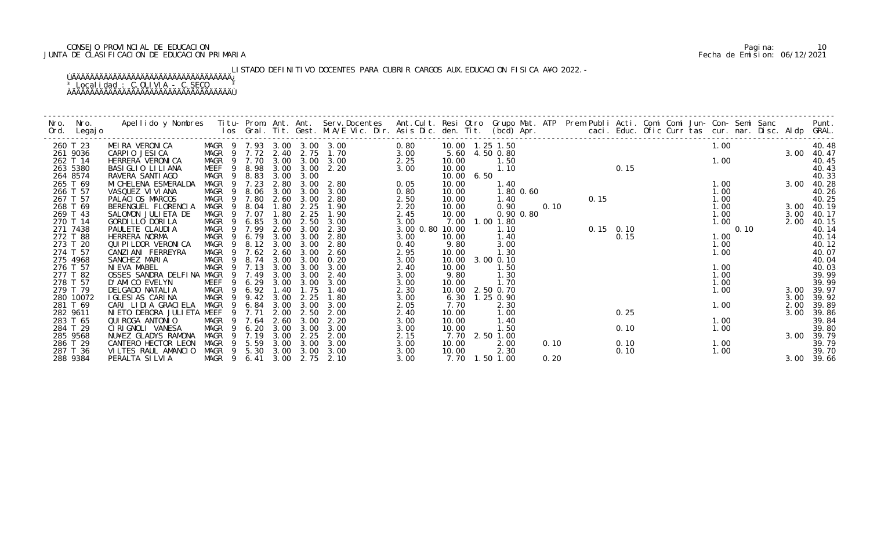# CONSEJO PROVINCIAL DE EDUCACION Pagina: 10 JUNTA DE CLASIFICACION DE EDUCACION PRIMARIA Fecha de Emision: 06/12/2021

LISTADO DEFINITIVO DOCENTES PARA CUBRIR CARGOS AUX.EDUCACION FISICA A¥O 2022.-

| Nro. | Nro.                 | Apellido y Nombres - Titu- Prom. Ant. Ant. Serv.Docentes - Ant.Cult. Resi Otro Grupo Mat. ATP Prem Publi Acti. Comi Comi Jun- Con- Semi Sanc - - - Punt.<br>Ios Gral. Tit. Gest. M.A/E Vic. Dir. Asis Dic. den. Tit. (bcd) Apr. - |                            |                               |              |              |              |              |                     |                       |      |  |      |                                                                                                 |              |      |              |                |
|------|----------------------|-----------------------------------------------------------------------------------------------------------------------------------------------------------------------------------------------------------------------------------|----------------------------|-------------------------------|--------------|--------------|--------------|--------------|---------------------|-----------------------|------|--|------|-------------------------------------------------------------------------------------------------|--------------|------|--------------|----------------|
| Ord. | Legaj o              |                                                                                                                                                                                                                                   |                            |                               |              |              |              |              |                     |                       |      |  |      |                                                                                                 |              |      |              |                |
|      | 260 T 23             | MEIRA VERONICA                                                                                                                                                                                                                    | MAGR 9 7.93 3.00 3.00 3.00 |                               |              |              |              | 0.80         | 10.00   1.25   1.50 |                       |      |  |      |                                                                                                 | 1.00         |      |              | 40.48          |
|      | 261 9036             | CARPIO JESICA                                                                                                                                                                                                                     | MAGR 9 7.72 2.40           |                               |              |              | 2.75 1.70    | 3.00         |                     | 5.60 4.50 0.80        |      |  |      |                                                                                                 |              |      | 3.00 40.47   |                |
|      | 262 T 14             | HERRERA VERONICA                                                                                                                                                                                                                  |                            | MAGR 9 7.70                   | 3.00         | 3.00         | 3.00         | 2.25         | 10.00               | 1.50                  |      |  |      |                                                                                                 | 1.00         |      |              | 40.45          |
|      | 263 5380             | BASI GLIO LI LI ANA                                                                                                                                                                                                               | MEEF                       | 8.98<br>9                     | 3.00         | 3.00         | 2.20         | 3.00         | 10.00               | 1.10                  |      |  |      |                                                                                                 |              |      |              | 40.43          |
|      | 264 8574             | RAVERA SANTI AGO                                                                                                                                                                                                                  | MAGR                       | 8.83<br>- 9                   | 3.00         | 3.00         |              |              | 10.00 6.50          |                       |      |  |      |                                                                                                 |              |      |              | 40.33          |
|      | 265 T 69             | MI CHELENA ESMERALDA                                                                                                                                                                                                              | MAGR 9                     | 7.23                          | 2.80         | 3.00         | 2.80         | 0.05         | 10.00               | 1.40                  |      |  |      |                                                                                                 | 1.00         |      | 3.00         | 40.28          |
|      | 266 T 57             | VASQUEZ VI VI ANA                                                                                                                                                                                                                 | MAGR                       | 8.06<br>- 9                   | 3.00         | 3.00         | 3.00         | 0.80         | 10.00               | 1.80 0.60             |      |  |      |                                                                                                 | 1.00         |      |              | 40.26          |
|      | 267 T 57             | PALACIOS MARCOS                                                                                                                                                                                                                   | MAGR 9 7.80<br>MAGR        | - 9                           | 2.60         | 3.00         | 2.80         | 2.50         | 10.00               | 1.40                  |      |  |      |                                                                                                 | 1.00<br>1.00 |      |              | 40.25          |
|      | 268 T 69<br>269 T 43 | BERENGUEL FLORENCIA<br>SALOMON JULIETA DE                                                                                                                                                                                         | MAGR                       | 8.04<br>7.07<br>9             | 1.80<br>1.80 | 2.25<br>2.25 | 1.90<br>1.90 | 2.20<br>2.45 | 10.00<br>10.00      | 0.90<br>$0.90$ $0.80$ |      |  |      |                                                                                                 | 1.00         |      | 3.00<br>3.00 | 40.19<br>40.17 |
|      | 270 T 14             | GORDI LLO DORI LA                                                                                                                                                                                                                 | MAGR                       | 6.85<br>$\overline{9}$        | 3.00         | 2.50         | 3.00         | 3.00         | 7.00                | 1.00 1.80             |      |  |      |                                                                                                 | 1.00         |      | 2.00         | 40.15          |
|      | 271 7438             | PAULETE CLAUDIA                                                                                                                                                                                                                   | MAGR                       | 9 7.99                        | 2.60         | 3.00         | 2.30         | 3.00 0.80    | 10.00               | 1.10                  |      |  |      | 0. 15<br>0. 10<br>0. 10<br>0. 15<br>0. 15<br>0. 10<br>0. 15<br>0. 10<br>0. 15<br>0. 10<br>0. 15 |              | 0.10 |              | 40.14          |
|      | 272 T 88             | HERRERA NORMA                                                                                                                                                                                                                     | MAGR                       | 6.79<br>$\overline{9}$        | 3.00         | 3.00         | 2.80         | 3.00         | 10.00               | 1.40                  |      |  |      |                                                                                                 | 1.00         |      |              | 40.14          |
|      | 273 T 20             | QUI PI LDOR VERONI CA                                                                                                                                                                                                             | MAGR                       | 8.12<br>$\overline{9}$        | 3.00         | 3.00         | 2.80         | 0.40         | 9.80                | 3.00                  |      |  |      |                                                                                                 | 1.00         |      |              | 40.12          |
|      | 274 T 57             | CANZIANI FERREYRA                                                                                                                                                                                                                 |                            | MAGR 9 7.62                   | 2.60         | 3.00         | 2.60         | 2.95         | 10.00               | 1.30                  |      |  |      |                                                                                                 | 1.00         |      |              | 40.07          |
|      | 275 4968             | SANCHEZ MARIA                                                                                                                                                                                                                     | MAGR                       | 9 8.74                        | 3.00         | 3.00         | 0.20         | 3.00         | 10.00 3.00 0.10     |                       |      |  |      |                                                                                                 |              |      |              | 40.04          |
|      | 276 T 57             | NI EVA MABEL                                                                                                                                                                                                                      | MAGR                       | 9 7.13                        | 3.00         | 3.00         | 3.00         | 2.40         | 10.00               | 1.50                  |      |  |      |                                                                                                 | 1.00         |      |              | 40.03          |
|      | 277 T 82             | OSSES SANDRA DELFINA MAGR                                                                                                                                                                                                         |                            | 9<br>7.49                     | 3.00         | 3.00         | 2.40         | 3.00         | 9.80                | 1.30                  |      |  |      |                                                                                                 | 1.00         |      |              | 39.99          |
|      | 278 T 57             | D'AMICO EVELYN                                                                                                                                                                                                                    | MEEF                       | 6.29<br>-9                    | 3.00         | 3.00         | 3.00         | 3.00         | 10.00               | 1.70                  |      |  |      |                                                                                                 | 1.00         |      |              | 39.99          |
|      | 279 T 79             | DELGADO NATALIA                                                                                                                                                                                                                   | MAGR                       | 9 6.92                        | 1.40         | 1.75         | 1.40         | 2.30         | 10.00               | 2.50 0.70             |      |  |      |                                                                                                 | 1.00         |      | 3.00         | 39.97          |
|      | 280 10072            | I GLESIAS CARINA                                                                                                                                                                                                                  | MAGR                       | 9.42<br>$\overline{9}$<br>- 9 | 3.00         | 2.25<br>3.00 | 1.80         | 3.00         | 6.30                | 1.25 0.90             |      |  |      |                                                                                                 |              |      | 3.00         | 39.92          |
|      | 281 T 69<br>282 9611 | CARI LIDIA GRACIELA<br>NI ETO DEBORA JULI ETA MEEF                                                                                                                                                                                | MAGR                       | 6.84<br>9 7.71                | 3.00<br>2.00 | 2.50         | 3.00<br>2.00 | 2.05<br>2.40 | 7.70<br>10.00       | 2.30<br>1.00          |      |  | 0.25 |                                                                                                 | 1.00         |      | 2.00<br>3.00 | 39.89<br>39.86 |
|      | 283 T 65             | QUI ROGA ANTONIO                                                                                                                                                                                                                  | MAGR                       | 9 7.64                        | 2.60         | 3.00         | 2.20         | 3.00         | 10.00               | 1.40                  |      |  |      |                                                                                                 | 1.00         |      |              | 39.84          |
|      | 284 T 29             | CI RI GNOLI VANESA                                                                                                                                                                                                                | MAGR                       | 9 6.20                        | 3.00         | 3.00         | 3.00         | 3.00         | 10.00               | 1.50                  |      |  | 0.10 |                                                                                                 | 1.00         |      |              | 39.80          |
|      | 285 9568             | NU¥EZ GLADYS RAMONA                                                                                                                                                                                                               | MAGR                       | $\overline{9}$<br>7.19        | 3.00         | 2.25         | 2.00         | 2.15         |                     | 7.70 2.50 1.00        |      |  |      |                                                                                                 |              |      | 3.00         | 39.79          |
|      | 286 T 29             | CANTERO HECTOR LEON                                                                                                                                                                                                               | MAGR                       | 5.59<br>- 9                   | 3.00         | 3.00         | 3.00         | 3.00         | 10.00               | 2.00                  | 0.10 |  | 0.10 |                                                                                                 | 1.00         |      |              | 39.79          |
|      | 287 T 36             | VILTES RAUL AMANCIO                                                                                                                                                                                                               |                            | MAGR 9 5.30                   | 3.00         | 3.00         | 3.00         | 3.00         | 10.00               | 2.30                  |      |  | 0.10 |                                                                                                 | 1.00         |      |              | 39.70          |
|      | 288 9384             | PERALTA SI LVI A                                                                                                                                                                                                                  | MAGR 9 6.41                |                               | 3.00         | 2.75         | 2.10         | 3.00         |                     | 7.70 1.50 1.00        | 0.20 |  |      |                                                                                                 |              |      | 3.00 39.66   |                |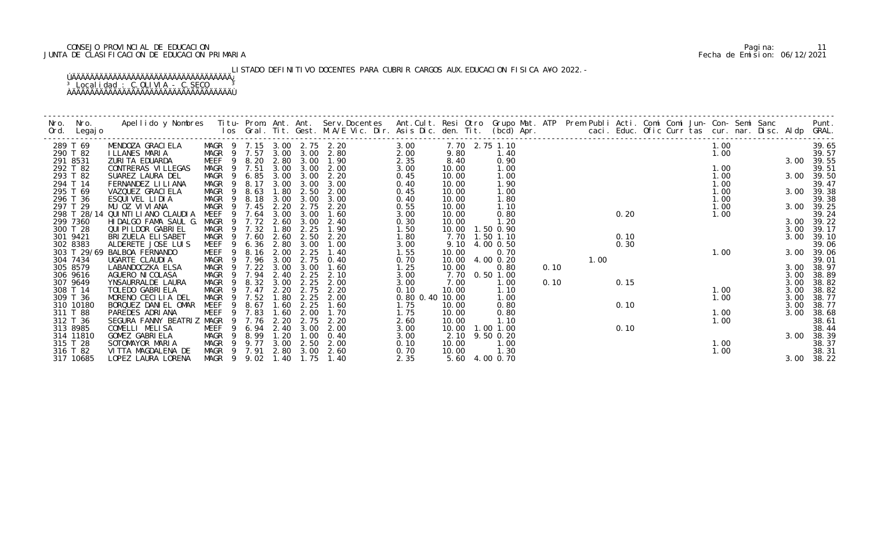# CONSEJO PROVINCIAL DE EDUCACION Pagina: 11 JUNTA DE CLASIFICACION DE EDUCACION PRIMARIA Fecha de Emision: 06/12/2021

LISTADO DEFINITIVO DOCENTES PARA CUBRIR CARGOS AUX.EDUCACION FISICA A¥O 2022.-

| Nro.<br>Ord. | Nro.<br>Legaj o | Apellido y Nombres  Titu- Prom. Ant. Ant. Serv.Docentes  Ant.Cult. Resi Otro Grupo Mat. ATP Prem Publi Acti. Comi Comi Jun- Con- Semi Sanc           Punt.<br>Ios Gral. Tit. Gest. M.A/E Vic. Dir. Asis Dic. den. Tit. (bcd) Apr. |                   |                |                  |      |      |                            |                 |                |           |             |      |      |      |  |      |  |      |            |
|--------------|-----------------|-----------------------------------------------------------------------------------------------------------------------------------------------------------------------------------------------------------------------------------|-------------------|----------------|------------------|------|------|----------------------------|-----------------|----------------|-----------|-------------|------|------|------|--|------|--|------|------------|
|              | 289 T 69        | MENDOZA GRACI ELA                                                                                                                                                                                                                 |                   |                |                  |      |      | MAGR 9 7.15 3.00 2.75 2.20 | 3.00            | 7.70 2.75 1.10 |           |             |      |      |      |  | 1.00 |  |      | 39.65      |
|              | 290 T 82        | ILLANES MARIA                                                                                                                                                                                                                     |                   |                | MAGR 9 7.57      | 3.00 |      | $3.00$ $2.80$              | 2.00            | 9.80           |           | 1.40        |      |      |      |  | 1.00 |  |      | 39.57      |
|              | 291 8531        | ZURITA EDUARDA                                                                                                                                                                                                                    | MEEF              |                | 9 8.20 2.80      |      | 3.00 | 1.90                       | 2.35            | 8.40           |           | 0.90        |      |      |      |  |      |  |      | 3.00 39.55 |
|              | 292 T 82        | CONTRERAS VI LLEGAS                                                                                                                                                                                                               | MAGR 9 7.51       |                |                  | 3.00 | 3.00 | 2.00                       | 3.00            | 10.00          |           | 1.00        |      |      |      |  | 1.00 |  |      | 39.51      |
|              | 293 T 82        | SUAREZ LAURA DEL                                                                                                                                                                                                                  | MAGR 9            |                | 6.85             | 3.00 | 3.00 | 2.20                       | 0.45            | 10.00          |           | 1.00        |      |      |      |  | 1.00 |  |      | 3.00 39.50 |
|              | 294 T 14        | FERNANDEZ LI LI ANA                                                                                                                                                                                                               | MAGR 9            |                | 8.17             | 3.00 | 3.00 | 3.00                       | 0.40            | 10.00          |           | 1.90        |      |      |      |  | 1.00 |  |      | 39.47      |
|              | 295 T 69        | VAZQUEZ GRACI ELA                                                                                                                                                                                                                 | MAGR 9            |                | 8.63 1.80        |      | 2.50 | 2.00                       | 0.45            | 10.00          |           | 1.00        |      |      |      |  | 1.00 |  |      | 3.00 39.38 |
|              | 296 T 36        | ESQUIVEL LIDIA                                                                                                                                                                                                                    | MAGR 9            |                | 8.18             | 3.00 | 3.00 | 3.00                       | 0.40            | 10.00          |           | 1.80        |      |      |      |  | 1.00 |  |      | 39.38      |
|              | 297 T 29        | MU OZ VIVIANA                                                                                                                                                                                                                     | MAGR              |                | 9 7.45           | 2.20 | 2.75 | 2.20                       | 0.55            | 10.00          |           | 1.10        |      |      |      |  | 1.00 |  | 3.00 | 39.25      |
|              | 298 T 28/14     | QUI NTI LI ANO CLAUDI A                                                                                                                                                                                                           | MEEF              | -9             | 7.64             | 3.00 | 3.00 | 1.60                       | 3.00            | 10.00          |           | 0.80        |      |      | 0.20 |  | 1.00 |  |      | 39.24      |
|              | 299 7360        | HIDALGO FAMA SAUL G.                                                                                                                                                                                                              | MAGR              |                | 9 7.72 2.60      |      | 3.00 | 2.40                       | 0.30            | 10.00          |           | 1.20        |      |      |      |  |      |  |      | 3.00 39.22 |
|              | 300 T 28        | QUI PI LDOR GABRI EL                                                                                                                                                                                                              | MAGR              |                | 9 7.32           | 1.80 | 2.25 | 1.90                       | 1.50            | 10.00          |           | 1.50 0.90   |      |      |      |  |      |  | 3.00 | 39.17      |
|              | 301 9421        | BRIZUELA ELISABET                                                                                                                                                                                                                 | MAGR              |                | 9 7.60           | 2.60 | 2.50 | 2.20                       | 1.80            | 7.70 1.50 1.10 |           |             |      |      | 0.10 |  |      |  | 3.00 | 39.10      |
|              | 302 8383        | ALDERETE JOSE LUIS                                                                                                                                                                                                                | MEEF              | - 9            | $6.36$ $2.80$    |      | 3.00 | 1.00                       | 3.00            | 9.10           |           | 4.00 0.50   |      |      | 0.30 |  |      |  |      | 39.06      |
|              |                 | 303 T 29/69 BALBOA FERNANDO                                                                                                                                                                                                       | MEEF <sub>9</sub> |                | 8.16 2.00        |      | 2.25 | 1.40                       | 1.55            | 10.00          |           | 0.70        |      |      |      |  | 1.00 |  |      | 3.00 39.06 |
|              | 304 7434        | UGARTE CLAUDIA                                                                                                                                                                                                                    |                   |                | MAGR 9 7.96 3.00 |      | 2.75 | 0.40                       | 0.70            | 10.00          |           | 4.00 0.20   |      | 1.00 |      |  |      |  |      | 39.01      |
|              | 305 8579        | LABANDOCZKA ELSA                                                                                                                                                                                                                  | MAGR              | $\overline{9}$ | 7.22             | 3.00 | 3.00 | 1.60                       | 1.25            | 10.00          |           | 0.80        | 0.10 |      |      |  |      |  | 3.00 | 38.97      |
|              | 306 9616        | AGUERO NI COLASA                                                                                                                                                                                                                  | MAGR 9            |                | 7.94             | 2.40 | 2.25 | 2.10                       | 3.00            | 7.70           |           | $0.50$ 1.00 |      |      |      |  |      |  | 3.00 | 38.89      |
|              | 307 9649        | YNSAURRALDE LAURA                                                                                                                                                                                                                 |                   |                | MAGR 9 8.32 3.00 |      | 2.25 | 2.00                       | 3.00            | 7.00           |           | 1.00        | 0.10 |      | 0.15 |  |      |  | 3.00 | 38.82      |
|              | 308 T 14        | TOLEDO GABRIELA                                                                                                                                                                                                                   |                   |                | MAGR 9 7.47      | 2.20 | 2.75 | 2.20                       | 0.10            | 10.00          |           | 1.10        |      |      |      |  | 1.00 |  | 3.00 | 38.82      |
|              | 309 T 36        | MORENO CECILIA DEL                                                                                                                                                                                                                | MAGR              |                | 9 7.52           | 1.80 | 2.25 | 2.00                       | 0.80 0.40 10.00 |                |           | 1.00        |      |      |      |  | 1.00 |  | 3.00 | 38.77      |
|              | 310 10180       | BORQUEZ DANIEL OMAR                                                                                                                                                                                                               | MEEF              | -9             | 8.67             | 1.60 | 2.25 | 1.60                       | 1.75            | 10.00          |           | 0.80        |      |      | 0.10 |  |      |  | 3.00 | 38.77      |
|              | 311 T 88        | PAREDES ADRIANA                                                                                                                                                                                                                   | MEEF              |                | 9 7.83           | 1.60 | 2.00 | 1.70                       | 1.75            | 10.00          |           | 0.80        |      |      |      |  | 1.00 |  | 3.00 | 38.68      |
|              | 312 T 36        | SEGURA FANNY BEATRIZ MAGR                                                                                                                                                                                                         |                   |                | 9 7.76           | 2.20 | 2.75 | 2.20                       | 2.60            | 10.00          |           | 1.10        |      |      |      |  | 1.00 |  |      | 38.61      |
|              | 313 8985        | COMELLI MELISA                                                                                                                                                                                                                    | MEEF              | -9             | 6.94             | 2.40 | 3.00 | 2.00                       | 3.00            | 10.00          | 1.00 1.00 |             |      |      | 0.10 |  |      |  |      | 38.44      |
|              | 314 11810       | GOMEZ GABRIELA                                                                                                                                                                                                                    | MAGR 9            |                | 8.99             | 1.20 | 1.00 | 0.40                       | 3.00            | 2.10           |           | 9.50 0.20   |      |      |      |  |      |  | 3.00 | 38.39      |
|              | 315 T 28        | SOTOMAYOR MARIA                                                                                                                                                                                                                   | MAGR 9 9.77       |                |                  | 3.00 | 2.50 | 2.00                       | 0.10            | 10.00          |           | 1.00        |      |      |      |  | 1.00 |  |      | 38.37      |
|              | 316 T 82        | VITTA MAGDALENA DE                                                                                                                                                                                                                |                   |                | MAGR 9 7.91      | 2.80 | 3.00 | 2.60                       | 0.70            | 10.00          |           | 1.30        |      |      |      |  | 1.00 |  |      | 38.31      |
|              | 317 10685       | LOPEZ LAURA LORENA                                                                                                                                                                                                                |                   |                | MAGR 9 9.02 1.40 |      | 1.75 | 1.40                       | 2.35            | 5.60 4.00 0.70 |           |             |      |      |      |  |      |  |      | 3.00 38.22 |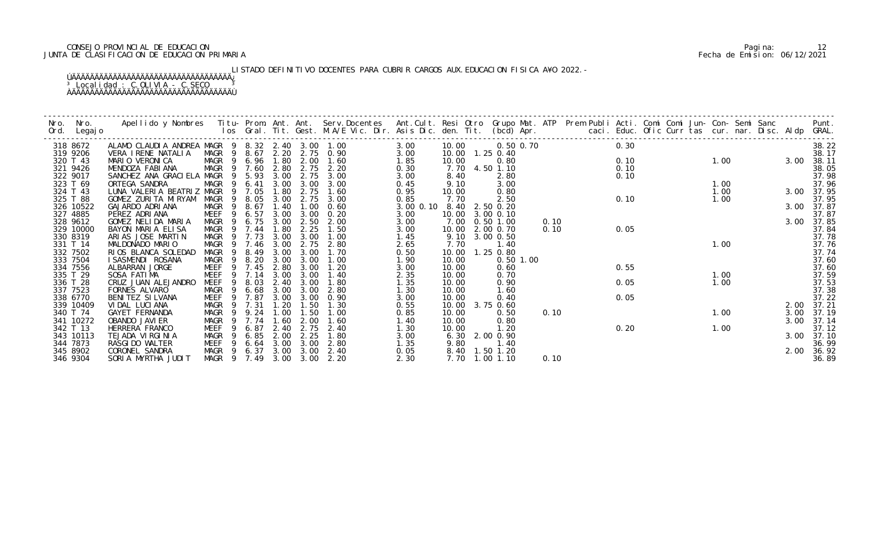# CONSEJO PROVINCIAL DE EDUCACION Pagina: 12 JUNTA DE CLASIFICACION DE EDUCACION PRIMARIA Fecha de Emision: 06/12/2021

LISTADO DEFINITIVO DOCENTES PARA CUBRIR CARGOS AUX.EDUCACION FISICA A¥O 2022.-

| Nro. | Nro.<br>Ord. Legajo | Apellido y Nombres Iitu-Prom. Ant. Ant. Serv.Docentes Ant.Cult. Resi Otro Grupo Mat. ATP Prem Publi Acti. Comi Comi Jun-Con-Semi Sanc Punt.<br>Ios Gral. Tit. Gest. M.A/E Vic. Dir. Asis Dic. den. Tit. (bcd) Apr. |                  |             |      |           |           |           |                   |                |      |      |  |      |      |            |
|------|---------------------|--------------------------------------------------------------------------------------------------------------------------------------------------------------------------------------------------------------------|------------------|-------------|------|-----------|-----------|-----------|-------------------|----------------|------|------|--|------|------|------------|
|      | 318 8672            | ALAMO CLAUDIA ANDREA MAGR 9 8.32 2.40 3.00 1.00                                                                                                                                                                    |                  |             |      |           |           | 3.00      | 10.00             | 0.50 0.70      |      | 0.30 |  |      |      | 38.22      |
|      | 319 9206            | VERA I RENE NATALIA                                                                                                                                                                                                | MAGR 9 8.67 2.20 |             |      |           | 2.75 0.90 | 3.00      | 10.00  1.25  0.40 |                |      |      |  |      |      | 38.17      |
|      | 320 T 43            | MARIO VERONICA                                                                                                                                                                                                     | MAGR 9 6.96 1.80 |             |      | 2.00      | 1.60      | 1.85      | 10.00             | 0.80           |      | 0.10 |  | 1.00 | 3.00 | 38.11      |
|      | 321 9426            | MENDOZA FABIANA                                                                                                                                                                                                    | MAGR 9 7.60      |             | 2.80 | 2.75      | 2.20      | 0.30      |                   | 7.70 4.50 1.10 |      | 0.10 |  |      |      | 38.05      |
|      | 322 9017            | SANCHEZ ANA GRACIELA MAGR                                                                                                                                                                                          |                  | 9 5.93      | 3.00 | 2.75      | 3.00      | 3.00      | 8.40              | 2.80           |      | 0.10 |  |      |      | 37.98      |
|      | 323 T 69            | ORTEGA SANDRA                                                                                                                                                                                                      | MAGR             | 6.41<br>- 9 | 3.00 | 3.00      | 3.00      | 0.45      | 9.10              | 3.00           |      |      |  | 1.00 |      | 37.96      |
|      | 324 T 43            | LUNA VALERIA BEATRIZ MAGR 9 7.05                                                                                                                                                                                   |                  |             | 1.80 | 2.75      | 1.60      | 0.95      | 10.00             | 0.80           |      |      |  | 1.00 |      | 3.00 37.95 |
|      | 325 T 88            | GOMEZ ZURITA MIRYAM                                                                                                                                                                                                | MAGR             | 9 8.05      | 3.00 | 2.75      | 3.00      | 0.85      | 7.70              | 2.50           |      | 0.10 |  | 1.00 |      | 37.95      |
|      | 326 10522           | GAJARDO ADRIANA                                                                                                                                                                                                    | MAGR             | 8.67<br>- 9 | 1.40 | 1.00      | 0.60      | 3.00 0.10 | 8.40 2.50 0.20    |                |      |      |  |      |      | 3.00 37.87 |
|      | 327 4885            | PEREZ ADRIANA                                                                                                                                                                                                      | MEEF             | 6.57<br>9   | 3.00 | 3.00      | 0.20      | 3.00      | 10.00             | 3.00 0.10      |      |      |  |      |      | 37.87      |
|      | 328 9612            | GOMEZ NELIDA MARIA                                                                                                                                                                                                 | MAGR             | 6.75<br>- 9 | 3.00 | 2.50      | 2.00      | 3.00      | 7.00              | $0.50$ 1.00    | 0.10 |      |  |      | 3.00 | 37.85      |
|      | 329 10000           | BAYON MARIA ELISA                                                                                                                                                                                                  | MAGR             | 9 7.44      | 1.80 | 2.25      | 1.50      | 3.00      | 10.00             | 2.00 0.70      | 0.10 | 0.05 |  |      |      | 37.84      |
|      | 330 8319            | ARIAS JOSE MARTIN                                                                                                                                                                                                  | MAGR 9 7.73      |             | 3.00 | 3.00      | 1.00      | 1.45      | 9.10              | 3.00 0.50      |      |      |  |      |      | 37.78      |
|      | 331 T 14            | MALDONADO MARIO                                                                                                                                                                                                    | MAGR             | 9 7.46      | 3.00 | 2.75      | 2.80      | 2.65      | 7.70              | 1.40           |      |      |  | 1.00 |      | 37.76      |
|      | 332 7502            | RIOS BLANCA SOLEDAD                                                                                                                                                                                                | MAGR             | 8.49<br>9   | 3.00 | 3.00      | 1.70      | 0.50      | 10.00             | 1.25 0.80      |      |      |  |      |      | 37.74      |
|      | 333 7504            | I SASMENDI ROSANA                                                                                                                                                                                                  | MAGR             | 9 8.20      | 3.00 | 3.00      | 1.00      | 1.90      | 10.00             | $0.50$ 1.00    |      |      |  |      |      | 37.60      |
|      | 334 7556            | ALBARRAN JORGE                                                                                                                                                                                                     | MEEF             | 9 7.45      | 2.80 | 3.00      | 1.20      | 3.00      | 10.00             | 0.60           |      | 0.55 |  |      |      | 37.60      |
|      | 335 T 29            | SOSA FATIMA                                                                                                                                                                                                        | MEEF             | 9<br>7.14   | 3.00 | 3.00      | 1.40      | 2.35      | 10.00             | 0.70           |      |      |  | 1.00 |      | 37.59      |
|      | 336 T 28            | CRUZ JUAN ALEJANDRO                                                                                                                                                                                                | MEEF             | 8.03        | 2.40 | 3.00      | 1.80      | 1.35      | 10.00             | 0.90           |      | 0.05 |  | 1.00 |      | 37.53      |
|      | 337 7523            | FORNES ALVARO                                                                                                                                                                                                      | MAGR             | 9 6.68      | 3.00 | 3.00      | 2.80      | 1.30      | 10.00             | 1.60           |      |      |  |      |      | 37.38      |
|      | 338 6770            | BENITEZ SILVANA                                                                                                                                                                                                    | <b>MEEF</b>      | 9 7.87      | 3.00 | 3.00      | 0.90      | 3.00      | 10.00             | 0.40           |      | 0.05 |  |      |      | 37.22      |
|      | 339 10409           | VIDAL LUCIANA                                                                                                                                                                                                      | MAGR             | 9 7.31      | 1.20 | 1.50      | 1.30      | 0.55      | 10.00             | 3.75 0.60      |      |      |  |      | 2.00 | 37.21      |
|      | 340 T 74            | GAYET FERNANDA                                                                                                                                                                                                     | MAGR             | 9.24        | 1.00 | 1.50      | 1.00      | 0.85      | 10.00             | 0.50           | 0.10 |      |  | 1.00 | 3.00 | 37.19      |
|      | 341 10272           | OBANDO JAVI ER                                                                                                                                                                                                     | MAGR             | 9 7.74      | 1.60 | 2.00      | 1.60      | 1.40      | 10.00             | 0.80           |      |      |  |      | 3.00 | 37.14      |
|      | 342 T 13            | HERRERA FRANCO                                                                                                                                                                                                     | MEEF             | 6.87<br>9   | 2.40 | 2.75      | 2.40      | 1.30      | 10.00             | 1.20           |      | 0.20 |  | 1.00 |      | 37.12      |
|      | 343 10113           | TEJADA VIRGINIA                                                                                                                                                                                                    | MAGR             | 6.85<br>-9  | 2.00 | 2.25      | 1.80      | 3.00      | 6.30              | 2.00 0.90      |      |      |  |      | 3.00 | 37.10      |
|      | 344 7873            | RASGI DO WALTER                                                                                                                                                                                                    | MEEF             | 6.64<br>-9  | 3.00 | 3.00      | 2.80      | 1.35      | 9.80              | 1.40           |      |      |  |      |      | 36.99      |
|      | 345 8902            | CORONEL SANDRA                                                                                                                                                                                                     | MAGR 9 6.37      |             |      | 3.00 3.00 | 2.40      | 0.05      |                   | 8.40 1.50 1.20 |      |      |  |      | 2.00 | 36.92      |
|      | 346 9304            | SORIA MYRTHA JUDIT                                                                                                                                                                                                 | MAGR 9 7.49      |             |      | 3.00 3.00 | 2.20      | 2.30      |                   | 7.70 1.00 1.10 | 0.10 |      |  |      |      | 36.89      |
|      |                     |                                                                                                                                                                                                                    |                  |             |      |           |           |           |                   |                |      |      |  |      |      |            |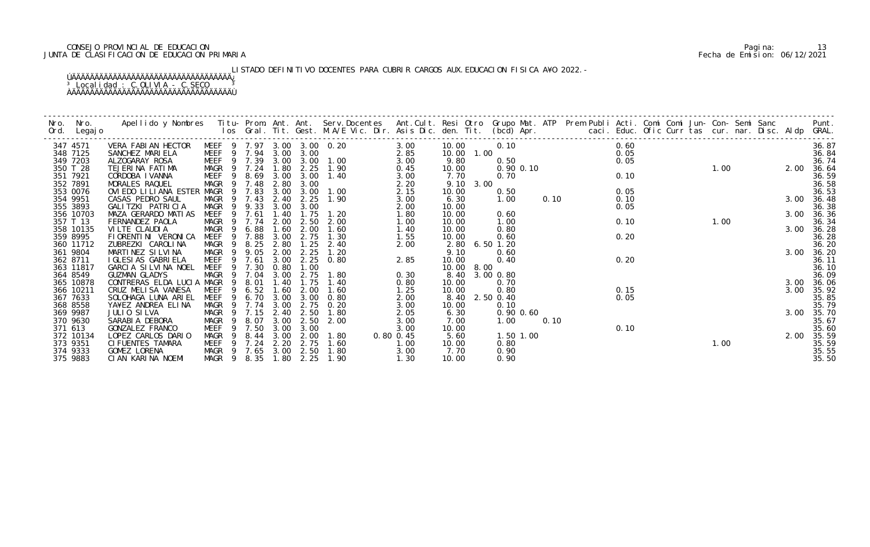# CONSEJO PROVINCIAL DE EDUCACION Pagina: 13 JUNTA DE CLASIFICACION DE EDUCACION PRIMARIA Fecha de Emision: 06/12/2021

LISTADO DEFINITIVO DOCENTES PARA CUBRIR CARGOS AUX.EDUCACION FISICA A¥O 2022.-

| Nro.    | Nro.                  | Apellido y Nombres Titu- Prom. Ant. Ant. Serv.Docentes Ant.Cult. Resi Otro Grupo Mat. ATP Prem Publi Acti. Comi Comi Jun- Con- Semi Sanc Punt.<br>Ios Gral. Tit. Gest. M.A/E Vic. Dir. Asis Dic. den. Tit. (bcd) Apr. |                     |                |                  |              |              |                            |           |                |             |               |      |                                            |      |  |      |  |      |                |
|---------|-----------------------|-----------------------------------------------------------------------------------------------------------------------------------------------------------------------------------------------------------------------|---------------------|----------------|------------------|--------------|--------------|----------------------------|-----------|----------------|-------------|---------------|------|--------------------------------------------|------|--|------|--|------|----------------|
|         | Ord. Legajo           |                                                                                                                                                                                                                       |                     |                |                  |              |              |                            |           |                |             |               |      |                                            |      |  |      |  |      |                |
|         | 347 4571              | VERA FABIAN HECTOR                                                                                                                                                                                                    |                     |                |                  |              |              | MEEF 9 7.97 3.00 3.00 0.20 | 3.00      | 10.00          |             | 0.10          |      |                                            | 0.60 |  |      |  |      | 36.87          |
|         | 348 7125              | SANCHEZ MARIELA                                                                                                                                                                                                       |                     |                | MEEF 9 7.94 3.00 |              | 3.00         | $2.85$<br>$3.00$           |           |                |             |               |      | 10.00 1.00<br>9.80 0.50<br>10.00 0.90 0.10 | 0.05 |  |      |  |      | 36.84          |
|         | 349 7203              | ALZOGARAY ROSA                                                                                                                                                                                                        | <b>MEEF</b>         |                |                  |              |              | 9 7.39 3.00 3.00 1.00      |           |                |             |               |      |                                            | 0.05 |  |      |  |      | 36.74          |
|         | 350 T 28              | TEJERINA FATIMA                                                                                                                                                                                                       | MAGR                |                | 9 7.24           | 1.80         | 2.25         | 1.90                       | 0.45      |                |             |               |      |                                            |      |  | 1.00 |  | 2.00 | 36.64          |
|         | 351 7921              | CORDOBA I VANNA                                                                                                                                                                                                       | MEEF                | $\overline{9}$ | 8.69 3.00        |              | 3.00         | 1.40                       | 3.00      | 7.70           |             | 0.70          |      |                                            | 0.10 |  |      |  |      | 36.59          |
|         | 352 7891              | MORALES RAQUEL                                                                                                                                                                                                        | MAGR                | - 9            | 7.48             | 2.80         | 3.00         |                            | 2.20      | 9.10           | 3.00        |               |      |                                            |      |  |      |  |      | 36.58          |
|         | 353 0076              | OVIEDO LILIANA ESTER MAGR                                                                                                                                                                                             |                     |                | 9 7.83           | 3.00         | 3.00         | 1.00                       | 2.15      | 10.00          |             | 0.50          |      |                                            | 0.05 |  |      |  |      | 36.53          |
|         | 354 9951              | CASAS PEDRO SAUL                                                                                                                                                                                                      | MAGR                |                | 9 7.43           | 2.40         | 2.25         | 1.90                       | 3.00      | 6.30           |             | 1.00          | 0.10 |                                            | 0.10 |  |      |  |      | 3.00 36.48     |
|         | 355 3893              | GALITZKI PATRICIA                                                                                                                                                                                                     | MAGR                | 9              | 9.33             | 3.00         | 3.00         |                            | 2.00      | 10.00          |             |               |      |                                            | 0.05 |  |      |  |      | 36.38          |
|         | 356 10703             | MAZA GERARDO MATIAS                                                                                                                                                                                                   | <b>MEEF</b>         | 9              | 7.61             | 1.40         | 1.75         | 1.20                       | 1.80      | 10.00          |             | 0.60          |      |                                            |      |  |      |  | 3.00 | 36.36          |
|         | 357 T 13              | FERNANDEZ PAOLA                                                                                                                                                                                                       | MAGR                |                | 9 7.74           | 2.00         | 2.50         | 2.00                       | 1.00      | 10.00          |             | 1.00          |      |                                            | 0.10 |  | 1.00 |  |      | 36.34          |
|         | 358 10135             | VILTE CLAUDIA                                                                                                                                                                                                         | MAGR                |                | 9 6.88           | 1.60         | 2.00         | 1.60                       | 1.40      | 10.00          |             | 0.80          |      |                                            |      |  |      |  | 3.00 | 36.28          |
|         | 359 8995              | FI ORENTI NI VERONI CA                                                                                                                                                                                                | MEEF                |                | 9 7.88           | 3.00         | 2.75         | 1.30                       | 1.55      | 10.00          |             | 0.60          |      |                                            | 0.20 |  |      |  |      | 36.28          |
|         | 360 11712             | ZUBREZKI CAROLINA                                                                                                                                                                                                     | MAGR 9              |                | 8.25             | 2.80         | 1.25         | 2.40                       | 2.00      | 2.80           | $6.50$ 1.20 | 0.60          |      |                                            |      |  |      |  |      | 36.20          |
|         | 361 9804              | MARTINEZ SILVINA                                                                                                                                                                                                      | MAGR                | -9             | 9 9.05<br>7.61   | 2.00<br>3.00 | 2.25         | 1.20                       |           | 9.10           |             |               |      |                                            |      |  |      |  | 3.00 | 36.20          |
|         | 362 8711<br>363 11817 | I GLESI AS GABRI ELA<br>GARCIA SILVINA NOEL                                                                                                                                                                           | MEEF<br><b>MEEF</b> |                | 9 7.30           | 0.80         | 2.25<br>1.00 | 0.80                       | 2.85      | 10.00<br>10.00 | 8.00        | 0.40          |      |                                            | 0.20 |  |      |  |      | 36.11<br>36.10 |
|         | 364 8549              | GUZMAN GLADYS                                                                                                                                                                                                         | <b>MAGR</b>         | 9              | 7.04             | 3.00         | 2.75         | 1.80                       | 0.30      | 8.40           | 3.00 0.80   |               |      |                                            |      |  |      |  |      | 36.09          |
|         | 365 10878             | CONTRERAS ELDA LUCIA MAGR                                                                                                                                                                                             |                     | 9              | 8.01             | 1.40         | 1.75         | 1.40                       | 0.80      | 10.00          |             | 0.70          |      |                                            |      |  |      |  | 3.00 | 36.06          |
|         | 366 10211             | CRUZ MELISA VANESA                                                                                                                                                                                                    | MEEF                | 9              | 6.52             | 1.60         | 2.00         | 1.60                       | 1.25      | 10.00          |             | 0.80          |      |                                            | 0.15 |  |      |  | 3.00 | 35.92          |
|         | 367 7633              | SOLOHAGA LUNA ARIEL                                                                                                                                                                                                   | MEEF                | 9              | 6.70             | 3.00         | 3.00         | 0.80                       | 2.00      | 8.40           | 2.50 0.40   |               |      |                                            | 0.05 |  |      |  |      | 35.85          |
|         | 368 8558              | YA¥EZ ANDREA ELINA                                                                                                                                                                                                    | MAGR 9              |                | 7.74             | 3.00         | 2.75         | 0.20                       | 3.00      | 10.00          |             | 0.10          |      |                                            |      |  |      |  |      | 35.79          |
|         | 369 9987              | JULIO SILVA                                                                                                                                                                                                           | MAGR                |                | 9 7.15           | 2.40         | 2.50         | 1.80                       | 2.05      | 6.30           |             | $0.90$ $0.60$ |      |                                            |      |  |      |  | 3.00 | 35.70          |
|         | 370 9630              | SARABIA DEBORA                                                                                                                                                                                                        | MAGR                |                | 9 8.07           | 3.00         | 2.50         | 2.00                       | 3.00      | 7.00           |             | 1.00          | 0.10 |                                            |      |  |      |  |      | 35.67          |
| 371 613 |                       | GONZALEZ FRANCO                                                                                                                                                                                                       | MEEF                | 9              | 7.50             | 3.00         | 3.00         |                            | 3.00      | 10.00          |             |               |      |                                            | 0.10 |  |      |  |      | 35.60          |
|         | 372 10134             | LOPEZ CARLOS DARIO                                                                                                                                                                                                    | MAGR                | -9             | 8.44             | 3.00         | 2.00         | 1. 80                      | 0.80 0.45 | 5.60           |             | 1.50 1.00     |      |                                            |      |  |      |  | 2.00 | 35.59          |
|         | 373 9351              | CI FUENTES TAMARA                                                                                                                                                                                                     | MEEF                |                | 9 7.24 2.20      |              | 2.75         | 1.60                       | 1.00      | 10.00          |             | 0.80          |      |                                            |      |  | 1.00 |  |      | 35.59          |
|         | 374 9333              | GOMEZ LORENA                                                                                                                                                                                                          |                     |                | MAGR 9 7.65      | 3.00         | 2.50         | 1.80                       | 3.00      | 7.70           |             | 0.90          |      |                                            |      |  |      |  |      | 35.55          |
|         | 375 9883              | CIAN KARINA NOEMI                                                                                                                                                                                                     |                     |                | MAGR 9 8.35      | 1.80         | 2.25         | 1.90                       | 1.30      | 10.00          |             | 0.90          |      |                                            |      |  |      |  |      | 35.50          |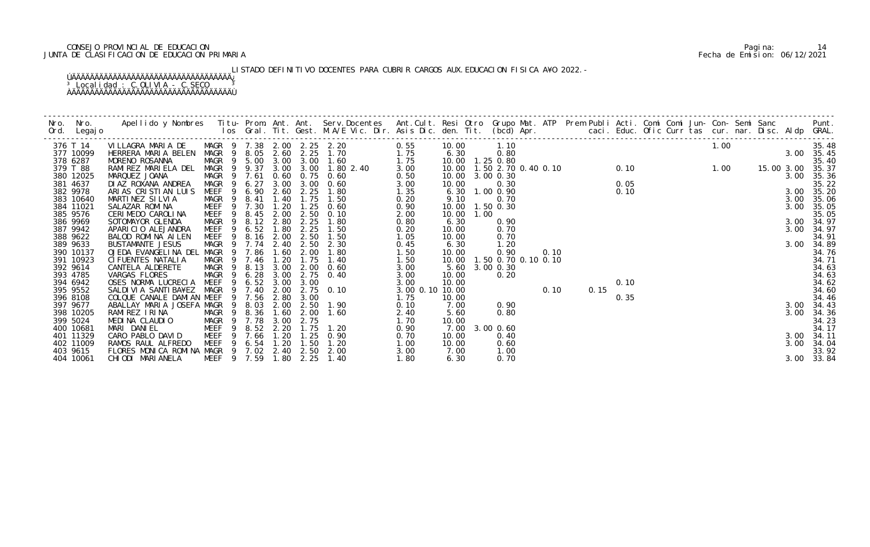# CONSEJO PROVINCIAL DE EDUCACION Pagina: 14 JUNTA DE CLASIFICACION DE EDUCACION PRIMARIA Fecha de Emision: 06/12/2021

LISTADO DEFINITIVO DOCENTES PARA CUBRIR CARGOS AUX.EDUCACION FISICA A¥O 2022.-

| 376 T 14  | VILLAGRA MARIA DE                     |                  |        |        |             |      | MAGR 9 7.38 2.00 2.25 2.20 | 0.55            | 10.00                                                                                                           |      | 1.10                |  |  |                                                      |  | 1.00 |            |      | 35.48          |
|-----------|---------------------------------------|------------------|--------|--------|-------------|------|----------------------------|-----------------|-----------------------------------------------------------------------------------------------------------------|------|---------------------|--|--|------------------------------------------------------|--|------|------------|------|----------------|
| 377 10099 | HERRERA MARIA BELEN                   | MAGR 9 8.05 2.60 |        |        |             |      | 2.25 1.70<br>1.75          |                 |                                                                                                                 |      |                     |  |  |                                                      |  |      |            |      | 3.00 35.45     |
| 378 6287  | MORENO ROSANNA                        | MAGR 9 5.00 3.00 |        |        |             |      | 3.00 1.60<br>1.75          |                 | 10.00 1.10<br>6.30 0.80<br>10.00 1.25 0.80<br>10.00 1.50 2.70 0.40 0.10 0.10 1.00 1.00 15.00<br>10.00 3.00 0.30 |      |                     |  |  |                                                      |  |      |            |      | 35.40          |
| 379 T 88  | RAMIREZ MARIELA DEL                   | MAGR 9 9.37      |        |        |             |      | 3.00 3.00 1.80 2.40        | 3.00            |                                                                                                                 |      |                     |  |  | 0.10<br>0.05<br>0.10<br>0.15<br>0.15<br>0.35<br>3.00 |  |      | 15.00 3.00 |      | 35.37          |
| 380 12025 | MARQUEZ JOANA                         | MAGR             | 9 7.61 |        | 0.60        | 0.75 | 0.60                       | 0.50            | 10.00 3.00 0.30                                                                                                 |      |                     |  |  | 0.1                                                  |  |      |            |      | 3.00 35.36     |
| 381 4637  | DI AZ ROXANA ANDREA                   | MAGR 9           |        | 6.27   | 3.00        | 3.00 | 0.60                       | 3.00            | 10.00                                                                                                           |      | 0.30                |  |  |                                                      |  |      |            |      | 35.22          |
| 382 9978  | ARIAS CRISTIAN LUIS                   | MEEF 9 6.90      |        |        | 2.60        | 2.25 | 1.80                       | 1.35            |                                                                                                                 |      | 6.30 1.00 0.90      |  |  |                                                      |  |      |            |      | 3.00 35.20     |
| 383 10640 | MARTINEZ SILVIA                       | MAGR 9           |        | 8.41   | 1.40        | 1.75 | 1.50                       | 0.20            | 9.10                                                                                                            |      | 0.70                |  |  |                                                      |  |      |            |      | 3.00 35.06     |
| 384 11021 | SALAZAR ROMINA                        | MEEF             |        | 9 7.30 | 1.20        | 1.25 | 0.60                       | 0.90            | 10.00                                                                                                           |      | 1.50 0.30           |  |  |                                                      |  |      |            |      | 35.05          |
| 385 9576  | CERIMEDO CAROLINA                     | MEEF 9           |        | 8.45   | 2.00        | 2.50 | 0.10                       | 2.00            | 10.00                                                                                                           | 1.00 |                     |  |  |                                                      |  |      |            |      | 35.05          |
| 386 9969  | SOTOMAYOR GLENDA                      | MAGR             |        |        | 9 8.12 2.80 | 2.25 | 1.80                       | 0.80            | 6.30                                                                                                            |      | 0.90                |  |  |                                                      |  |      |            |      | 3.00 34.97     |
| 387 9942  | APARICIO ALEJANDRA                    | MEEF 9 6.52 1.80 |        |        |             | 2.25 | 1.50                       | 0.20            | 10.00                                                                                                           |      | 0.70                |  |  |                                                      |  |      |            |      | 3.00 34.97     |
| 388 9622  | BALOD ROMINA AILEN                    | MEEF             | - 9    |        | 8.16 2.00   | 2.50 | 1.50                       | 1.05            | 10.00                                                                                                           |      | 0.70                |  |  |                                                      |  |      |            |      | 34.91          |
| 389 9633  | <b>BUSTAMANTE JESUS</b>               | MAGR 9 7.74      |        |        | 2.40        | 2.50 | 2.30                       | 0.45            | 6.30                                                                                                            |      | 1.20                |  |  |                                                      |  |      |            |      | 3.00 34.89     |
| 390 10137 | OJEDA EVANGELINA DEL                  | MAGR 9 7.86      |        |        | 1.60        | 2.00 | 1.80                       | 1.50            | 10.00                                                                                                           |      | 0.90                |  |  |                                                      |  |      |            |      | 34.76          |
| 391 10923 | CI FUENTES NATALIA                    | MAGR             | - 9    |        | 7.46 1.20   | 1.75 | 1.40                       | 1.50            | 10.00                                                                                                           |      | 1.50 0.70 0.10 0.10 |  |  |                                                      |  |      |            |      | 34.71          |
| 392 9614  | CANTELA ALDERETE                      | MAGR 9           |        |        | 8.13 3.00   | 2.00 | 0.60                       | 3.00            | 5.60                                                                                                            |      | 3.00 0.30           |  |  |                                                      |  |      |            |      | 34.63          |
| 393 4785  | VARGAS FLORES                         | MAGR 9 6.28      |        |        | 3.00        |      | 2.75 0.40                  | 3.00            | 10.00                                                                                                           |      | 0.20                |  |  |                                                      |  |      |            |      | 34.63          |
| 394 6942  | OSES NORMA LUCRECIA                   | MEEF 9 6.52 3.00 |        |        |             | 3.00 |                            | 3.00            | 10.00                                                                                                           |      |                     |  |  |                                                      |  |      |            |      | 34.62<br>34.60 |
| 395 9552  | SALDIVIA SANTIBA¥EZ MAGR 9 7.40       |                  |        |        | 2.00        |      | 2.75 0.10                  | 3.00 0.10 10.00 |                                                                                                                 |      |                     |  |  |                                                      |  |      |            |      |                |
| 396 8108  | COLQUE CANALE DAMIAN MEEF             |                  | 9      | 7.56   | 2.80        | 3.00 |                            | 1.75            | 10.00                                                                                                           |      |                     |  |  |                                                      |  |      |            |      | 34.46          |
| 397 9677  | ABALLAY MARIA JOSEFA MAGR             |                  | - 9    |        | 8.03 2.00   | 2.50 | 1.90                       | 0.10            | 7.00                                                                                                            |      | 0.90                |  |  |                                                      |  |      |            |      | 3.00 34.43     |
| 398 10205 | RAMIREZ IRINA                         | MAGR 9 8.36      |        |        | 1.60        | 2.00 | 1.60                       | 2.40            | 5.60                                                                                                            |      | 0.80                |  |  |                                                      |  |      |            | 3.00 | 34.36          |
| 399 5024  | MEDINA CLAUDIO                        | MAGR 9 7.78      |        |        | 3.00        | 2.75 |                            | 1.70            | 10.00                                                                                                           |      |                     |  |  |                                                      |  |      |            |      | 34.23          |
| 400 10681 | MARI DANIEL                           | MEEF             | - 9    |        | 8.52 2.20   | 1.75 | 1. 20                      | 0.90            | 7.00                                                                                                            |      | 3.00 0.60           |  |  |                                                      |  |      |            |      | 34.17          |
| 401 11329 | CARO PABLO DAVID                      | MEEF 9 7.66      |        |        | 1.20        |      | $1.25 \quad 0.90$          | 0.70            | 10.00                                                                                                           |      | 0.40                |  |  |                                                      |  |      |            |      | 3.00 34.11     |
| 402 11009 | RAMOS RAUL ALFREDO                    | MEEF 9 6.54      |        |        | 1.20        | 1.50 | 1. 20                      | 1.00            | 10.00                                                                                                           |      | 0.60                |  |  |                                                      |  |      |            |      | 3.00 34.04     |
| 403 9615  | FLORES MONICA ROMINA MAGR 9 7.02 2.40 |                  |        |        |             | 2.50 | 2.00                       | 3.00            | 7.00                                                                                                            |      | 1.00                |  |  |                                                      |  |      |            |      | 33.92          |
| 404 10061 | CHIODI MARIANELA                      | MEEF 9 7.59 1.80 |        |        |             | 2.25 | 1.40                       | 1.80            | 6.30                                                                                                            |      | 0.70                |  |  |                                                      |  |      |            |      | 3.00 33.84     |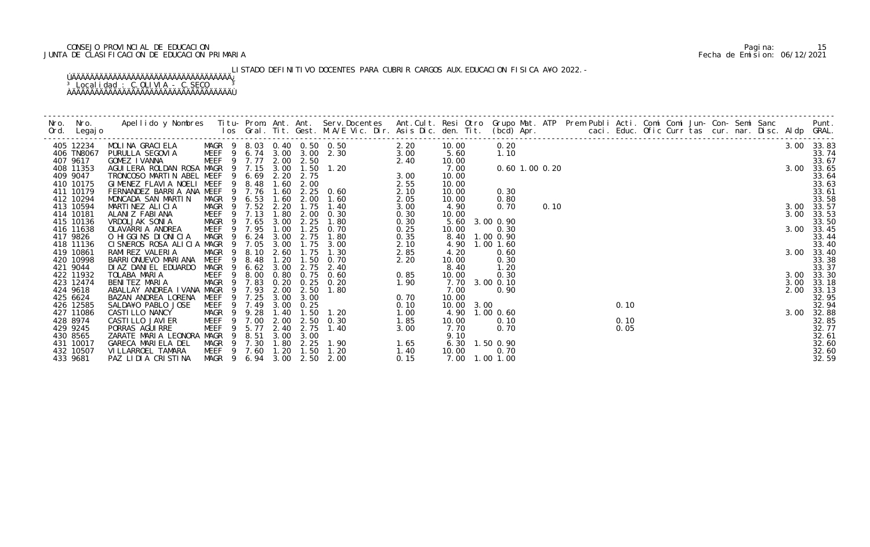# CONSEJO PROVINCIAL DE EDUCACION Pagina: 15 JUNTA DE CLASIFICACION DE EDUCACION PRIMARIA Fecha de Emision: 06/12/2021

LISTADO DEFINITIVO DOCENTES PARA CUBRIR CARGOS AUX.EDUCACION FISICA A¥O 2022.-

|          | Nro. Nro.<br>Ord. Legajo | Apellido y Nombres Titu- Prom. Ant. Ant. Serv.Docentes Ant.Cult. Resi Otro Grupo Mat. ATP Prem Publi Acti. Comi Comi Jun- Con- Semi Sanc Punt.<br>Ios Gral. Tit. Gest. M.A/E Vic. Dir. Asis Dic. den. Tit. (bcd) Apr. |                            |                |           |      |                   |                                                                                                      |      |                |           |                |      |  |         |  |  |  |      |            |
|----------|--------------------------|-----------------------------------------------------------------------------------------------------------------------------------------------------------------------------------------------------------------------|----------------------------|----------------|-----------|------|-------------------|------------------------------------------------------------------------------------------------------|------|----------------|-----------|----------------|------|--|---------|--|--|--|------|------------|
|          | 405 12234                | MOLINA GRACIELA MAGR 9 8.03 0.40 0.50 0.50<br>PURULLA SEGOVIA MEEF 9 6.74 3.00 3.00 2.30                                                                                                                              |                            |                |           |      |                   | 0.50<br>2.20<br>2.40<br>2.40<br>2.40<br>2.55<br>0.60<br>1.60<br>2.05<br>2.05<br>2.05<br>2.05<br>2.05 |      | 10.00          | 0.20      |                |      |  | 00 0.20 |  |  |  |      | 3.00 33.83 |
|          | 406 TN8067               |                                                                                                                                                                                                                       |                            |                |           |      |                   |                                                                                                      |      | 5.60           | 1.10      |                |      |  |         |  |  |  |      | 33.74      |
| 407 9617 |                          | GOMEZ IVANNA                                                                                                                                                                                                          | MEEF 9 7.77 2.00 2.50      |                |           |      |                   |                                                                                                      |      | 10.00          |           |                |      |  |         |  |  |  |      | 33.67      |
|          | 408 11353                | AGUI LERA ROLDAN ROSA MAGR 9 7.15 3.00 1.50 1.20                                                                                                                                                                      |                            |                |           |      |                   |                                                                                                      |      | 7.00           |           | 0.60 1.00 0.20 |      |  |         |  |  |  |      | 3.00 33.65 |
| 409 9047 |                          | TRONCOSO MARTIN ABEL MEEF 9 6.69 2.20 2.75                                                                                                                                                                            |                            |                |           |      |                   |                                                                                                      |      | 10.00          |           |                |      |  |         |  |  |  |      | 33.64      |
|          | 410 10175                | GIMENEZ FLAVIA NOELI MEEF 9 8.48                                                                                                                                                                                      |                            |                |           |      | 1.60 2.00         |                                                                                                      |      | 10.00          |           |                |      |  |         |  |  |  |      | 33.63      |
|          | 411 10179                | FERNANDEZ BARRIA ANA MEEF 9 7.76                                                                                                                                                                                      |                            |                |           | 1.60 |                   | $2.25 \quad 0.60$                                                                                    |      | 10.00          | 0.30      |                |      |  |         |  |  |  |      | 33.61      |
|          | 412 10294                | MONCADA SAN MARTIN                                                                                                                                                                                                    | MAGR 9 6.53                |                |           | 1.60 | 2.00              | 1.60                                                                                                 |      | 10.00          | 0.80      |                |      |  |         |  |  |  |      | 33.58      |
|          | 413 10594                | MARTINEZ ALICIA                                                                                                                                                                                                       | MAGR 9 7.52 2.20           |                |           |      | 1.75              | 1.40                                                                                                 | 3.00 | 4.90           | 0.70      |                | 0.10 |  |         |  |  |  |      | 3.00 33.57 |
|          | 414 10181                | ALANIZ FABIANA                                                                                                                                                                                                        | MEEF 9 7.13                |                |           | 1.80 |                   | 2.00 0.30                                                                                            | 0.30 | 10.00          |           |                |      |  |         |  |  |  | 3.00 | 33.53      |
|          | 415 10136                | VRDOLJAK SONIA                                                                                                                                                                                                        | MAGR 9                     |                | 7.65      | 3.00 | 2.25              | 1.80                                                                                                 | 0.30 | 5.60           | 3.00 0.90 |                |      |  |         |  |  |  |      | 33.50      |
|          | 416 11638                | OLAVARRIA ANDREA                                                                                                                                                                                                      | MEEF 9 7.95                |                |           | 1.00 |                   | $1.25$ 0.70                                                                                          | 0.25 | 10.00          | 0.30      |                |      |  |         |  |  |  |      | 3.00 33.45 |
| 417 9826 |                          | O HIGGINS DIONICIA                                                                                                                                                                                                    | MAGR 9                     |                | 6.24      | 3.00 | 2.75              | 1.80                                                                                                 | 0.35 | 8.40 1.00 0.90 |           |                |      |  |         |  |  |  |      | 33.44      |
|          | 418 11136                | CISNEROS ROSA ALICIA MAGR 9 7.05 3.00 1.75 3.00                                                                                                                                                                       |                            |                |           |      |                   |                                                                                                      | 2.10 | 4.90           | 1.00 1.60 |                |      |  |         |  |  |  |      | 33.40      |
|          | 419 10861                | RAMI REZ VALERIA                                                                                                                                                                                                      | MAGR<br>9                  |                | 8.10 2.60 |      | 1.75              | 1.30                                                                                                 | 2.85 | 4.20           | 0.60      |                |      |  |         |  |  |  |      | 3.00 33.40 |
|          | 420 10998                | BARRI ONUEVO MARI ANA                                                                                                                                                                                                 | <b>MEEF</b><br>- 9         |                | 8.48      | 1.20 | 1.50              | 0. 70                                                                                                | 2.20 | 10.00          | 0.30      |                |      |  |         |  |  |  |      | 33.38      |
| 421 9044 |                          | DI AZ DANI EL EDUARDO                                                                                                                                                                                                 | MAGR 9                     |                | 6.62      | 3.00 | 2.75              | 2.40                                                                                                 |      | 8.40           | 1.20      |                |      |  |         |  |  |  |      | 33.37      |
|          | 422 11932                | TOLABA MARIA                                                                                                                                                                                                          | MEEF 9 8.00                |                |           | 0.80 |                   | $0.75$ 0.60                                                                                          | 0.85 | 10.00          | 0.30      |                |      |  |         |  |  |  |      | 3.00 33.30 |
|          | 423 12474                | BENITEZ MARIA                                                                                                                                                                                                         | MAGR 9 7.83                |                |           |      |                   | $0.20$ $0.25$ $0.20$                                                                                 | 1.90 | 7.70 3.00 0.10 |           |                |      |  |         |  |  |  | 3.00 | 33.18      |
| 424 9618 |                          | ABALLAY ANDREA IVANA MAGR                                                                                                                                                                                             | - 9                        |                | 7.93      | 2.00 | 2.50              | 1.80                                                                                                 |      | 7.00           | 0.90      |                |      |  |         |  |  |  | 2.00 | 33.13      |
| 425 6624 |                          | BAZAN ANDREA LORENA                                                                                                                                                                                                   | MEEF                       | $\overline{9}$ | 7.25      |      | 3.00 3.00         |                                                                                                      | 0.70 | 10.00          |           |                |      |  |         |  |  |  |      | 32.95      |
|          | 426 12585                | SALDA¥O PABLO JOSE                                                                                                                                                                                                    | MEEF 9 7.49                |                |           |      | $3.00 \quad 0.25$ |                                                                                                      | 0.10 | 10.00 3.00     |           |                |      |  | 0.10    |  |  |  |      | 32.94      |
|          | 427 11086                | CASTI LLO NANCY                                                                                                                                                                                                       | MAGR 9 9.28<br>MEEF 9 7.00 |                |           |      |                   | 1.40  1.50  1.20                                                                                     | 1.00 | 4.90 1.00 0.60 |           |                |      |  |         |  |  |  | 3.00 | 32.88      |
| 428 8974 |                          | CASTI LLO JAVI ER                                                                                                                                                                                                     |                            |                |           | 2.00 |                   | $2.50 \quad 0.30$                                                                                    | 1.85 | 10.00          | 0.10      |                |      |  | 0.10    |  |  |  |      | 32.85      |
| 429 9245 |                          | PORRAS AGUI RRE                                                                                                                                                                                                       | MEEF                       | 9 5.77         |           | 2.40 | 2.75              | 1.40                                                                                                 | 3.00 | 7.70           | 0.70      |                |      |  | 0.05    |  |  |  |      | 32.77      |
| 430 8565 |                          | ZARATE MARIA LEONORA MAGR 9 8.51                                                                                                                                                                                      |                            |                |           | 3.00 | 3.00              |                                                                                                      |      | 9.10           |           |                |      |  |         |  |  |  |      | 32.61      |
|          | 431 10017                | GARECA MARIELA DEL                                                                                                                                                                                                    | MAGR 9 7.30                |                |           |      |                   | 1.80 2.25 1.90                                                                                       | 1.65 | 6.30 1.50 0.90 |           |                |      |  |         |  |  |  |      | 32.60      |
|          | 432 10507                | VI LLARROEL TAMARA                                                                                                                                                                                                    | MEEF 9 7.60                |                |           |      | 1.20 1.50         | 1.20                                                                                                 | 1.40 | 10.00          | 0.70      |                |      |  |         |  |  |  |      | 32.60      |
| 433 9681 |                          | PAZ LIDIA CRISTINA                                                                                                                                                                                                    | MAGR 9                     |                | 6.94      | 3.00 | 2.50              | 2.00                                                                                                 | 0.15 | 7.00           | 1.00 1.00 |                |      |  |         |  |  |  |      | 32.59      |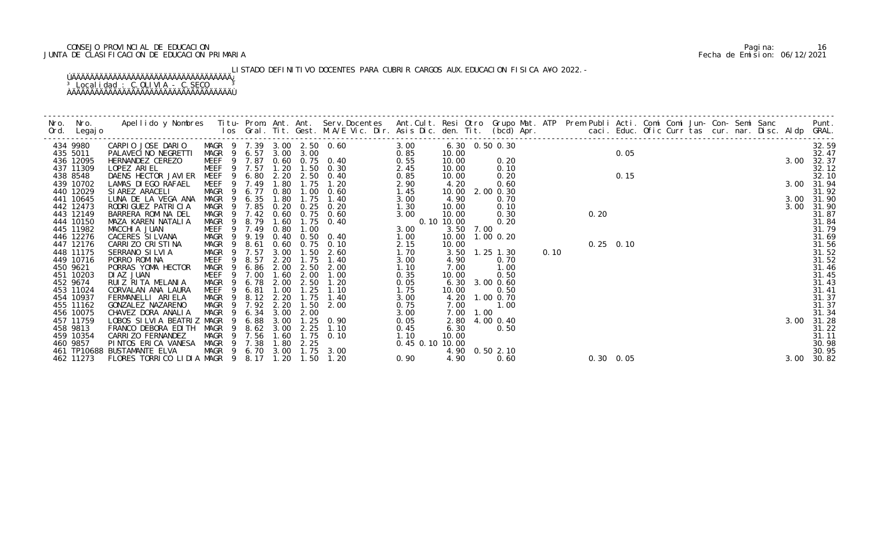# CONSEJO PROVINCIAL DE EDUCACION Pagina: 16 JUNTA DE CLASIFICACION DE EDUCACION PRIMARIA Fecha de Emision: 06/12/2021

LISTADO DEFINITIVO DOCENTES PARA CUBRIR CARGOS AUX.EDUCACION FISICA A¥O 2022.-

| Ord. Legajo           |                                                 |             |              |                       |      |                                                     |                 |                |           |                   |      |                            |                   |  |  |  |      |                |
|-----------------------|-------------------------------------------------|-------------|--------------|-----------------------|------|-----------------------------------------------------|-----------------|----------------|-----------|-------------------|------|----------------------------|-------------------|--|--|--|------|----------------|
|                       |                                                 |             |              |                       |      |                                                     |                 |                |           |                   |      |                            |                   |  |  |  |      |                |
| 434 9980              | CARPIO JOSE DARIO MAGR 9 7.39 3.00 2.50 0.60    |             |              |                       |      | 3.00                                                |                 | 6.30 0.50 0.30 |           |                   |      | $0.\overline{30}$<br>0. 20 |                   |  |  |  |      | 32.59          |
| 435 5011              | PALAVECI NO NEGRETTI                            |             |              | MAGR 9 6.57 3.00 3.00 |      |                                                     | 0.85            | 10.00          |           |                   |      |                            | 0.05              |  |  |  |      | 32.47          |
| 436 12095             | HERNANDEZ CEREZO                                |             |              |                       |      | MAGR 9 6.57 3.00 3.00<br>MEEF 9 7.87 0.60 0.75 0.40 | 0.55            | 10.00          |           |                   |      |                            |                   |  |  |  |      | 3.00 32.37     |
| 437 11309             | LOPEZ ARIEL                                     |             |              |                       |      | MEEF 9 7.57 1.20 1.50 0.30                          | 2.45            | 10.00          |           |                   |      |                            |                   |  |  |  |      | 32.12          |
| 438 8548              | DAENS HECTOR JAVIER                             |             |              |                       |      | MEEF 9 6.80 2.20 2.50 0.40                          | 0.85            | 10.00          |           | 0.20              |      |                            | 0.15              |  |  |  |      | 32.10          |
| 439 10702             | LAMAS DI EGO RAFAEL                             |             |              | MEEF 9 7.49 1.80      | 1.75 | 1.20                                                | 2.90            | 4.20           |           | 0.60              |      |                            |                   |  |  |  |      | 3.00 31.94     |
| 440 12029             | SI AREZ ARACELI                                 |             |              | MAGR 9 6.77 0.80      | 1.00 | 0.60                                                | 1.45            |                |           | 10.00 2.00 0.30   |      |                            |                   |  |  |  |      | 31.92          |
| 441 10645             | LUNA DE LA VEGA ANA                             | MAGR 9 6.35 |              | 1.80                  | 1.75 | 1.40                                                | 3.00            | 4.90           |           | 0.70              |      |                            |                   |  |  |  |      | 3.00 31.90     |
| 442 12473             | RODRI GUEZ PATRI CI A                           | MAGR        | 9 7.85       |                       |      | 0.20 0.25 0.20                                      | 1.30            | 10.00          |           | 0.10              |      |                            |                   |  |  |  | 3.00 | 31.90          |
| 443 12149             | BARRERA ROMINA DEL                              |             |              | MAGR 9 7.42 0.60      | 0.75 | 0.60                                                | 3.00            | 10.00          |           | 0.30              |      | 0.20                       |                   |  |  |  |      | 31.87          |
| 444 10150             | MAZA KAREN NATALIA                              | MAGR 9 8.79 |              |                       |      | 1.60 1.75 0.40                                      |                 | $0.10$ 10.00   |           | 0.20              |      |                            |                   |  |  |  |      | 31.84          |
| 445 11982             | MACCHIA JUAN                                    | MEEF 9 7.49 |              | 0.80                  | 1.00 |                                                     | 3.00            |                | 3.50 7.00 |                   |      |                            |                   |  |  |  |      | 31.79          |
| 446 12276             | CACERES SI LVANA                                | MAGR 9 9.19 |              |                       |      | 0.40 0.50 0.40                                      | 1.00            |                |           | 10.00  1.00  0.20 |      |                            |                   |  |  |  |      | 31.69          |
| 447 12176             | CARRIZO CRISTINA                                | MAGR 9      | 8.61         | 0.60                  | 0.75 | 0.10                                                | 2.15            | 10.00          |           |                   |      |                            | $0.25$ 0.10       |  |  |  |      | 31.56<br>31.52 |
| 448 11175             | SERRANO SILVIA                                  | MAGR 9 7.57 |              | 3.00                  | 1.50 | 2.60                                                | 1.70            |                |           | 3.50 1.25 1.30    | 0.10 |                            |                   |  |  |  |      |                |
| 449 10716             | PORRO ROMINA                                    | MEEF 9 8.57 |              | 2.20                  | 1.75 | 1.40                                                | 3.00            | 4.90           |           | 0.70              |      |                            |                   |  |  |  |      | 31.52<br>31.46 |
| 450 9621              | PORRAS YOMA HECTOR                              | MAGR 9 6.86 |              | 2.00                  |      | 2.50 2.00                                           | 1.10            | 7.00           |           | 1.00              |      |                            |                   |  |  |  |      |                |
| 451 10203             | DI AZ JUAN                                      | <b>MEEF</b> | 9 7.00       | 1.60                  | 2.00 | 1.00                                                | 0.35            | 10.00          |           | 0.50              |      |                            |                   |  |  |  |      | 31.45          |
| 452 9674              | RUIZ RITA MELANIA                               | MAGR        | 6. 78<br>- 9 | 2.00                  |      | $2.50$ 1.20                                         | 0.05            |                |           | 6.30 3.00 0.60    |      |                            |                   |  |  |  |      | 31.43          |
| 453 11024             | CORVALAN ANA LAURA                              | MEEF 9 6.81 |              | 1.00                  | 1.25 | 1.10                                                | 1.75            | 10.00          |           | 0.50              |      |                            |                   |  |  |  |      | 31.41          |
| 454 10937             | FERMANELLI ARIELA                               |             |              | MAGR 9 8.12 2.20      | 1.75 | 1.40                                                | 3.00            |                |           | 4.20 1.00 0.70    |      |                            |                   |  |  |  |      | 31.37          |
| 455 11162             | GONZALEZ NAZARENO                               |             |              | MAGR 9 7.92 2.20      | 1.50 | 2.00                                                | 0.75            | 7.00           |           | 1.00              |      |                            |                   |  |  |  |      | 31.37          |
| 456 10075             | CHAVEZ DORA ANALIA                              |             |              | MAGR 9 6.34 3.00      | 2.00 |                                                     | 3.00            |                | 7.00 1.00 |                   |      |                            |                   |  |  |  |      | 31.34          |
| 457 11759             | LOBOS SILVIA BEATRIZ MAGR                       |             | 9 6.88       | 3.00                  |      | 1.25 0.90                                           | 0.05            |                |           | 2.80 4.00 0.40    |      |                            |                   |  |  |  |      | 3.00 31.28     |
| 458 9813<br>459 10354 | FRANCO DEBORA EDITH                             | MAGR        | - 9          | 8.62 3.00             | 2.25 | 1.10                                                | 0.45<br>1.10    | 6.30<br>10.00  |           | 0.50              |      |                            |                   |  |  |  |      | 31.22<br>31.11 |
| 460 9857              | CARRI ZO FERNANDEZ<br>PINTOS ERICA VANESA       | MAGR 9 7.56 |              | 1.60                  |      | $1.75$ 0.10                                         |                 |                |           |                   |      |                            |                   |  |  |  |      | 30.98          |
|                       | 461 TP10688 BUSTAMANTE ELVA                     |             |              | MAGR 9 7.38 1.80      | 2.25 | MAGR 9 6.70 3.00 1.75 3.00                          | 0.45 0.10 10.00 |                |           | 4.90 0.50 2.10    |      |                            |                   |  |  |  |      | 30.95          |
| 462 11273             | FLORES TORRICO LIDIA MAGR 9 8.17 1.20 1.50 1.20 |             |              |                       |      |                                                     | 0.90            | 4.90           |           | 0.60              |      |                            | $0.30 \quad 0.05$ |  |  |  |      | 3.00 30.82     |
|                       |                                                 |             |              |                       |      |                                                     |                 |                |           |                   |      |                            |                   |  |  |  |      |                |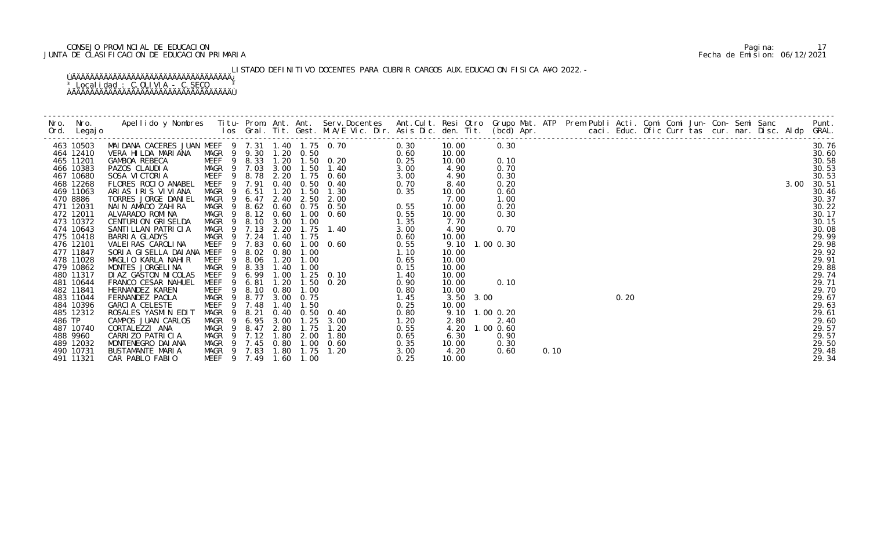# CONSEJO PROVINCIAL DE EDUCACION Pagina: 17 JUNTA DE CLASIFICACION DE EDUCACION PRIMARIA Fecha de Emision: 06/12/2021

LISTADO DEFINITIVO DOCENTES PARA CUBRIR CARGOS AUX.EDUCACION FISICA A¥O 2022.-

|        | Ord. Legajo            |                                                           |                                                |     |               |      |      |                                                                                                                                                                                                 |              |                |                   |      |  |      |  |  |  |      | Punt.          |
|--------|------------------------|-----------------------------------------------------------|------------------------------------------------|-----|---------------|------|------|-------------------------------------------------------------------------------------------------------------------------------------------------------------------------------------------------|--------------|----------------|-------------------|------|--|------|--|--|--|------|----------------|
|        | 463 10503              | MAI DANA CACERES JUAN MEEF 9 7.31 1.40 1.75 0.70 0.30     |                                                |     |               |      |      |                                                                                                                                                                                                 |              | 10.00          | 0.30              |      |  |      |  |  |  |      | 30.76          |
|        | 464 12410              | VERA HILDA MARIANA                                        |                                                |     |               |      |      | MAGR 9 9.30 1.20 0.50<br>MEEF 9 8.33 1.20 1.50 0.20 0.25<br>MAGR 9 7.03 3.00 1.50 1.40 3.00<br>MEEF 9 8.78 2.20 1.75 0.60 3.00<br>MEEF 9 8.78 2.20 1.75 0.60 3.00<br>MEEF 9 7 91 0.40 0.50 0.40 |              | 10.00          |                   |      |  |      |  |  |  |      | 30.60          |
|        | 465 11201              | GAMBOA REBECA                                             |                                                |     |               |      |      |                                                                                                                                                                                                 |              | 10.00          | 0.10<br>0.70      |      |  |      |  |  |  |      | 30.58          |
|        | 466 10383<br>467 10680 | PAZOS CLAUDIA<br>SOSA VICTORIA MEEF 9 8.78 2.20 1.75 0.60 |                                                |     |               |      |      |                                                                                                                                                                                                 |              | 4.90<br>4.90   | 0.30              |      |  |      |  |  |  |      | 30.53<br>30.53 |
|        | 468 12268              | FLORES ROCIO ANABEL                                       | MEEF 9 7.91                                    |     |               |      |      | 0.40 0.50 0.40                                                                                                                                                                                  | 0.70         | 8.40           | 0.20              |      |  |      |  |  |  | 3.00 | 30.51          |
|        | 469 11063              | ARIAS IRIS VIVIANA                                        | MAGR 9 6.51                                    |     |               | 1.20 | 1.50 | 1.30                                                                                                                                                                                            | 0.35         | 10.00          | 0.60              |      |  |      |  |  |  |      | 30.46          |
|        | 470 8886               | TORRES JORGE DANIEL                                       | MAGR 9 6.47                                    |     |               |      |      | 2.40 2.50 2.00                                                                                                                                                                                  |              | 7.00           | 1.00              |      |  |      |  |  |  |      | 30.37          |
|        | 471 12031              | NAIN AMADO ZAHIRA                                         | MAGR 9                                         |     |               |      |      | 8.62 0.60 0.75 0.50                                                                                                                                                                             | 0.55         | 10.00          | 0.20              |      |  |      |  |  |  |      | 30.22          |
|        | 472 12011              | ALVARADO ROMINA                                           | MAGR 9 8.12 0.60 1.00 0.60                     |     |               |      |      |                                                                                                                                                                                                 | 0.55         | 10.00          | 0.30              |      |  |      |  |  |  |      | 30.17          |
|        | 473 10372              | CENTURION GRISELDA                                        | MAGR 9 8.10 3.00 1.00                          |     |               |      |      |                                                                                                                                                                                                 | 1.35         | 7.70           |                   |      |  |      |  |  |  |      | 30.15          |
|        | 474 10643              | SANTI LLAN PATRI CI A                                     | MAGR 9 7.13 2.20 1.75 1.40                     |     |               |      |      | 1. 75 1. 40<br>1. 75 1. 40<br>1. 00 0. 60<br>1. 00<br>1. 00<br>1. 25 0. 10<br>1. 25 0. 10                                                                                                       | 3.00         | 4.90           | 0.70              |      |  |      |  |  |  |      | 30.08          |
|        | 475 10418              | BARRIA GLADYS                                             | MAGR 9 7.24<br>MEEF 9 7.83                     |     |               | 1.40 |      |                                                                                                                                                                                                 | 0.60         | 10.00          |                   |      |  |      |  |  |  |      | 29.99          |
|        | 476 12101              | VALEIRAS CAROLINA                                         |                                                |     |               | 0.60 |      |                                                                                                                                                                                                 | 0.55         | 9.10 1.00 0.30 |                   |      |  |      |  |  |  |      | 29.98          |
|        | 477 11847              | SORIA GISELLA DAIANA MEEF 9 8.02                          |                                                |     |               | 0.80 |      |                                                                                                                                                                                                 | 1.10         | 10.00          |                   |      |  |      |  |  |  |      | 29.92          |
|        | 478 11028              | MAGLIO KARLA NAHIR                                        | MEEF                                           | - 9 | 8.06          | 1.20 |      |                                                                                                                                                                                                 | 0.65         | 10.00          |                   |      |  |      |  |  |  |      | 29.91          |
|        | 479 10862              | MONTES JORGELINA                                          | MAGR                                           |     | $9\quad 8.33$ | 1.40 |      |                                                                                                                                                                                                 | 0.15         | 10.00          |                   |      |  |      |  |  |  |      | 29.88          |
|        | 480 11317              | DI AZ GASTON NI COLAS                                     | MEEF 9 6.99                                    |     |               | 1.00 |      |                                                                                                                                                                                                 | 1.40         | 10.00          |                   |      |  |      |  |  |  |      | 29.74          |
|        | 481 10644              | FRANCO CESAR NAHUEL                                       | MEEF 9 6.81                                    |     |               |      |      | 1.20 1.50 0.20                                                                                                                                                                                  |              | 10.00          | 0.10              |      |  |      |  |  |  |      | 29.71          |
|        | 482 11841              | HERNANDEZ KAREN                                           | MEEF 9 8.10 0.80 1.00<br>MAGR 9 8.77 3.00 0.75 |     |               |      |      |                                                                                                                                                                                                 |              | 10.00          |                   |      |  |      |  |  |  |      | 29.70          |
|        | 483 11044              | FERNANDEZ PAOLA                                           |                                                |     |               |      |      | 0. 20<br>0. 20<br>0. 90<br>0. 80<br>1. 45<br>0. 25<br>0. 25<br>0. 25<br>0. 26<br>1. 20<br>1. 20<br>0. 55                                                                                        |              | 3.50 3.00      |                   |      |  | 0.20 |  |  |  |      | 29.67          |
|        | 484 10396              | GARCIA CELESTE                                            | MEEF 9 7.48                                    |     |               | 1.40 | 1.50 |                                                                                                                                                                                                 |              | 10.00          |                   |      |  |      |  |  |  |      | 29.63          |
|        | 485 12312              | ROSALES YASMIN EDIT                                       | MAGR 9 8.21                                    |     |               |      |      | 0.40 0.50 0.40                                                                                                                                                                                  |              | 9.10 1.00 0.20 |                   |      |  |      |  |  |  |      | 29.61          |
| 486 TP |                        | CAMPOS JUAN CARLOS                                        | MAGR                                           |     | 9 6.95        |      |      | 3.00 1.25 3.00                                                                                                                                                                                  |              | 2.80           | 2.40              |      |  |      |  |  |  |      | 29.60          |
|        | 487 10740<br>488 9960  | CORTALEZZI ANA<br>CARRIZO PATRICIA                        | MAGR 9<br>MAGR 9 7.12                          |     | 8.47          | 2.80 | 1.75 | 1.20                                                                                                                                                                                            | 0.55<br>0.65 | 4.20<br>6.30   | 1.00 0.60<br>0.90 |      |  |      |  |  |  |      | 29.57<br>29.57 |
|        | 489 12032              | MONTENEGRO DAI ANA                                        | MAGR 9 7.45 0.80 1.00 0.60                     |     |               |      |      | 1.80 2.00 1.80                                                                                                                                                                                  | 0.35         | 10.00          | 0.30              |      |  |      |  |  |  |      | 29.50          |
|        | 490 10731              | BUSTAMANTE MARIA                                          | MAGR 9 7.83 1.80 1.75 1.20                     |     |               |      |      |                                                                                                                                                                                                 | 3.00         | 4.20           | 0.60              | 0.10 |  |      |  |  |  |      | 29.48          |
|        | 491 11321              | CAR PABLO FABIO                                           | MEEF 9 7.49 1.60                               |     |               |      | 1.00 |                                                                                                                                                                                                 | 0.25         | 10.00          |                   |      |  |      |  |  |  |      | 29.34          |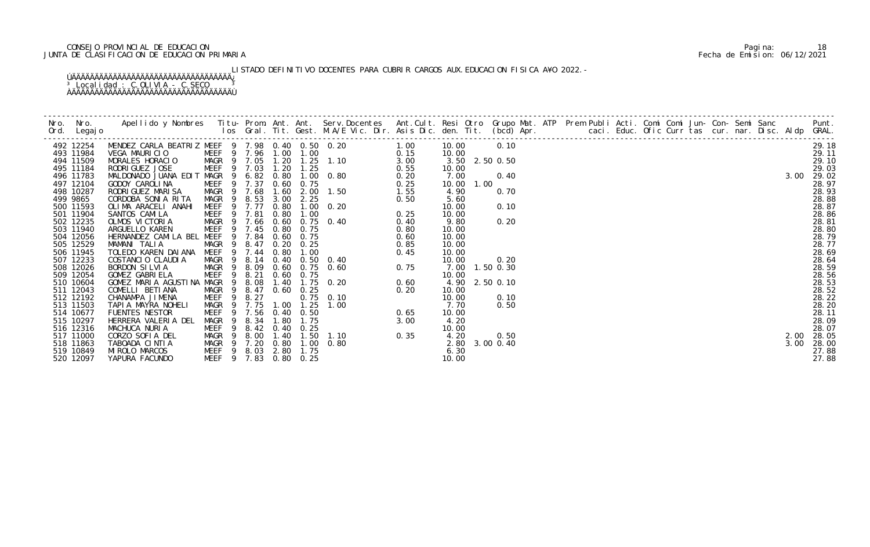# CONSEJO PROVINCIAL DE EDUCACION Pagina: 18 JUNTA DE CLASIFICACION DE EDUCACION PRIMARIA Fecha de Emision: 06/12/2021

LISTADO DEFINITIVO DOCENTES PARA CUBRIR CARGOS AUX.EDUCACION FISICA A¥O 2022.-

|          | 492 12254              |  |  |  |  | 10.00          | 0.10           |  |  |  |  |  |      | 29.18          |
|----------|------------------------|--|--|--|--|----------------|----------------|--|--|--|--|--|------|----------------|
|          | 493 11984              |  |  |  |  | 10.00          |                |  |  |  |  |  |      | 29.11          |
|          | 494 11509              |  |  |  |  |                | 3.50 2.50 0.50 |  |  |  |  |  |      | 29.10          |
|          | 495 11184<br>496 11783 |  |  |  |  | 10.00<br>7.00  | 0.40           |  |  |  |  |  | 3.00 | 29.03<br>29.02 |
|          | 497 12104              |  |  |  |  | 10.00          | 1.00           |  |  |  |  |  |      | 28.97          |
|          | 498 10287              |  |  |  |  | 4.90           | 0.70           |  |  |  |  |  |      | 28.93          |
| 499 9865 |                        |  |  |  |  | 5.60           |                |  |  |  |  |  |      | 28.88          |
|          | 500 11593              |  |  |  |  | 10.00          | 0.10           |  |  |  |  |  |      | 28.87          |
|          | 501 11904              |  |  |  |  | 10.00          |                |  |  |  |  |  |      | 28.86          |
|          | 502 12235              |  |  |  |  | 9.80           | 0.20           |  |  |  |  |  |      | 28.81          |
|          | 503 11940              |  |  |  |  | 10.00          |                |  |  |  |  |  |      | 28.80          |
|          | 504 12056              |  |  |  |  | 10.00          |                |  |  |  |  |  |      | 28.79          |
|          | 505 12529              |  |  |  |  | 10.00          |                |  |  |  |  |  |      | 28.77          |
|          | 506 11945              |  |  |  |  | 10.00          |                |  |  |  |  |  |      | 28.69          |
|          | 507 12233              |  |  |  |  | 10.00          | 0.20           |  |  |  |  |  |      | 28.64          |
|          | 508 12026              |  |  |  |  |                | 7.00 1.50 0.30 |  |  |  |  |  |      | 28.59          |
|          | 509 12054              |  |  |  |  | 10.00          |                |  |  |  |  |  |      | 28.56          |
|          | 510 10604              |  |  |  |  |                | 4.90 2.50 0.10 |  |  |  |  |  |      | 28.53<br>28.52 |
|          | 511 12043<br>512 12192 |  |  |  |  | 10.00<br>10.00 | 0.10           |  |  |  |  |  |      | 28.22          |
|          | 513 11503              |  |  |  |  | 7.70           | 0.50           |  |  |  |  |  |      | 28.20          |
|          | 514 10677              |  |  |  |  | 10.00          |                |  |  |  |  |  |      | 28.11          |
|          | 515 10297              |  |  |  |  | 4.20           |                |  |  |  |  |  |      | 28.09          |
|          | 516 12316              |  |  |  |  | 10.00          |                |  |  |  |  |  |      | 28.07          |
|          | 517 11000              |  |  |  |  | 4.20           | 0.50           |  |  |  |  |  | 2.00 | 28.05          |
|          | 518 11863              |  |  |  |  |                | 2.80 3.00 0.40 |  |  |  |  |  | 3.00 | 28.00          |
|          | 519 10849              |  |  |  |  | 6.30           |                |  |  |  |  |  |      | 27.88          |
|          | 520 12097              |  |  |  |  | 10.00          |                |  |  |  |  |  |      | 27.88          |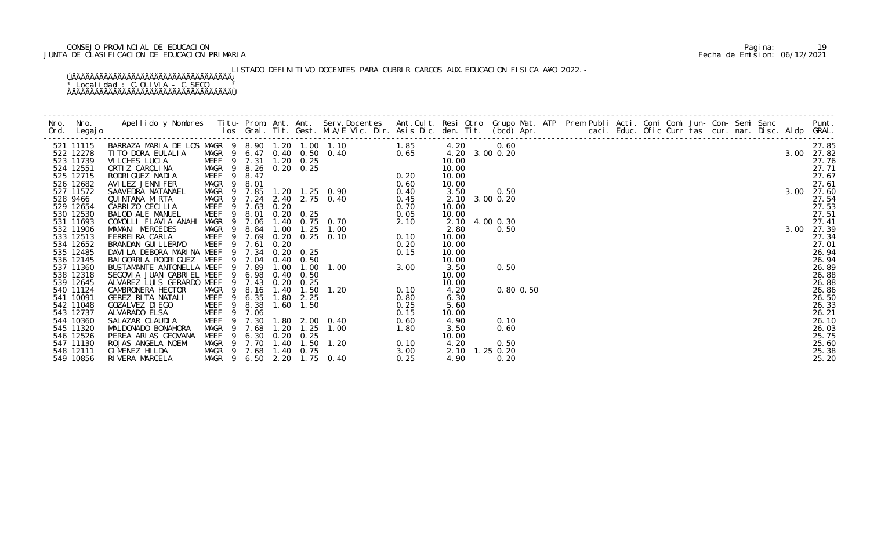# CONSEJO PROVINCIAL DE EDUCACION Pagina: 19 JUNTA DE CLASIFICACION DE EDUCACION PRIMARIA Fecha de Emision: 06/12/2021

LISTADO DEFINITIVO DOCENTES PARA CUBRIR CARGOS AUX. EDUCACION FISICA A¥O 2022.-

| 521 11115<br>522 12278<br>523 11739<br>524 12551<br>525 12715<br>526 12682<br>527 11572<br>528 9466<br>529 12654<br>530 12530<br>531 11693<br>532 11906<br>533 12513 |             |      |      | Apellido y Nombres Titu- Prom. Ant. Ant. Serv.Docentes Ant.Cult. Resi Otro Grupo Mat. ATP Prem Publi Acti. Comi Comi Jun- Con- Semi Sanc Punt.<br>Ios Gral. Tit. Gest. M.A/E Vic. Dir. Asis Dic. den. Tit. (bcd) Apr. |      | N DIC. den. Tit. (1962) Apr. 2001. Educ. Omi Comi Jun-Con-<br>1.2003. 00.0.20<br>1.0.2003. 00.0.20<br>1.0.20<br>1.0.00.20<br>1.0.00.20<br>1.0.00.20<br>1.0.00.20<br>1.0.00.20<br>1.0.00.20<br>2.0.20<br>2.0.20<br>2.0.20<br>2.0.20<br>2.0.20<br>2.0.20<br>2. |  |  |  |  |  |  |  |  |
|----------------------------------------------------------------------------------------------------------------------------------------------------------------------|-------------|------|------|-----------------------------------------------------------------------------------------------------------------------------------------------------------------------------------------------------------------------|------|--------------------------------------------------------------------------------------------------------------------------------------------------------------------------------------------------------------------------------------------------------------|--|--|--|--|--|--|--|--|
|                                                                                                                                                                      |             |      |      |                                                                                                                                                                                                                       |      |                                                                                                                                                                                                                                                              |  |  |  |  |  |  |  |  |
|                                                                                                                                                                      |             |      |      |                                                                                                                                                                                                                       |      |                                                                                                                                                                                                                                                              |  |  |  |  |  |  |  |  |
|                                                                                                                                                                      |             |      |      |                                                                                                                                                                                                                       |      |                                                                                                                                                                                                                                                              |  |  |  |  |  |  |  |  |
|                                                                                                                                                                      |             |      |      |                                                                                                                                                                                                                       |      |                                                                                                                                                                                                                                                              |  |  |  |  |  |  |  |  |
|                                                                                                                                                                      |             |      |      |                                                                                                                                                                                                                       |      |                                                                                                                                                                                                                                                              |  |  |  |  |  |  |  |  |
|                                                                                                                                                                      |             |      |      |                                                                                                                                                                                                                       |      |                                                                                                                                                                                                                                                              |  |  |  |  |  |  |  |  |
|                                                                                                                                                                      |             |      |      |                                                                                                                                                                                                                       |      |                                                                                                                                                                                                                                                              |  |  |  |  |  |  |  |  |
|                                                                                                                                                                      |             |      |      |                                                                                                                                                                                                                       |      |                                                                                                                                                                                                                                                              |  |  |  |  |  |  |  |  |
|                                                                                                                                                                      |             |      |      |                                                                                                                                                                                                                       |      |                                                                                                                                                                                                                                                              |  |  |  |  |  |  |  |  |
|                                                                                                                                                                      |             |      |      |                                                                                                                                                                                                                       |      |                                                                                                                                                                                                                                                              |  |  |  |  |  |  |  |  |
|                                                                                                                                                                      |             |      |      |                                                                                                                                                                                                                       |      |                                                                                                                                                                                                                                                              |  |  |  |  |  |  |  |  |
|                                                                                                                                                                      |             |      |      |                                                                                                                                                                                                                       |      |                                                                                                                                                                                                                                                              |  |  |  |  |  |  |  |  |
| 534 12652                                                                                                                                                            |             |      |      |                                                                                                                                                                                                                       |      |                                                                                                                                                                                                                                                              |  |  |  |  |  |  |  |  |
| 535 12485                                                                                                                                                            |             |      |      |                                                                                                                                                                                                                       |      |                                                                                                                                                                                                                                                              |  |  |  |  |  |  |  |  |
| 536 12145                                                                                                                                                            |             |      |      |                                                                                                                                                                                                                       |      |                                                                                                                                                                                                                                                              |  |  |  |  |  |  |  |  |
| 537 11360                                                                                                                                                            |             |      |      |                                                                                                                                                                                                                       |      |                                                                                                                                                                                                                                                              |  |  |  |  |  |  |  |  |
| 538 12318                                                                                                                                                            |             |      |      |                                                                                                                                                                                                                       |      |                                                                                                                                                                                                                                                              |  |  |  |  |  |  |  |  |
| 539 12645<br>540 11124                                                                                                                                               |             |      |      |                                                                                                                                                                                                                       |      |                                                                                                                                                                                                                                                              |  |  |  |  |  |  |  |  |
| 541 10091                                                                                                                                                            |             |      |      |                                                                                                                                                                                                                       |      |                                                                                                                                                                                                                                                              |  |  |  |  |  |  |  |  |
| 542 11048                                                                                                                                                            |             |      |      |                                                                                                                                                                                                                       |      |                                                                                                                                                                                                                                                              |  |  |  |  |  |  |  |  |
| 543 12737                                                                                                                                                            |             |      |      |                                                                                                                                                                                                                       |      |                                                                                                                                                                                                                                                              |  |  |  |  |  |  |  |  |
| 544 10360                                                                                                                                                            |             |      |      |                                                                                                                                                                                                                       |      |                                                                                                                                                                                                                                                              |  |  |  |  |  |  |  |  |
| 545 11320                                                                                                                                                            |             |      |      |                                                                                                                                                                                                                       |      |                                                                                                                                                                                                                                                              |  |  |  |  |  |  |  |  |
| 546 12526                                                                                                                                                            |             |      |      |                                                                                                                                                                                                                       |      |                                                                                                                                                                                                                                                              |  |  |  |  |  |  |  |  |
| 547 11130                                                                                                                                                            |             |      |      |                                                                                                                                                                                                                       |      |                                                                                                                                                                                                                                                              |  |  |  |  |  |  |  |  |
| 548 12111                                                                                                                                                            |             |      |      |                                                                                                                                                                                                                       |      |                                                                                                                                                                                                                                                              |  |  |  |  |  |  |  |  |
| 549 10856<br>RIVERA MARCELA                                                                                                                                          | MAGR<br>- 9 | 6.50 | 2.20 | $1.75$ 0.40                                                                                                                                                                                                           | 0.25 |                                                                                                                                                                                                                                                              |  |  |  |  |  |  |  |  |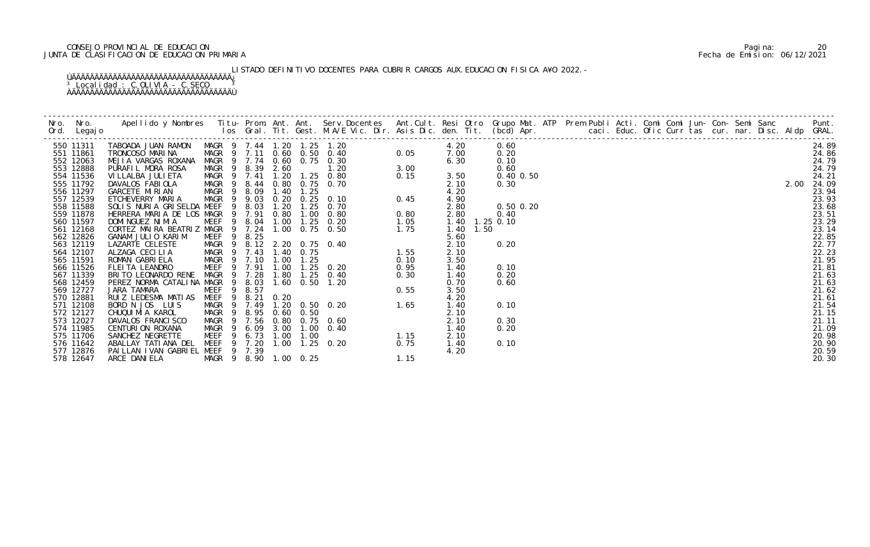# CONSEJO PROVINCIAL DE EDUCACION Pagina: 20 JUNTA DE CLASIFICACION DE EDUCACION PRIMARIA Fecha de Emision: 06/12/2021

LISTADO DEFINITIVO DOCENTES PARA CUBRIR CARGOS AUX. EDUCACION FISICA A¥O 2022.-

| 550 11311              | TABOADA JUAN RAMON MAGR 9 7.44 1.20 1.25 1.20   |                  |      |                  |                       | $0.05$<br>$3.00$<br>$0.15$                                                                                                                                                                                                                                                                                                 |      | 4.20           | 0.60          |  |  |  |  |  |      | 24.89          |
|------------------------|-------------------------------------------------|------------------|------|------------------|-----------------------|----------------------------------------------------------------------------------------------------------------------------------------------------------------------------------------------------------------------------------------------------------------------------------------------------------------------------|------|----------------|---------------|--|--|--|--|--|------|----------------|
| 551 11861              | TRONCOSO MARINA                                 |                  |      |                  |                       | MAGR 9 7.11 0.60 0.50 0.40                                                                                                                                                                                                                                                                                                 |      | 7.00           | 0.20          |  |  |  |  |  |      | 24.86          |
| 552 12063              | MEJIA VARGAS ROXANA                             |                  |      |                  |                       | MAGR 9 7.74 0.60 0.75 0.30                                                                                                                                                                                                                                                                                                 |      | 6.30           | 0.10          |  |  |  |  |  |      | 24.79          |
| 553 12888              | PURAFIL MORA ROSA                               |                  |      | MAGR 9 8.39 2.60 |                       | 1.20                                                                                                                                                                                                                                                                                                                       |      |                | 0.60          |  |  |  |  |  |      | 24.79          |
| 554 11536              | VI LLALBA JULI ETA                              |                  |      |                  |                       | MAGR 9 7.41 1.20 1.25 0.80<br>$\frac{1}{2}$<br>$\frac{1}{2}$<br>$\frac{1}{2}$<br>$\frac{1}{2}$<br>$\frac{1}{2}$<br>$\frac{1}{2}$<br>$\frac{1}{2}$<br>$\frac{1}{2}$<br>$\frac{1}{2}$<br>$\frac{1}{2}$<br>$\frac{1}{2}$<br><br>$\frac{1}{2}$<br><br><br><br><br><br><br><br><br><br><br><br><br><br><br><br><br><br><br><br> |      | 3.50           | $0.40$ $0.50$ |  |  |  |  |  |      | 24.21          |
| 555 11792              | DAVALOS FABIOLA                                 |                  |      |                  |                       | MAGR 9 8.44 0.80 0.75 0.70                                                                                                                                                                                                                                                                                                 |      | 2.10           | 0.30          |  |  |  |  |  | 2.00 | 24.09          |
| 556 11297<br>557 12539 | GARCETE MIRIAN<br>ETCHEVERRY MARIA              | MAGR 9 8.09      |      | 1.40             | 1.25                  | 0.20 0.25 0.10                                                                                                                                                                                                                                                                                                             |      | 4.20           |               |  |  |  |  |  |      | 23.94<br>23.93 |
| 558 11588              | SOLIS NURIA GRISELDA MEEF                       | MAGR 9 9.03<br>9 | 8.03 | 1.20             | 1.25                  | 0. 70                                                                                                                                                                                                                                                                                                                      |      | 4.90<br>2.80   | $0.50$ $0.20$ |  |  |  |  |  |      | 23.68          |
| 559 11878              | HERRERA MARIA DE LOS MAGR 9 7.91                |                  |      |                  |                       | 0.80 1.00 0.80                                                                                                                                                                                                                                                                                                             | 0.80 | 2.80           | 0.40          |  |  |  |  |  |      | 23.51          |
| 560 11597              | DOMI NGUEZ NI MI A                              |                  |      |                  |                       |                                                                                                                                                                                                                                                                                                                            |      | 1.40 1.25 0.10 |               |  |  |  |  |  |      | 23.29          |
| 561 12168              | CORTEZ MAIRA BEATRIZ MAGR 9 7.24 1.00 0.75 0.50 |                  |      |                  |                       | S MAGR 9 7.91 0.80 1.00 0.80 0.80<br>MEEF 9 8.04 1.00 1.25 0.20 1.05<br>2 MAGR 9 7.24 1.00 0.75 0.50 1.75<br>MEEF 9 8.25<br>MAGR 9 8.12 2.20 0.75 0.40<br>MAGR 9 7.43 1.40 0.75 0.40<br>MAGR 9 7.43 1.40 0.75 0.20 0.10<br>MEEF 9 7.91 1.00                                                                                |      | 1.50<br>1.40   |               |  |  |  |  |  |      | 23.14          |
| 562 12826              | GANAM JULIO KARIM                               |                  |      |                  |                       |                                                                                                                                                                                                                                                                                                                            |      | 5.60           |               |  |  |  |  |  |      | 22.85          |
| 563 12119              | LAZARTE CELESTE                                 |                  |      |                  |                       |                                                                                                                                                                                                                                                                                                                            |      | 2.10           | 0.20          |  |  |  |  |  |      | 22.77          |
| 564 12107              | ALZAGA CECILIA                                  | MAGR 9 7.43      |      |                  |                       |                                                                                                                                                                                                                                                                                                                            |      | 2.10           |               |  |  |  |  |  |      | 22.23          |
| 565 11591              | ROMAN GABRIELA                                  |                  |      |                  | MAGR 9 7.10 1.00 1.25 |                                                                                                                                                                                                                                                                                                                            |      | 3.50           |               |  |  |  |  |  |      | 21.95          |
| 566 11526              | FLEITA LEANDRO                                  |                  |      |                  |                       |                                                                                                                                                                                                                                                                                                                            |      | 1.40           | 0.10          |  |  |  |  |  |      | 21.81          |
| 567 11339              | BRITO LEONARDO RENE                             |                  |      |                  |                       |                                                                                                                                                                                                                                                                                                                            |      | 1.40           | 0.20          |  |  |  |  |  |      | 21.63          |
| 568 12459              | PEREZ NORMA CATALINA MAGR 9 8.03                |                  |      |                  |                       |                                                                                                                                                                                                                                                                                                                            |      | 0.70           | 0.60          |  |  |  |  |  |      | 21.63          |
| 569 12727              | JARA TAMARA                                     |                  |      |                  |                       |                                                                                                                                                                                                                                                                                                                            |      | 3.50           |               |  |  |  |  |  |      | 21.62          |
| 570 12881              | RUIZ LEDESMA MATIAS MEEF 9 8.21                 |                  |      |                  |                       |                                                                                                                                                                                                                                                                                                                            |      | 4.20           |               |  |  |  |  |  |      | 21.61          |
| 571 12108              | BORD N JOS LUIS                                 |                  |      |                  |                       |                                                                                                                                                                                                                                                                                                                            |      | 1.40           | 0.10          |  |  |  |  |  |      | 21.54          |
| 572 12127              | CHUQUI MI A KAROL                               |                  |      |                  |                       |                                                                                                                                                                                                                                                                                                                            |      | 2.10           |               |  |  |  |  |  |      | 21.15          |
| 573 12027              | DAVALOS FRANCISCO                               |                  |      |                  |                       |                                                                                                                                                                                                                                                                                                                            |      | 2.10           | 0.30          |  |  |  |  |  |      | 21.11          |
| 574 11985              | CENTURION ROXANA                                |                  |      |                  |                       |                                                                                                                                                                                                                                                                                                                            |      | 1.40           | 0.20          |  |  |  |  |  |      | 21.09          |
| 575 11706              | SANCHEZ NEGRETTE                                |                  |      |                  |                       |                                                                                                                                                                                                                                                                                                                            |      | 2.10           |               |  |  |  |  |  |      | 20.98          |
| 576 11642              | ABALLAY TATI ANA DEL                            | MEEF 9 7.20      |      |                  |                       | 0. 20 $0.75$<br>1. 15<br>1.00 1.25 0.20                                                                                                                                                                                                                                                                                    |      | 1.40           | 0.10          |  |  |  |  |  |      | 20.90          |
| 577 12876              | PAILLAN IVAN GABRIEL MEEF 9 7.39                |                  |      |                  |                       |                                                                                                                                                                                                                                                                                                                            |      | 4.20           |               |  |  |  |  |  |      | 20.59          |
| 578 12647              | ARCE DANI ELA                                   |                  |      |                  | MAGR 9 8.90 1.00 0.25 |                                                                                                                                                                                                                                                                                                                            | 1.15 |                |               |  |  |  |  |  |      | 20.30          |